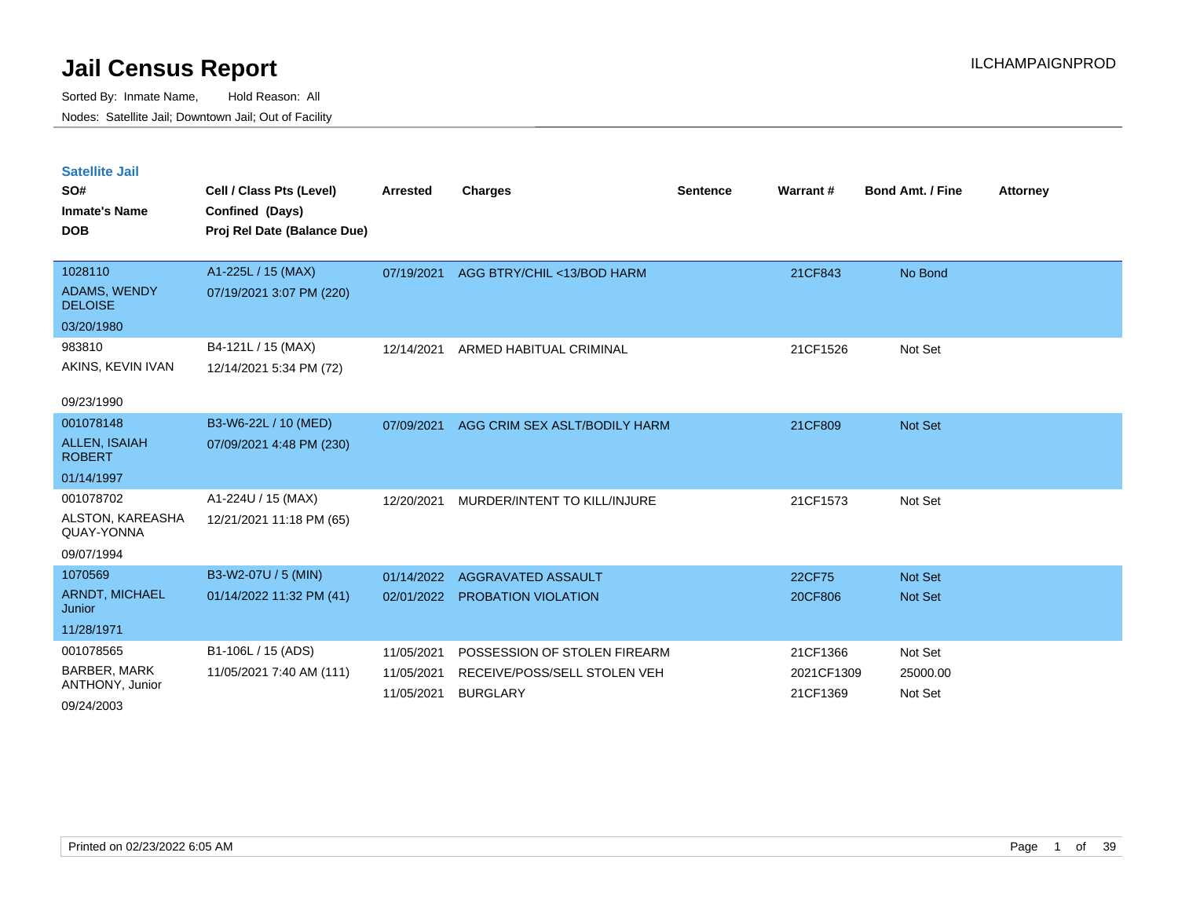| <b>Satellite Jail</b><br>SO#<br><b>Inmate's Name</b><br><b>DOB</b> | Cell / Class Pts (Level)<br>Confined (Days)<br>Proj Rel Date (Balance Due) | <b>Arrested</b>          | <b>Charges</b>                                  | <b>Sentence</b> | <b>Warrant#</b>        | <b>Bond Amt. / Fine</b> | <b>Attorney</b> |
|--------------------------------------------------------------------|----------------------------------------------------------------------------|--------------------------|-------------------------------------------------|-----------------|------------------------|-------------------------|-----------------|
| 1028110                                                            | A1-225L / 15 (MAX)                                                         | 07/19/2021               | AGG BTRY/CHIL <13/BOD HARM                      |                 | 21CF843                | No Bond                 |                 |
| <b>ADAMS, WENDY</b><br><b>DELOISE</b>                              | 07/19/2021 3:07 PM (220)                                                   |                          |                                                 |                 |                        |                         |                 |
| 03/20/1980                                                         |                                                                            |                          |                                                 |                 |                        |                         |                 |
| 983810                                                             | B4-121L / 15 (MAX)                                                         | 12/14/2021               | ARMED HABITUAL CRIMINAL                         |                 | 21CF1526               | Not Set                 |                 |
| AKINS, KEVIN IVAN                                                  | 12/14/2021 5:34 PM (72)                                                    |                          |                                                 |                 |                        |                         |                 |
| 09/23/1990                                                         |                                                                            |                          |                                                 |                 |                        |                         |                 |
| 001078148                                                          | B3-W6-22L / 10 (MED)                                                       | 07/09/2021               | AGG CRIM SEX ASLT/BODILY HARM                   |                 | 21CF809                | <b>Not Set</b>          |                 |
| <b>ALLEN, ISAIAH</b><br><b>ROBERT</b>                              | 07/09/2021 4:48 PM (230)                                                   |                          |                                                 |                 |                        |                         |                 |
| 01/14/1997                                                         |                                                                            |                          |                                                 |                 |                        |                         |                 |
| 001078702                                                          | A1-224U / 15 (MAX)                                                         | 12/20/2021               | MURDER/INTENT TO KILL/INJURE                    |                 | 21CF1573               | Not Set                 |                 |
| ALSTON, KAREASHA<br>QUAY-YONNA                                     | 12/21/2021 11:18 PM (65)                                                   |                          |                                                 |                 |                        |                         |                 |
| 09/07/1994                                                         |                                                                            |                          |                                                 |                 |                        |                         |                 |
| 1070569                                                            | B3-W2-07U / 5 (MIN)                                                        | 01/14/2022               | AGGRAVATED ASSAULT                              |                 | 22CF75                 | <b>Not Set</b>          |                 |
| <b>ARNDT, MICHAEL</b><br>Junior                                    | 01/14/2022 11:32 PM (41)                                                   | 02/01/2022               | <b>PROBATION VIOLATION</b>                      |                 | 20CF806                | Not Set                 |                 |
| 11/28/1971                                                         |                                                                            |                          |                                                 |                 |                        |                         |                 |
| 001078565                                                          | B1-106L / 15 (ADS)                                                         | 11/05/2021               | POSSESSION OF STOLEN FIREARM                    |                 | 21CF1366               | Not Set                 |                 |
| BARBER, MARK<br>ANTHONY, Junior                                    | 11/05/2021 7:40 AM (111)                                                   | 11/05/2021<br>11/05/2021 | RECEIVE/POSS/SELL STOLEN VEH<br><b>BURGLARY</b> |                 | 2021CF1309<br>21CF1369 | 25000.00<br>Not Set     |                 |
| 09/24/2003                                                         |                                                                            |                          |                                                 |                 |                        |                         |                 |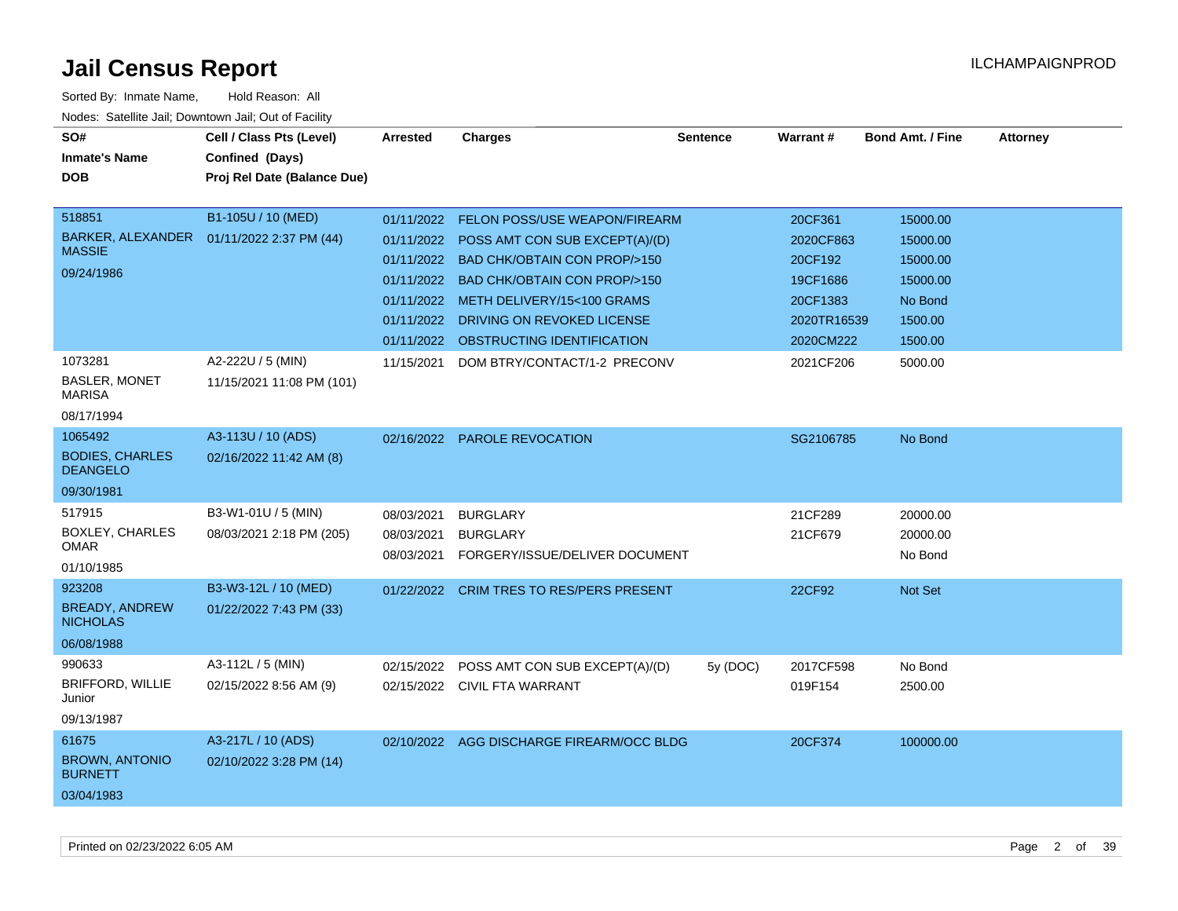| SO#<br><b>Inmate's Name</b><br><b>DOB</b>                          | Cell / Class Pts (Level)<br>Confined (Days)<br>Proj Rel Date (Balance Due) | <b>Arrested</b>                                      | <b>Charges</b>                                                                                                                                                                                                                                                              | <b>Sentence</b> | Warrant#                                                                            | <b>Bond Amt. / Fine</b>                                                       | <b>Attorney</b> |
|--------------------------------------------------------------------|----------------------------------------------------------------------------|------------------------------------------------------|-----------------------------------------------------------------------------------------------------------------------------------------------------------------------------------------------------------------------------------------------------------------------------|-----------------|-------------------------------------------------------------------------------------|-------------------------------------------------------------------------------|-----------------|
| 518851<br><b>MASSIE</b><br>09/24/1986                              | B1-105U / 10 (MED)<br>BARKER, ALEXANDER  01/11/2022 2:37 PM (44)           | 01/11/2022<br>01/11/2022<br>01/11/2022<br>01/11/2022 | <b>FELON POSS/USE WEAPON/FIREARM</b><br>01/11/2022 POSS AMT CON SUB EXCEPT(A)/(D)<br>01/11/2022 BAD CHK/OBTAIN CON PROP/>150<br><b>BAD CHK/OBTAIN CON PROP/&gt;150</b><br>METH DELIVERY/15<100 GRAMS<br>DRIVING ON REVOKED LICENSE<br>01/11/2022 OBSTRUCTING IDENTIFICATION |                 | 20CF361<br>2020CF863<br>20CF192<br>19CF1686<br>20CF1383<br>2020TR16539<br>2020CM222 | 15000.00<br>15000.00<br>15000.00<br>15000.00<br>No Bond<br>1500.00<br>1500.00 |                 |
| 1073281<br><b>BASLER, MONET</b><br><b>MARISA</b><br>08/17/1994     | A2-222U / 5 (MIN)<br>11/15/2021 11:08 PM (101)                             | 11/15/2021                                           | DOM BTRY/CONTACT/1-2 PRECONV                                                                                                                                                                                                                                                |                 | 2021CF206                                                                           | 5000.00                                                                       |                 |
| 1065492<br><b>BODIES, CHARLES</b><br><b>DEANGELO</b><br>09/30/1981 | A3-113U / 10 (ADS)<br>02/16/2022 11:42 AM (8)                              | 02/16/2022                                           | <b>PAROLE REVOCATION</b>                                                                                                                                                                                                                                                    |                 | SG2106785                                                                           | No Bond                                                                       |                 |
| 517915<br><b>BOXLEY, CHARLES</b><br>OMAR<br>01/10/1985             | B3-W1-01U / 5 (MIN)<br>08/03/2021 2:18 PM (205)                            | 08/03/2021<br>08/03/2021<br>08/03/2021               | <b>BURGLARY</b><br><b>BURGLARY</b><br>FORGERY/ISSUE/DELIVER DOCUMENT                                                                                                                                                                                                        |                 | 21CF289<br>21CF679                                                                  | 20000.00<br>20000.00<br>No Bond                                               |                 |
| 923208<br><b>BREADY, ANDREW</b><br><b>NICHOLAS</b><br>06/08/1988   | B3-W3-12L / 10 (MED)<br>01/22/2022 7:43 PM (33)                            | 01/22/2022                                           | <b>CRIM TRES TO RES/PERS PRESENT</b>                                                                                                                                                                                                                                        |                 | 22CF92                                                                              | Not Set                                                                       |                 |
| 990633<br><b>BRIFFORD, WILLIE</b><br>Junior<br>09/13/1987          | A3-112L / 5 (MIN)<br>02/15/2022 8:56 AM (9)                                | 02/15/2022                                           | POSS AMT CON SUB EXCEPT(A)/(D)<br>02/15/2022 CIVIL FTA WARRANT                                                                                                                                                                                                              | 5y (DOC)        | 2017CF598<br>019F154                                                                | No Bond<br>2500.00                                                            |                 |
| 61675<br><b>BROWN, ANTONIO</b><br><b>BURNETT</b><br>03/04/1983     | A3-217L / 10 (ADS)<br>02/10/2022 3:28 PM (14)                              |                                                      | 02/10/2022 AGG DISCHARGE FIREARM/OCC BLDG                                                                                                                                                                                                                                   |                 | 20CF374                                                                             | 100000.00                                                                     |                 |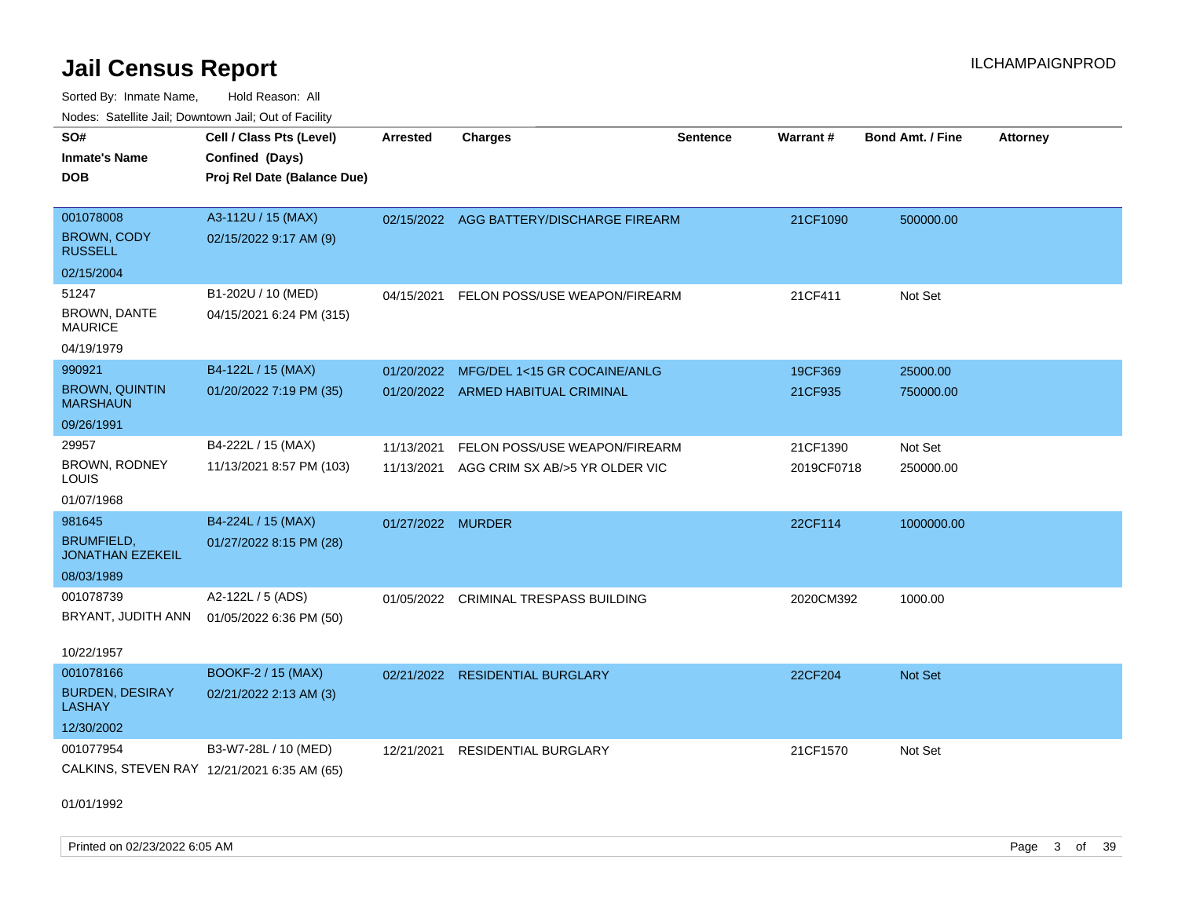| SO#                                          | Cell / Class Pts (Level)                    | Arrested          | <b>Charges</b>                           | <b>Sentence</b> | Warrant#   | <b>Bond Amt. / Fine</b> | <b>Attorney</b> |
|----------------------------------------------|---------------------------------------------|-------------------|------------------------------------------|-----------------|------------|-------------------------|-----------------|
| <b>Inmate's Name</b>                         | Confined (Days)                             |                   |                                          |                 |            |                         |                 |
| <b>DOB</b>                                   | Proj Rel Date (Balance Due)                 |                   |                                          |                 |            |                         |                 |
|                                              |                                             |                   |                                          |                 |            |                         |                 |
| 001078008                                    | A3-112U / 15 (MAX)                          |                   | 02/15/2022 AGG BATTERY/DISCHARGE FIREARM |                 | 21CF1090   | 500000.00               |                 |
| <b>BROWN, CODY</b><br><b>RUSSELL</b>         | 02/15/2022 9:17 AM (9)                      |                   |                                          |                 |            |                         |                 |
| 02/15/2004                                   |                                             |                   |                                          |                 |            |                         |                 |
| 51247                                        | B1-202U / 10 (MED)                          | 04/15/2021        | FELON POSS/USE WEAPON/FIREARM            |                 | 21CF411    | Not Set                 |                 |
| <b>BROWN, DANTE</b><br><b>MAURICE</b>        | 04/15/2021 6:24 PM (315)                    |                   |                                          |                 |            |                         |                 |
| 04/19/1979                                   |                                             |                   |                                          |                 |            |                         |                 |
| 990921                                       | B4-122L / 15 (MAX)                          | 01/20/2022        | MFG/DEL 1<15 GR COCAINE/ANLG             |                 | 19CF369    | 25000.00                |                 |
| <b>BROWN, QUINTIN</b><br><b>MARSHAUN</b>     | 01/20/2022 7:19 PM (35)                     |                   | 01/20/2022 ARMED HABITUAL CRIMINAL       |                 | 21CF935    | 750000.00               |                 |
| 09/26/1991                                   |                                             |                   |                                          |                 |            |                         |                 |
| 29957                                        | B4-222L / 15 (MAX)                          | 11/13/2021        | FELON POSS/USE WEAPON/FIREARM            |                 | 21CF1390   | Not Set                 |                 |
| BROWN, RODNEY<br>LOUIS                       | 11/13/2021 8:57 PM (103)                    | 11/13/2021        | AGG CRIM SX AB/>5 YR OLDER VIC           |                 | 2019CF0718 | 250000.00               |                 |
| 01/07/1968                                   |                                             |                   |                                          |                 |            |                         |                 |
| 981645                                       | B4-224L / 15 (MAX)                          | 01/27/2022 MURDER |                                          |                 | 22CF114    | 1000000.00              |                 |
| <b>BRUMFIELD,</b><br><b>JONATHAN EZEKEIL</b> | 01/27/2022 8:15 PM (28)                     |                   |                                          |                 |            |                         |                 |
| 08/03/1989                                   |                                             |                   |                                          |                 |            |                         |                 |
| 001078739                                    | A2-122L / 5 (ADS)                           |                   | 01/05/2022 CRIMINAL TRESPASS BUILDING    |                 | 2020CM392  | 1000.00                 |                 |
| BRYANT, JUDITH ANN                           | 01/05/2022 6:36 PM (50)                     |                   |                                          |                 |            |                         |                 |
| 10/22/1957                                   |                                             |                   |                                          |                 |            |                         |                 |
| 001078166                                    | <b>BOOKF-2 / 15 (MAX)</b>                   |                   | 02/21/2022 RESIDENTIAL BURGLARY          |                 | 22CF204    | Not Set                 |                 |
| <b>BURDEN, DESIRAY</b><br><b>LASHAY</b>      | 02/21/2022 2:13 AM (3)                      |                   |                                          |                 |            |                         |                 |
| 12/30/2002                                   |                                             |                   |                                          |                 |            |                         |                 |
| 001077954                                    | B3-W7-28L / 10 (MED)                        | 12/21/2021        | <b>RESIDENTIAL BURGLARY</b>              |                 | 21CF1570   | Not Set                 |                 |
|                                              | CALKINS, STEVEN RAY 12/21/2021 6:35 AM (65) |                   |                                          |                 |            |                         |                 |
| 01/01/1992                                   |                                             |                   |                                          |                 |            |                         |                 |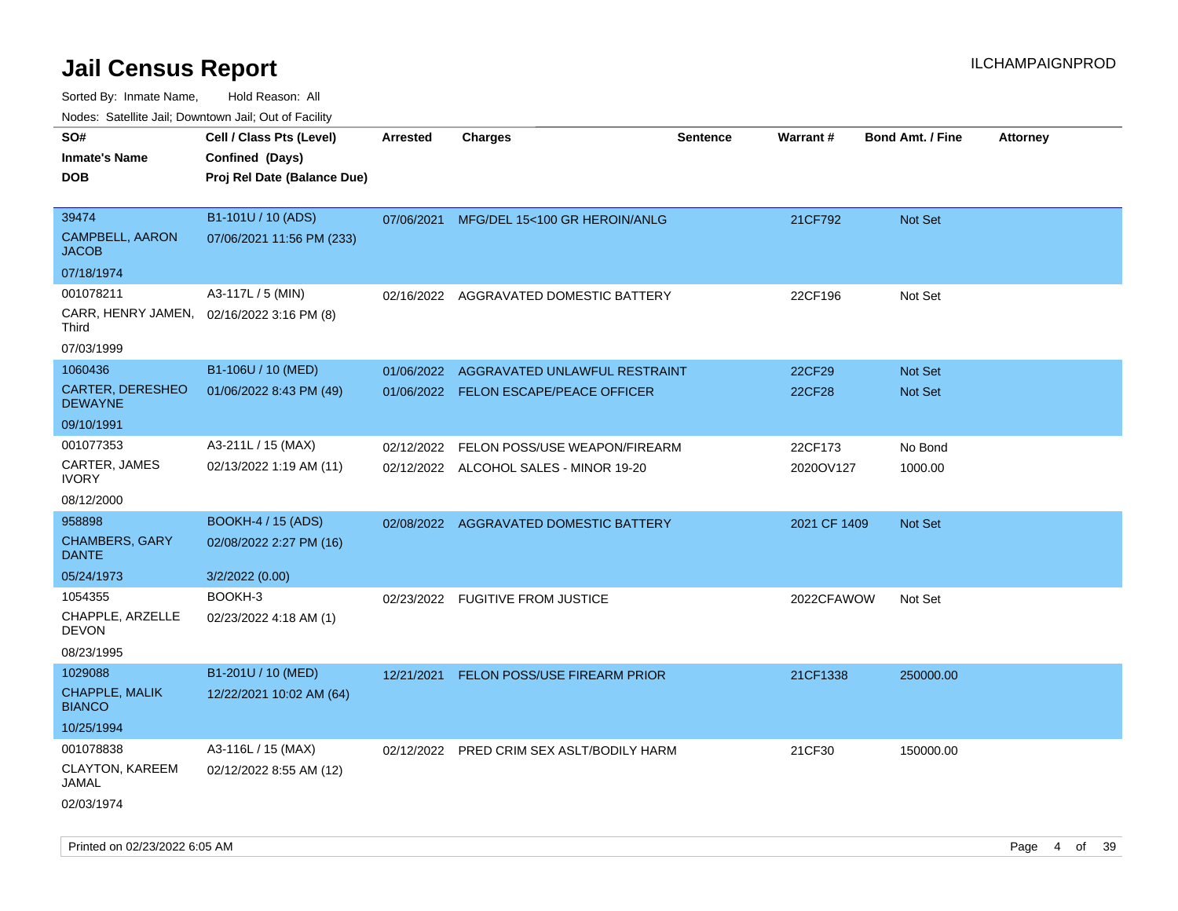Sorted By: Inmate Name, Hold Reason: All

Nodes: Satellite Jail; Downtown Jail; Out of Facility

| SO#<br><b>Inmate's Name</b><br><b>DOB</b>                          | Cell / Class Pts (Level)<br>Confined (Days)<br>Proj Rel Date (Balance Due) | <b>Arrested</b> | <b>Charges</b>                                                          | <b>Sentence</b> | <b>Warrant#</b>      | <b>Bond Amt. / Fine</b> | Attorney |
|--------------------------------------------------------------------|----------------------------------------------------------------------------|-----------------|-------------------------------------------------------------------------|-----------------|----------------------|-------------------------|----------|
| 39474<br><b>CAMPBELL, AARON</b><br><b>JACOB</b><br>07/18/1974      | B1-101U / 10 (ADS)<br>07/06/2021 11:56 PM (233)                            | 07/06/2021      | MFG/DEL 15<100 GR HEROIN/ANLG                                           |                 | 21CF792              | <b>Not Set</b>          |          |
| 001078211<br>CARR, HENRY JAMEN,<br><b>Third</b><br>07/03/1999      | A3-117L / 5 (MIN)<br>02/16/2022 3:16 PM (8)                                |                 | 02/16/2022 AGGRAVATED DOMESTIC BATTERY                                  |                 | 22CF196              | Not Set                 |          |
| 1060436<br><b>CARTER, DERESHEO</b><br><b>DEWAYNE</b><br>09/10/1991 | B1-106U / 10 (MED)<br>01/06/2022 8:43 PM (49)                              | 01/06/2022      | AGGRAVATED UNLAWFUL RESTRAINT<br>01/06/2022 FELON ESCAPE/PEACE OFFICER  |                 | 22CF29<br>22CF28     | Not Set<br>Not Set      |          |
| 001077353<br>CARTER, JAMES<br><b>IVORY</b><br>08/12/2000           | A3-211L / 15 (MAX)<br>02/13/2022 1:19 AM (11)                              | 02/12/2022      | FELON POSS/USE WEAPON/FIREARM<br>02/12/2022 ALCOHOL SALES - MINOR 19-20 |                 | 22CF173<br>2020OV127 | No Bond<br>1000.00      |          |
| 958898<br>CHAMBERS, GARY<br><b>DANTE</b><br>05/24/1973             | BOOKH-4 / 15 (ADS)<br>02/08/2022 2:27 PM (16)<br>3/2/2022 (0.00)           |                 | 02/08/2022 AGGRAVATED DOMESTIC BATTERY                                  |                 | 2021 CF 1409         | Not Set                 |          |
| 1054355<br>CHAPPLE, ARZELLE<br><b>DEVON</b><br>08/23/1995          | BOOKH-3<br>02/23/2022 4:18 AM (1)                                          |                 | 02/23/2022 FUGITIVE FROM JUSTICE                                        |                 | 2022CFAWOW           | Not Set                 |          |
| 1029088<br>CHAPPLE, MALIK<br><b>BIANCO</b><br>10/25/1994           | B1-201U / 10 (MED)<br>12/22/2021 10:02 AM (64)                             |                 | 12/21/2021 FELON POSS/USE FIREARM PRIOR                                 |                 | 21CF1338             | 250000.00               |          |
| 001078838<br>CLAYTON, KAREEM<br><b>JAMAL</b><br>02/03/1974         | A3-116L / 15 (MAX)<br>02/12/2022 8:55 AM (12)                              |                 | 02/12/2022 PRED CRIM SEX ASLT/BODILY HARM                               |                 | 21CF30               | 150000.00               |          |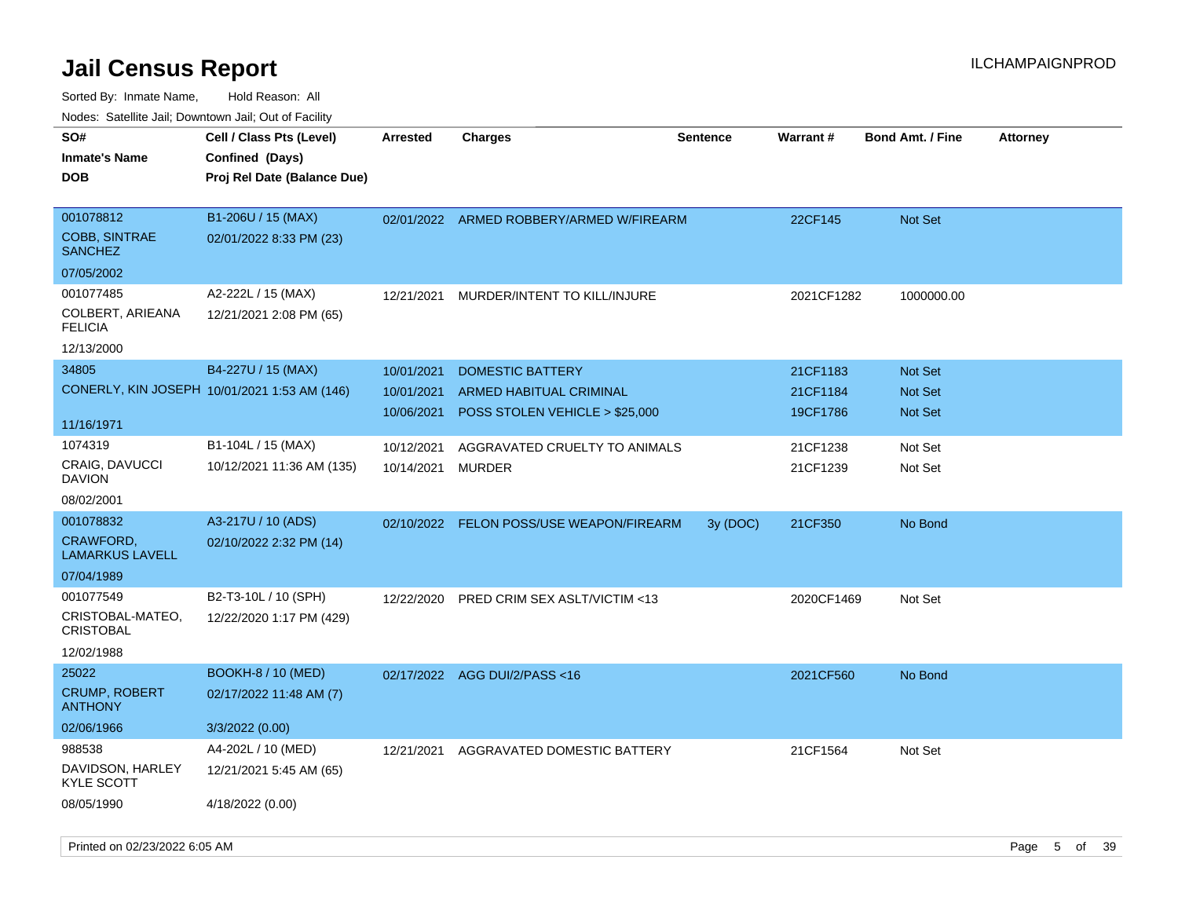| roaco. Calcinio dan, Downtown dan, Cal or Fability  |                                                                            |                 |                                          |                 |            |                         |                 |
|-----------------------------------------------------|----------------------------------------------------------------------------|-----------------|------------------------------------------|-----------------|------------|-------------------------|-----------------|
| SO#<br><b>Inmate's Name</b><br>DOB                  | Cell / Class Pts (Level)<br>Confined (Days)<br>Proj Rel Date (Balance Due) | <b>Arrested</b> | Charges                                  | <b>Sentence</b> | Warrant#   | <b>Bond Amt. / Fine</b> | <b>Attorney</b> |
| 001078812<br><b>COBB, SINTRAE</b><br><b>SANCHEZ</b> | B1-206U / 15 (MAX)<br>02/01/2022 8:33 PM (23)                              | 02/01/2022      | ARMED ROBBERY/ARMED W/FIREARM            |                 | 22CF145    | <b>Not Set</b>          |                 |
| 07/05/2002                                          |                                                                            |                 |                                          |                 |            |                         |                 |
| 001077485                                           | A2-222L / 15 (MAX)                                                         | 12/21/2021      | MURDER/INTENT TO KILL/INJURE             |                 | 2021CF1282 | 1000000.00              |                 |
| COLBERT, ARIEANA<br><b>FELICIA</b>                  | 12/21/2021 2:08 PM (65)                                                    |                 |                                          |                 |            |                         |                 |
| 12/13/2000                                          |                                                                            |                 |                                          |                 |            |                         |                 |
| 34805                                               | B4-227U / 15 (MAX)                                                         | 10/01/2021      | <b>DOMESTIC BATTERY</b>                  |                 | 21CF1183   | <b>Not Set</b>          |                 |
|                                                     | CONERLY, KIN JOSEPH 10/01/2021 1:53 AM (146)                               | 10/01/2021      | ARMED HABITUAL CRIMINAL                  |                 | 21CF1184   | <b>Not Set</b>          |                 |
|                                                     |                                                                            | 10/06/2021      | POSS STOLEN VEHICLE > \$25,000           |                 | 19CF1786   | Not Set                 |                 |
| 11/16/1971                                          |                                                                            |                 |                                          |                 |            |                         |                 |
| 1074319                                             | B1-104L / 15 (MAX)                                                         | 10/12/2021      | AGGRAVATED CRUELTY TO ANIMALS            |                 | 21CF1238   | Not Set                 |                 |
| CRAIG, DAVUCCI<br>DAVION                            | 10/12/2021 11:36 AM (135)                                                  | 10/14/2021      | MURDER                                   |                 | 21CF1239   | Not Set                 |                 |
| 08/02/2001                                          |                                                                            |                 |                                          |                 |            |                         |                 |
| 001078832                                           | A3-217U / 10 (ADS)                                                         |                 | 02/10/2022 FELON POSS/USE WEAPON/FIREARM | 3y (DOC)        | 21CF350    | No Bond                 |                 |
| CRAWFORD,<br>LAMARKUS LAVELL                        | 02/10/2022 2:32 PM (14)                                                    |                 |                                          |                 |            |                         |                 |
| 07/04/1989                                          |                                                                            |                 |                                          |                 |            |                         |                 |
| 001077549                                           | B2-T3-10L / 10 (SPH)                                                       | 12/22/2020      | <b>PRED CRIM SEX ASLT/VICTIM &lt;13</b>  |                 | 2020CF1469 | Not Set                 |                 |
| CRISTOBAL-MATEO,<br>CRISTOBAL                       | 12/22/2020 1:17 PM (429)                                                   |                 |                                          |                 |            |                         |                 |
| 12/02/1988                                          |                                                                            |                 |                                          |                 |            |                         |                 |
| 25022                                               | <b>BOOKH-8 / 10 (MED)</b>                                                  |                 | 02/17/2022 AGG DUI/2/PASS<16             |                 | 2021CF560  | No Bond                 |                 |
| <b>CRUMP, ROBERT</b><br><b>ANTHONY</b>              | 02/17/2022 11:48 AM (7)                                                    |                 |                                          |                 |            |                         |                 |
| 02/06/1966                                          | 3/3/2022 (0.00)                                                            |                 |                                          |                 |            |                         |                 |
| 988538                                              | A4-202L / 10 (MED)                                                         | 12/21/2021      | AGGRAVATED DOMESTIC BATTERY              |                 | 21CF1564   | Not Set                 |                 |
| DAVIDSON, HARLEY<br>KYLE SCOTT                      | 12/21/2021 5:45 AM (65)                                                    |                 |                                          |                 |            |                         |                 |
| 08/05/1990                                          | 4/18/2022 (0.00)                                                           |                 |                                          |                 |            |                         |                 |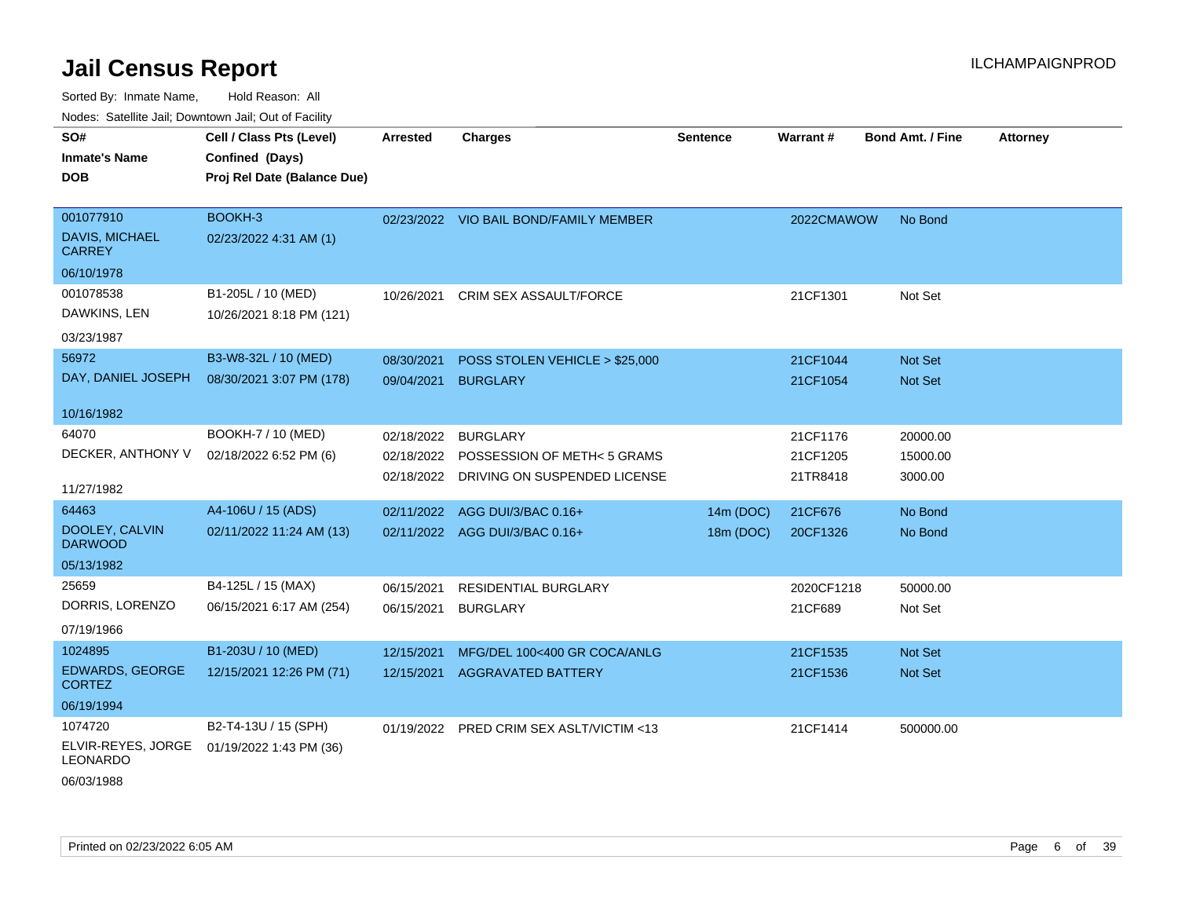Sorted By: Inmate Name, Hold Reason: All Nodes: Satellite Jail; Downtown Jail; Out of Facility

| SO#                                     | Cell / Class Pts (Level)    | <b>Arrested</b> | <b>Charges</b>                          | <b>Sentence</b> | Warrant#   | <b>Bond Amt. / Fine</b> | <b>Attorney</b> |
|-----------------------------------------|-----------------------------|-----------------|-----------------------------------------|-----------------|------------|-------------------------|-----------------|
| <b>Inmate's Name</b>                    | Confined (Days)             |                 |                                         |                 |            |                         |                 |
| <b>DOB</b>                              | Proj Rel Date (Balance Due) |                 |                                         |                 |            |                         |                 |
|                                         |                             |                 |                                         |                 |            |                         |                 |
| 001077910                               | BOOKH-3                     |                 | 02/23/2022 VIO BAIL BOND/FAMILY MEMBER  |                 | 2022CMAWOW | No Bond                 |                 |
| <b>DAVIS, MICHAEL</b><br><b>CARREY</b>  | 02/23/2022 4:31 AM (1)      |                 |                                         |                 |            |                         |                 |
| 06/10/1978                              |                             |                 |                                         |                 |            |                         |                 |
| 001078538                               | B1-205L / 10 (MED)          | 10/26/2021      | <b>CRIM SEX ASSAULT/FORCE</b>           |                 | 21CF1301   | Not Set                 |                 |
| DAWKINS, LEN                            | 10/26/2021 8:18 PM (121)    |                 |                                         |                 |            |                         |                 |
| 03/23/1987                              |                             |                 |                                         |                 |            |                         |                 |
| 56972                                   | B3-W8-32L / 10 (MED)        | 08/30/2021      | POSS STOLEN VEHICLE > \$25,000          |                 | 21CF1044   | Not Set                 |                 |
| DAY, DANIEL JOSEPH                      | 08/30/2021 3:07 PM (178)    | 09/04/2021      | <b>BURGLARY</b>                         |                 | 21CF1054   | <b>Not Set</b>          |                 |
|                                         |                             |                 |                                         |                 |            |                         |                 |
| 10/16/1982                              |                             |                 |                                         |                 |            |                         |                 |
| 64070                                   | BOOKH-7 / 10 (MED)          | 02/18/2022      | <b>BURGLARY</b>                         |                 | 21CF1176   | 20000.00                |                 |
| DECKER, ANTHONY V                       | 02/18/2022 6:52 PM (6)      | 02/18/2022      | POSSESSION OF METH<5 GRAMS              |                 | 21CF1205   | 15000.00                |                 |
|                                         |                             |                 | 02/18/2022 DRIVING ON SUSPENDED LICENSE |                 | 21TR8418   | 3000.00                 |                 |
| 11/27/1982                              |                             |                 |                                         |                 |            |                         |                 |
| 64463                                   | A4-106U / 15 (ADS)          | 02/11/2022      | AGG DUI/3/BAC 0.16+                     | 14m (DOC)       | 21CF676    | No Bond                 |                 |
| DOOLEY, CALVIN<br><b>DARWOOD</b>        | 02/11/2022 11:24 AM (13)    |                 | 02/11/2022 AGG DUI/3/BAC 0.16+          | 18m (DOC)       | 20CF1326   | No Bond                 |                 |
| 05/13/1982                              |                             |                 |                                         |                 |            |                         |                 |
| 25659                                   | B4-125L / 15 (MAX)          | 06/15/2021      | RESIDENTIAL BURGLARY                    |                 | 2020CF1218 | 50000.00                |                 |
| DORRIS, LORENZO                         | 06/15/2021 6:17 AM (254)    | 06/15/2021      | <b>BURGLARY</b>                         |                 | 21CF689    | Not Set                 |                 |
| 07/19/1966                              |                             |                 |                                         |                 |            |                         |                 |
| 1024895                                 | B1-203U / 10 (MED)          | 12/15/2021      | MFG/DEL 100<400 GR COCA/ANLG            |                 | 21CF1535   | Not Set                 |                 |
| <b>EDWARDS, GEORGE</b><br><b>CORTEZ</b> | 12/15/2021 12:26 PM (71)    |                 | 12/15/2021 AGGRAVATED BATTERY           |                 | 21CF1536   | Not Set                 |                 |
| 06/19/1994                              |                             |                 |                                         |                 |            |                         |                 |
| 1074720                                 | B2-T4-13U / 15 (SPH)        | 01/19/2022      | PRED CRIM SEX ASLT/VICTIM <13           |                 | 21CF1414   | 500000.00               |                 |
| ELVIR-REYES, JORGE<br>LEONARDO          | 01/19/2022 1:43 PM (36)     |                 |                                         |                 |            |                         |                 |
|                                         |                             |                 |                                         |                 |            |                         |                 |

06/03/1988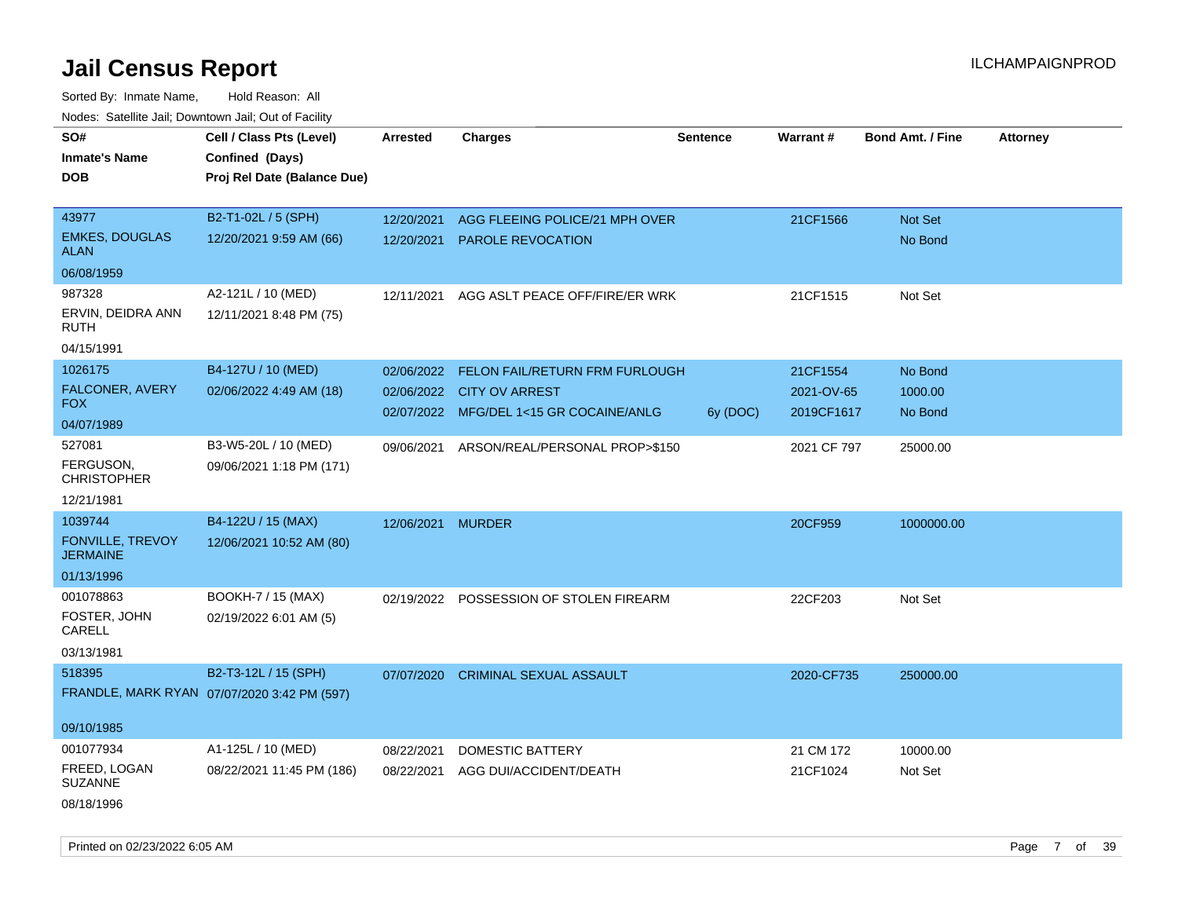Sorted By: Inmate Name, Hold Reason: All Nodes: Satellite Jail; Downtown Jail; Out of Facility

| roacs. Catellite Jall, Downtown Jall, Out of Facility |                                                                            |                 |                                         |                 |             |                         |                 |
|-------------------------------------------------------|----------------------------------------------------------------------------|-----------------|-----------------------------------------|-----------------|-------------|-------------------------|-----------------|
| SO#<br><b>Inmate's Name</b><br><b>DOB</b>             | Cell / Class Pts (Level)<br>Confined (Days)<br>Proj Rel Date (Balance Due) | <b>Arrested</b> | <b>Charges</b>                          | <b>Sentence</b> | Warrant#    | <b>Bond Amt. / Fine</b> | <b>Attorney</b> |
|                                                       |                                                                            |                 |                                         |                 |             |                         |                 |
| 43977                                                 | B2-T1-02L / 5 (SPH)                                                        | 12/20/2021      | AGG FLEEING POLICE/21 MPH OVER          |                 | 21CF1566    | Not Set                 |                 |
| <b>EMKES, DOUGLAS</b><br><b>ALAN</b>                  | 12/20/2021 9:59 AM (66)                                                    | 12/20/2021      | <b>PAROLE REVOCATION</b>                |                 |             | No Bond                 |                 |
| 06/08/1959                                            |                                                                            |                 |                                         |                 |             |                         |                 |
| 987328                                                | A2-121L / 10 (MED)                                                         | 12/11/2021      | AGG ASLT PEACE OFF/FIRE/ER WRK          |                 | 21CF1515    | Not Set                 |                 |
| ERVIN, DEIDRA ANN<br>RUTH                             | 12/11/2021 8:48 PM (75)                                                    |                 |                                         |                 |             |                         |                 |
| 04/15/1991                                            |                                                                            |                 |                                         |                 |             |                         |                 |
| 1026175                                               | B4-127U / 10 (MED)                                                         | 02/06/2022      | FELON FAIL/RETURN FRM FURLOUGH          |                 | 21CF1554    | No Bond                 |                 |
| FALCONER, AVERY                                       | 02/06/2022 4:49 AM (18)                                                    | 02/06/2022      | <b>CITY OV ARREST</b>                   |                 | 2021-OV-65  | 1000.00                 |                 |
| <b>FOX</b>                                            |                                                                            |                 | 02/07/2022 MFG/DEL 1<15 GR COCAINE/ANLG | 6y (DOC)        | 2019CF1617  | No Bond                 |                 |
| 04/07/1989                                            |                                                                            |                 |                                         |                 |             |                         |                 |
| 527081                                                | B3-W5-20L / 10 (MED)                                                       | 09/06/2021      | ARSON/REAL/PERSONAL PROP>\$150          |                 | 2021 CF 797 | 25000.00                |                 |
| FERGUSON,<br><b>CHRISTOPHER</b>                       | 09/06/2021 1:18 PM (171)                                                   |                 |                                         |                 |             |                         |                 |
| 12/21/1981                                            |                                                                            |                 |                                         |                 |             |                         |                 |
| 1039744                                               | B4-122U / 15 (MAX)                                                         | 12/06/2021      | <b>MURDER</b>                           |                 | 20CF959     | 1000000.00              |                 |
| FONVILLE, TREVOY<br><b>JERMAINE</b>                   | 12/06/2021 10:52 AM (80)                                                   |                 |                                         |                 |             |                         |                 |
| 01/13/1996                                            |                                                                            |                 |                                         |                 |             |                         |                 |
| 001078863                                             | BOOKH-7 / 15 (MAX)                                                         | 02/19/2022      | POSSESSION OF STOLEN FIREARM            |                 | 22CF203     | Not Set                 |                 |
| FOSTER, JOHN<br>CARELL                                | 02/19/2022 6:01 AM (5)                                                     |                 |                                         |                 |             |                         |                 |
| 03/13/1981                                            |                                                                            |                 |                                         |                 |             |                         |                 |
| 518395                                                | B2-T3-12L / 15 (SPH)                                                       | 07/07/2020      | <b>CRIMINAL SEXUAL ASSAULT</b>          |                 | 2020-CF735  | 250000.00               |                 |
|                                                       | FRANDLE, MARK RYAN 07/07/2020 3:42 PM (597)                                |                 |                                         |                 |             |                         |                 |
| 09/10/1985                                            |                                                                            |                 |                                         |                 |             |                         |                 |
| 001077934                                             | A1-125L / 10 (MED)                                                         | 08/22/2021      | <b>DOMESTIC BATTERY</b>                 |                 | 21 CM 172   | 10000.00                |                 |
| FREED, LOGAN<br><b>SUZANNE</b>                        | 08/22/2021 11:45 PM (186)                                                  | 08/22/2021      | AGG DUI/ACCIDENT/DEATH                  |                 | 21CF1024    | Not Set                 |                 |
| 08/18/1996                                            |                                                                            |                 |                                         |                 |             |                         |                 |

Printed on 02/23/2022 6:05 AM Page 7 of 39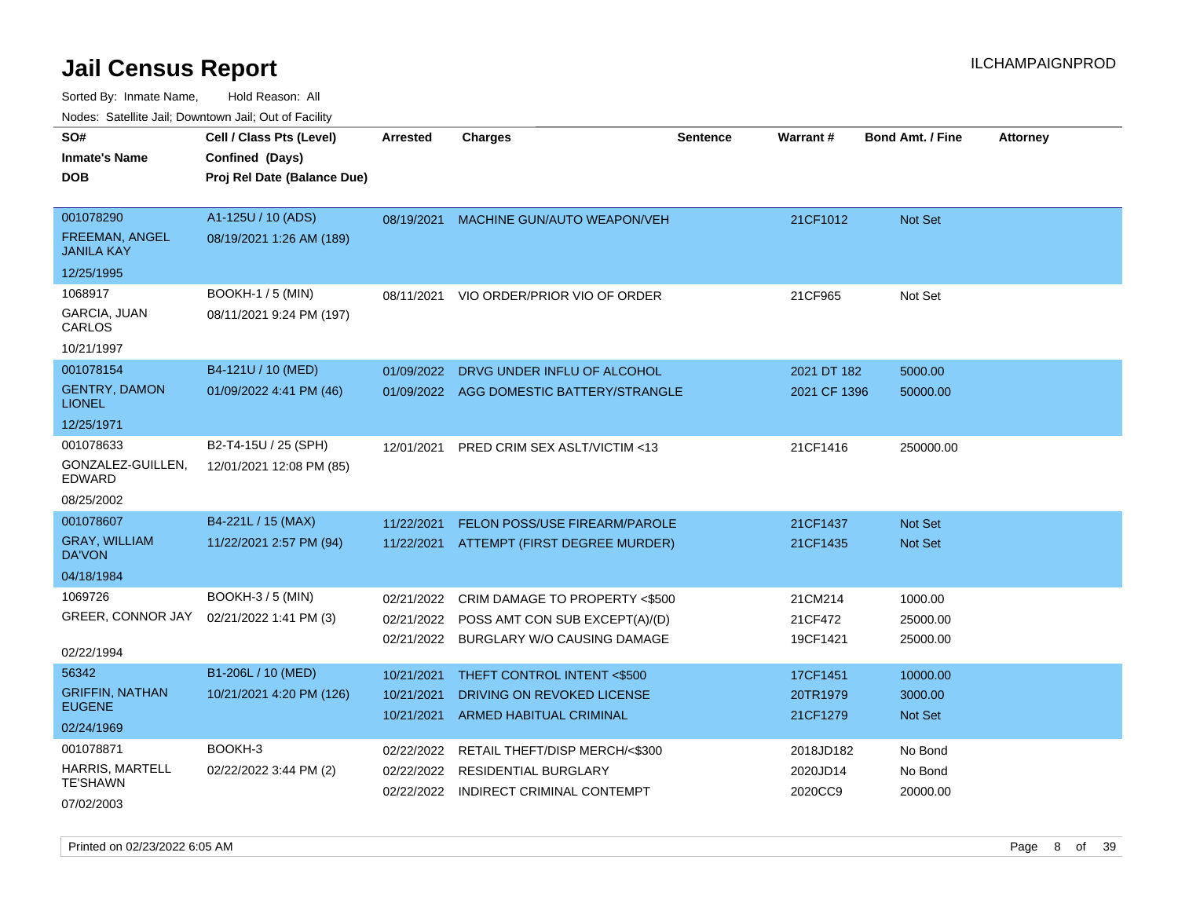| ivuutos. Saltiilit Jali, Duwilluwii Jali, Oul of Facility |                             |            |                                          |                 |              |                         |                 |
|-----------------------------------------------------------|-----------------------------|------------|------------------------------------------|-----------------|--------------|-------------------------|-----------------|
| SO#                                                       | Cell / Class Pts (Level)    | Arrested   | <b>Charges</b>                           | <b>Sentence</b> | Warrant#     | <b>Bond Amt. / Fine</b> | <b>Attorney</b> |
| <b>Inmate's Name</b>                                      | Confined (Days)             |            |                                          |                 |              |                         |                 |
| <b>DOB</b>                                                | Proj Rel Date (Balance Due) |            |                                          |                 |              |                         |                 |
|                                                           |                             |            |                                          |                 |              |                         |                 |
| 001078290                                                 | A1-125U / 10 (ADS)          | 08/19/2021 | <b>MACHINE GUN/AUTO WEAPON/VEH</b>       |                 | 21CF1012     | <b>Not Set</b>          |                 |
| <b>FREEMAN, ANGEL</b><br><b>JANILA KAY</b>                | 08/19/2021 1:26 AM (189)    |            |                                          |                 |              |                         |                 |
| 12/25/1995                                                |                             |            |                                          |                 |              |                         |                 |
| 1068917                                                   | <b>BOOKH-1/5 (MIN)</b>      | 08/11/2021 | VIO ORDER/PRIOR VIO OF ORDER             |                 | 21CF965      | Not Set                 |                 |
| GARCIA, JUAN<br>CARLOS                                    | 08/11/2021 9:24 PM (197)    |            |                                          |                 |              |                         |                 |
| 10/21/1997                                                |                             |            |                                          |                 |              |                         |                 |
| 001078154                                                 | B4-121U / 10 (MED)          | 01/09/2022 | DRVG UNDER INFLU OF ALCOHOL              |                 | 2021 DT 182  | 5000.00                 |                 |
| <b>GENTRY, DAMON</b><br><b>LIONEL</b>                     | 01/09/2022 4:41 PM (46)     |            | 01/09/2022 AGG DOMESTIC BATTERY/STRANGLE |                 | 2021 CF 1396 | 50000.00                |                 |
| 12/25/1971                                                |                             |            |                                          |                 |              |                         |                 |
| 001078633                                                 | B2-T4-15U / 25 (SPH)        | 12/01/2021 | PRED CRIM SEX ASLT/VICTIM <13            |                 | 21CF1416     | 250000.00               |                 |
| GONZALEZ-GUILLEN,<br>EDWARD                               | 12/01/2021 12:08 PM (85)    |            |                                          |                 |              |                         |                 |
| 08/25/2002                                                |                             |            |                                          |                 |              |                         |                 |
| 001078607                                                 | B4-221L / 15 (MAX)          | 11/22/2021 | <b>FELON POSS/USE FIREARM/PAROLE</b>     |                 | 21CF1437     | Not Set                 |                 |
| <b>GRAY, WILLIAM</b><br>DA'VON                            | 11/22/2021 2:57 PM (94)     |            | 11/22/2021 ATTEMPT (FIRST DEGREE MURDER) |                 | 21CF1435     | <b>Not Set</b>          |                 |
| 04/18/1984                                                |                             |            |                                          |                 |              |                         |                 |
| 1069726                                                   | <b>BOOKH-3 / 5 (MIN)</b>    | 02/21/2022 | CRIM DAMAGE TO PROPERTY <\$500           |                 | 21CM214      | 1000.00                 |                 |
| GREER, CONNOR JAY                                         | 02/21/2022 1:41 PM (3)      | 02/21/2022 | POSS AMT CON SUB EXCEPT(A)/(D)           |                 | 21CF472      | 25000.00                |                 |
|                                                           |                             |            | 02/21/2022 BURGLARY W/O CAUSING DAMAGE   |                 | 19CF1421     | 25000.00                |                 |
| 02/22/1994                                                |                             |            |                                          |                 |              |                         |                 |
| 56342                                                     | B1-206L / 10 (MED)          | 10/21/2021 | THEFT CONTROL INTENT <\$500              |                 | 17CF1451     | 10000.00                |                 |
| <b>GRIFFIN, NATHAN</b><br><b>EUGENE</b>                   | 10/21/2021 4:20 PM (126)    | 10/21/2021 | DRIVING ON REVOKED LICENSE               |                 | 20TR1979     | 3000.00                 |                 |
| 02/24/1969                                                |                             | 10/21/2021 | ARMED HABITUAL CRIMINAL                  |                 | 21CF1279     | <b>Not Set</b>          |                 |
| 001078871                                                 | BOOKH-3                     |            |                                          |                 |              |                         |                 |
| <b>HARRIS, MARTELL</b>                                    |                             | 02/22/2022 | RETAIL THEFT/DISP MERCH/<\$300           |                 | 2018JD182    | No Bond                 |                 |
| <b>TE'SHAWN</b>                                           | 02/22/2022 3:44 PM (2)      | 02/22/2022 | <b>RESIDENTIAL BURGLARY</b>              |                 | 2020JD14     | No Bond                 |                 |
| 07/02/2003                                                |                             | 02/22/2022 | INDIRECT CRIMINAL CONTEMPT               |                 | 2020CC9      | 20000.00                |                 |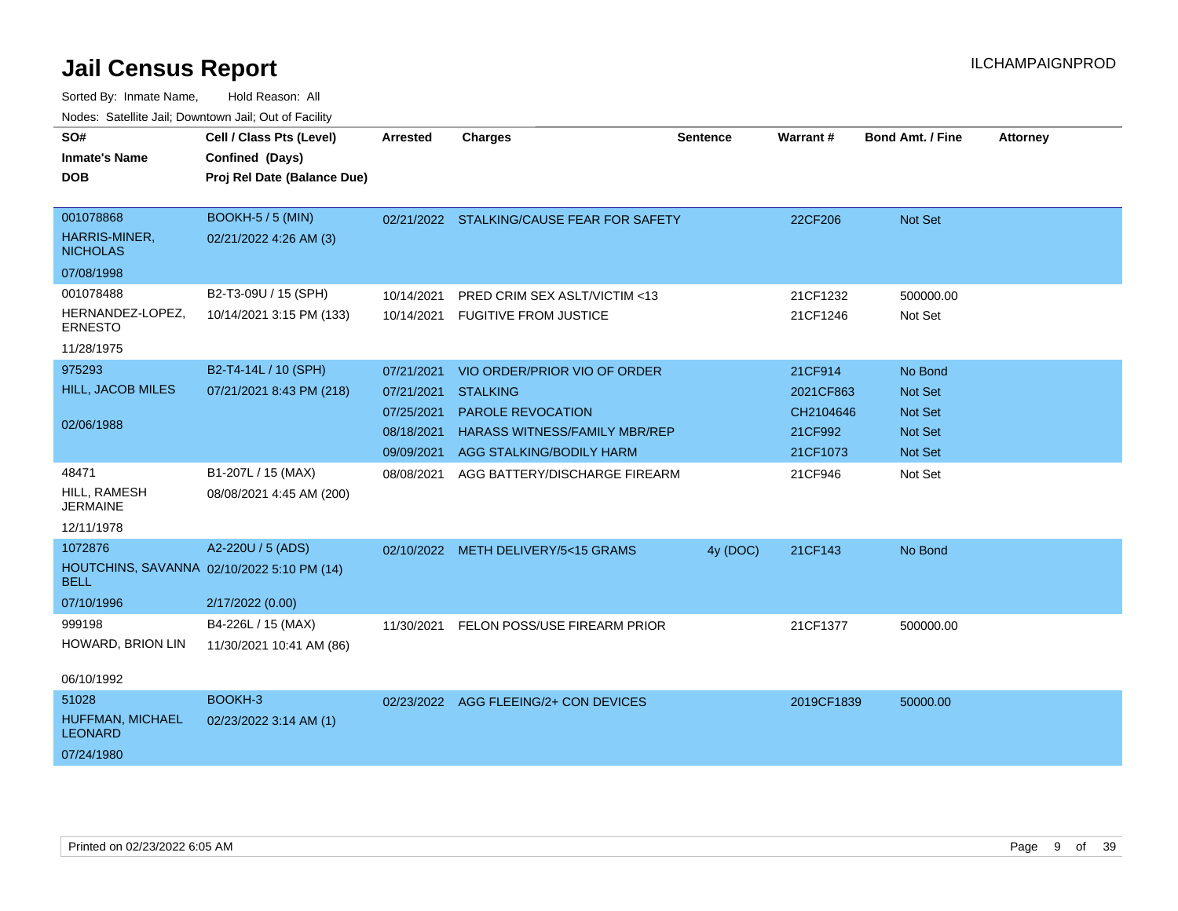| SO#<br><b>Inmate's Name</b><br><b>DOB</b>                     | Cell / Class Pts (Level)<br>Confined (Days)<br>Proj Rel Date (Balance Due)          | Arrested                                                           | <b>Charges</b>                                                                                                                                  | <b>Sentence</b> | Warrant#                                                 | <b>Bond Amt. / Fine</b>                                                         | <b>Attorney</b> |
|---------------------------------------------------------------|-------------------------------------------------------------------------------------|--------------------------------------------------------------------|-------------------------------------------------------------------------------------------------------------------------------------------------|-----------------|----------------------------------------------------------|---------------------------------------------------------------------------------|-----------------|
| 001078868<br>HARRIS-MINER,<br><b>NICHOLAS</b><br>07/08/1998   | <b>BOOKH-5 / 5 (MIN)</b><br>02/21/2022 4:26 AM (3)                                  |                                                                    | 02/21/2022 STALKING/CAUSE FEAR FOR SAFETY                                                                                                       |                 | 22CF206                                                  | <b>Not Set</b>                                                                  |                 |
| 001078488<br>HERNANDEZ-LOPEZ,<br><b>ERNESTO</b><br>11/28/1975 | B2-T3-09U / 15 (SPH)<br>10/14/2021 3:15 PM (133)                                    | 10/14/2021<br>10/14/2021                                           | PRED CRIM SEX ASLT/VICTIM <13<br><b>FUGITIVE FROM JUSTICE</b>                                                                                   |                 | 21CF1232<br>21CF1246                                     | 500000.00<br>Not Set                                                            |                 |
| 975293<br>HILL, JACOB MILES<br>02/06/1988                     | B2-T4-14L / 10 (SPH)<br>07/21/2021 8:43 PM (218)                                    | 07/21/2021<br>07/21/2021<br>07/25/2021<br>08/18/2021<br>09/09/2021 | VIO ORDER/PRIOR VIO OF ORDER<br><b>STALKING</b><br><b>PAROLE REVOCATION</b><br><b>HARASS WITNESS/FAMILY MBR/REP</b><br>AGG STALKING/BODILY HARM |                 | 21CF914<br>2021CF863<br>CH2104646<br>21CF992<br>21CF1073 | No Bond<br><b>Not Set</b><br><b>Not Set</b><br><b>Not Set</b><br><b>Not Set</b> |                 |
| 48471<br>HILL, RAMESH<br><b>JERMAINE</b><br>12/11/1978        | B1-207L / 15 (MAX)<br>08/08/2021 4:45 AM (200)                                      | 08/08/2021                                                         | AGG BATTERY/DISCHARGE FIREARM                                                                                                                   |                 | 21CF946                                                  | Not Set                                                                         |                 |
| 1072876<br><b>BELL</b><br>07/10/1996                          | A2-220U / 5 (ADS)<br>HOUTCHINS, SAVANNA 02/10/2022 5:10 PM (14)<br>2/17/2022 (0.00) |                                                                    | 02/10/2022 METH DELIVERY/5<15 GRAMS                                                                                                             | $4v$ (DOC)      | 21CF143                                                  | No Bond                                                                         |                 |
| 999198<br>HOWARD, BRION LIN<br>06/10/1992                     | B4-226L / 15 (MAX)<br>11/30/2021 10:41 AM (86)                                      | 11/30/2021                                                         | FELON POSS/USE FIREARM PRIOR                                                                                                                    |                 | 21CF1377                                                 | 500000.00                                                                       |                 |
| 51028<br>HUFFMAN, MICHAEL<br><b>LEONARD</b><br>07/24/1980     | BOOKH-3<br>02/23/2022 3:14 AM (1)                                                   |                                                                    | 02/23/2022 AGG FLEEING/2+ CON DEVICES                                                                                                           |                 | 2019CF1839                                               | 50000.00                                                                        |                 |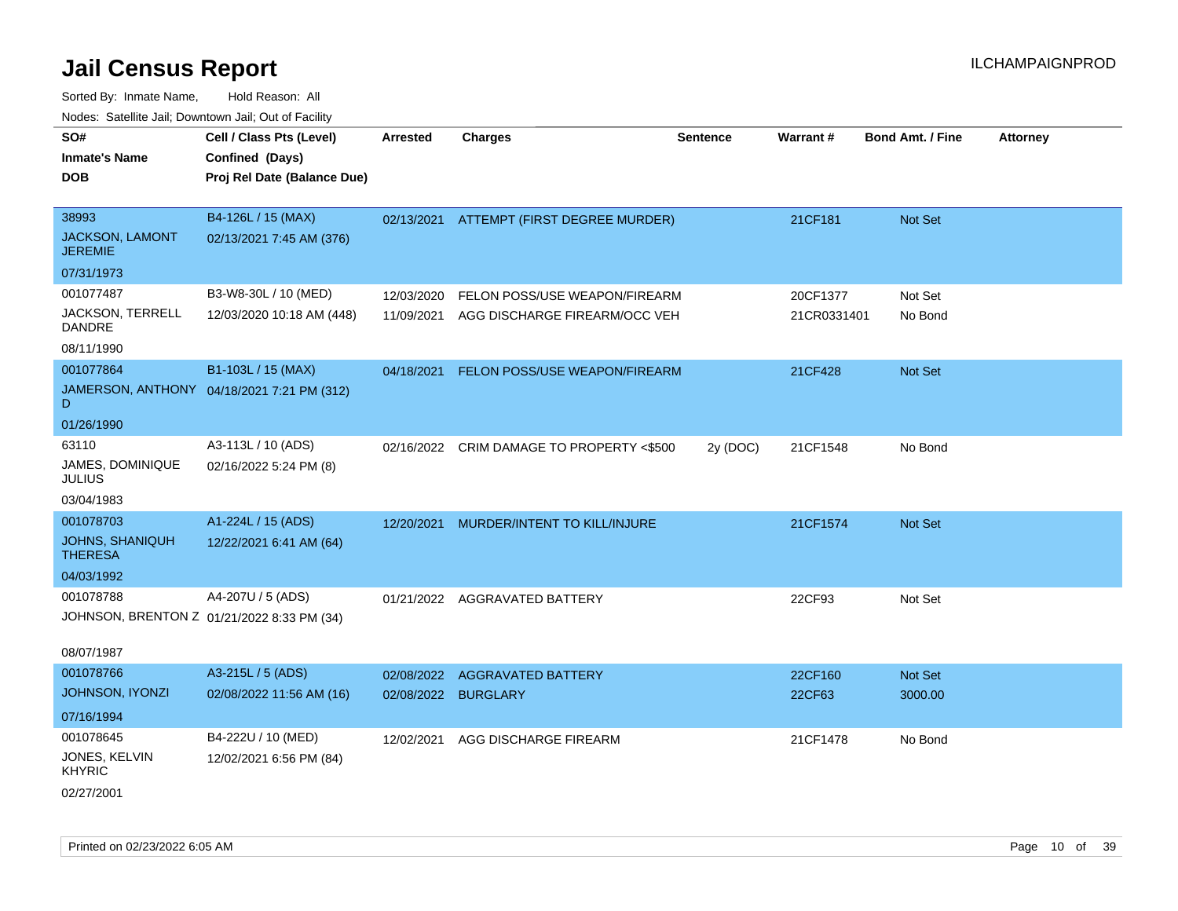| <b>NOULD:</b> Catoline can, Downtown can, Out of Fability |                                            |                 |                                           |                 |             |                         |                 |
|-----------------------------------------------------------|--------------------------------------------|-----------------|-------------------------------------------|-----------------|-------------|-------------------------|-----------------|
| SO#                                                       | Cell / Class Pts (Level)                   | <b>Arrested</b> | <b>Charges</b>                            | <b>Sentence</b> | Warrant#    | <b>Bond Amt. / Fine</b> | <b>Attorney</b> |
| <b>Inmate's Name</b>                                      | Confined (Days)                            |                 |                                           |                 |             |                         |                 |
| <b>DOB</b>                                                | Proj Rel Date (Balance Due)                |                 |                                           |                 |             |                         |                 |
|                                                           |                                            |                 |                                           |                 |             |                         |                 |
| 38993                                                     | B4-126L / 15 (MAX)                         |                 | 02/13/2021 ATTEMPT (FIRST DEGREE MURDER)  |                 | 21CF181     | Not Set                 |                 |
| <b>JACKSON, LAMONT</b><br><b>JEREMIE</b>                  | 02/13/2021 7:45 AM (376)                   |                 |                                           |                 |             |                         |                 |
| 07/31/1973                                                |                                            |                 |                                           |                 |             |                         |                 |
| 001077487                                                 | B3-W8-30L / 10 (MED)                       | 12/03/2020      | FELON POSS/USE WEAPON/FIREARM             |                 | 20CF1377    | Not Set                 |                 |
| JACKSON, TERRELL<br>DANDRE                                | 12/03/2020 10:18 AM (448)                  | 11/09/2021      | AGG DISCHARGE FIREARM/OCC VEH             |                 | 21CR0331401 | No Bond                 |                 |
| 08/11/1990                                                |                                            |                 |                                           |                 |             |                         |                 |
| 001077864                                                 | B1-103L / 15 (MAX)                         | 04/18/2021      | FELON POSS/USE WEAPON/FIREARM             |                 | 21CF428     | <b>Not Set</b>          |                 |
| D                                                         | JAMERSON, ANTHONY 04/18/2021 7:21 PM (312) |                 |                                           |                 |             |                         |                 |
| 01/26/1990                                                |                                            |                 |                                           |                 |             |                         |                 |
| 63110                                                     | A3-113L / 10 (ADS)                         |                 | 02/16/2022 CRIM DAMAGE TO PROPERTY <\$500 | 2y (DOC)        | 21CF1548    | No Bond                 |                 |
| JAMES, DOMINIQUE<br><b>JULIUS</b>                         | 02/16/2022 5:24 PM (8)                     |                 |                                           |                 |             |                         |                 |
| 03/04/1983                                                |                                            |                 |                                           |                 |             |                         |                 |
| 001078703                                                 | A1-224L / 15 (ADS)                         | 12/20/2021      | MURDER/INTENT TO KILL/INJURE              |                 | 21CF1574    | <b>Not Set</b>          |                 |
| <b>JOHNS, SHANIQUH</b><br><b>THERESA</b>                  | 12/22/2021 6:41 AM (64)                    |                 |                                           |                 |             |                         |                 |
| 04/03/1992                                                |                                            |                 |                                           |                 |             |                         |                 |
| 001078788                                                 | A4-207U / 5 (ADS)                          | 01/21/2022      | AGGRAVATED BATTERY                        |                 | 22CF93      | Not Set                 |                 |
| JOHNSON, BRENTON Z 01/21/2022 8:33 PM (34)                |                                            |                 |                                           |                 |             |                         |                 |
| 08/07/1987                                                |                                            |                 |                                           |                 |             |                         |                 |
| 001078766                                                 | A3-215L / 5 (ADS)                          | 02/08/2022      | <b>AGGRAVATED BATTERY</b>                 |                 | 22CF160     | <b>Not Set</b>          |                 |
| <b>JOHNSON, IYONZI</b>                                    | 02/08/2022 11:56 AM (16)                   | 02/08/2022      | <b>BURGLARY</b>                           |                 | 22CF63      | 3000.00                 |                 |
| 07/16/1994                                                |                                            |                 |                                           |                 |             |                         |                 |
| 001078645                                                 | B4-222U / 10 (MED)                         | 12/02/2021      | AGG DISCHARGE FIREARM                     |                 | 21CF1478    | No Bond                 |                 |
| JONES, KELVIN<br><b>KHYRIC</b>                            | 12/02/2021 6:56 PM (84)                    |                 |                                           |                 |             |                         |                 |
| 02/27/2001                                                |                                            |                 |                                           |                 |             |                         |                 |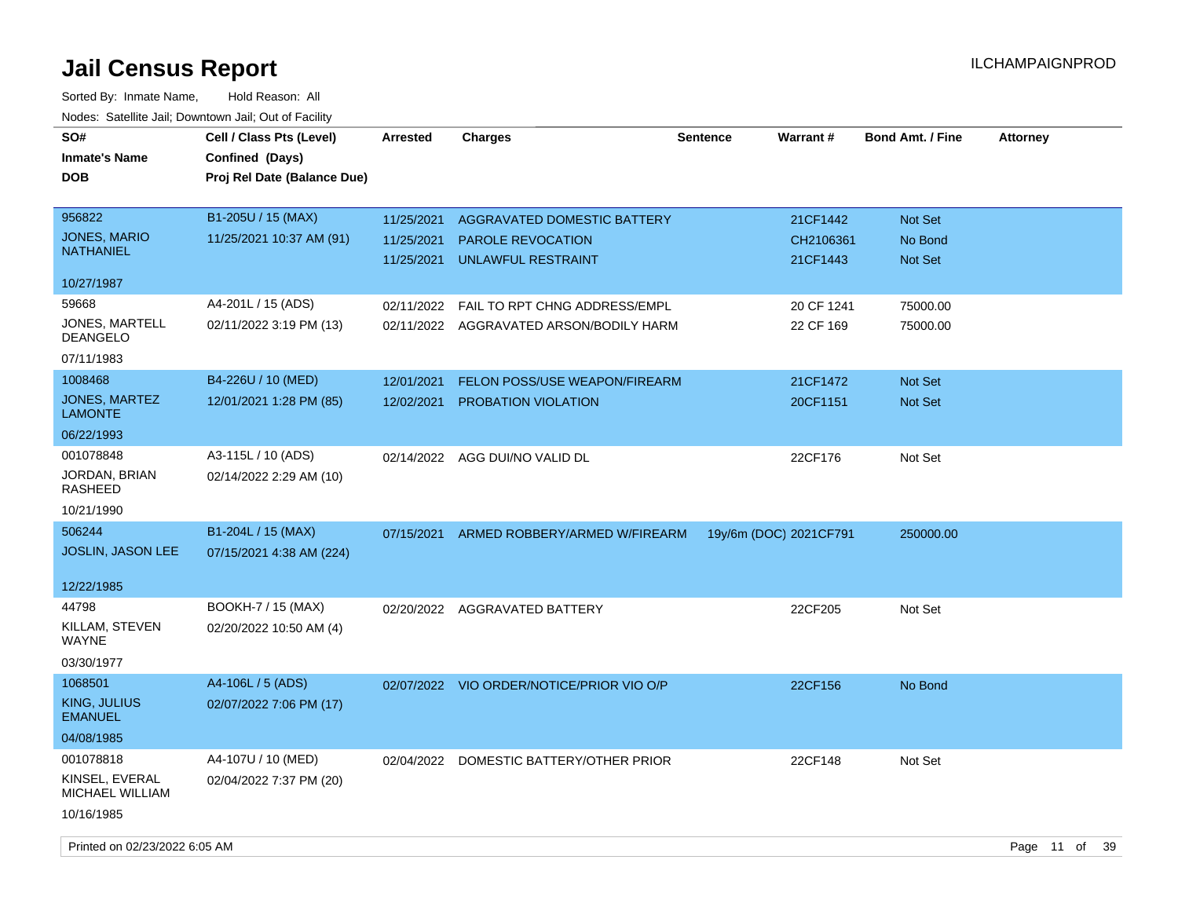| SO#<br><b>Inmate's Name</b><br><b>DOB</b> | Cell / Class Pts (Level)<br>Confined (Days)<br>Proj Rel Date (Balance Due) | <b>Arrested</b> | <b>Charges</b>                            | <b>Sentence</b> | <b>Warrant#</b>        | <b>Bond Amt. / Fine</b> | <b>Attorney</b> |
|-------------------------------------------|----------------------------------------------------------------------------|-----------------|-------------------------------------------|-----------------|------------------------|-------------------------|-----------------|
| 956822                                    | B1-205U / 15 (MAX)                                                         | 11/25/2021      | AGGRAVATED DOMESTIC BATTERY               |                 | 21CF1442               | Not Set                 |                 |
| <b>JONES, MARIO</b>                       | 11/25/2021 10:37 AM (91)                                                   | 11/25/2021      | <b>PAROLE REVOCATION</b>                  |                 | CH2106361              | No Bond                 |                 |
| <b>NATHANIEL</b>                          |                                                                            | 11/25/2021      | UNLAWFUL RESTRAINT                        |                 | 21CF1443               | Not Set                 |                 |
| 10/27/1987                                |                                                                            |                 |                                           |                 |                        |                         |                 |
| 59668                                     | A4-201L / 15 (ADS)                                                         | 02/11/2022      | FAIL TO RPT CHNG ADDRESS/EMPL             |                 | 20 CF 1241             | 75000.00                |                 |
| JONES, MARTELL<br>DEANGELO                | 02/11/2022 3:19 PM (13)                                                    |                 | 02/11/2022 AGGRAVATED ARSON/BODILY HARM   |                 | 22 CF 169              | 75000.00                |                 |
| 07/11/1983                                |                                                                            |                 |                                           |                 |                        |                         |                 |
| 1008468                                   | B4-226U / 10 (MED)                                                         | 12/01/2021      | FELON POSS/USE WEAPON/FIREARM             |                 | 21CF1472               | Not Set                 |                 |
| <b>JONES, MARTEZ</b><br><b>LAMONTE</b>    | 12/01/2021 1:28 PM (85)                                                    | 12/02/2021      | PROBATION VIOLATION                       |                 | 20CF1151               | <b>Not Set</b>          |                 |
| 06/22/1993                                |                                                                            |                 |                                           |                 |                        |                         |                 |
| 001078848                                 | A3-115L / 10 (ADS)                                                         | 02/14/2022      | AGG DUI/NO VALID DL                       |                 | 22CF176                | Not Set                 |                 |
| JORDAN, BRIAN<br>RASHEED                  | 02/14/2022 2:29 AM (10)                                                    |                 |                                           |                 |                        |                         |                 |
| 10/21/1990                                |                                                                            |                 |                                           |                 |                        |                         |                 |
| 506244                                    | B1-204L / 15 (MAX)                                                         | 07/15/2021      | ARMED ROBBERY/ARMED W/FIREARM             |                 | 19y/6m (DOC) 2021CF791 | 250000.00               |                 |
| JOSLIN, JASON LEE                         | 07/15/2021 4:38 AM (224)                                                   |                 |                                           |                 |                        |                         |                 |
| 12/22/1985                                |                                                                            |                 |                                           |                 |                        |                         |                 |
| 44798                                     | BOOKH-7 / 15 (MAX)                                                         | 02/20/2022      | AGGRAVATED BATTERY                        |                 | 22CF205                | Not Set                 |                 |
| KILLAM, STEVEN<br>WAYNE                   | 02/20/2022 10:50 AM (4)                                                    |                 |                                           |                 |                        |                         |                 |
| 03/30/1977                                |                                                                            |                 |                                           |                 |                        |                         |                 |
| 1068501                                   | A4-106L / 5 (ADS)                                                          |                 | 02/07/2022 VIO ORDER/NOTICE/PRIOR VIO O/P |                 | 22CF156                | No Bond                 |                 |
| KING, JULIUS<br><b>EMANUEL</b>            | 02/07/2022 7:06 PM (17)                                                    |                 |                                           |                 |                        |                         |                 |
| 04/08/1985                                |                                                                            |                 |                                           |                 |                        |                         |                 |
| 001078818                                 | A4-107U / 10 (MED)                                                         | 02/04/2022      | DOMESTIC BATTERY/OTHER PRIOR              |                 | 22CF148                | Not Set                 |                 |
| KINSEL, EVERAL<br>MICHAEL WILLIAM         | 02/04/2022 7:37 PM (20)                                                    |                 |                                           |                 |                        |                         |                 |
| 10/16/1985                                |                                                                            |                 |                                           |                 |                        |                         |                 |
| Printed on 02/23/2022 6:05 AM             |                                                                            |                 |                                           |                 |                        |                         | Page 11 of 39   |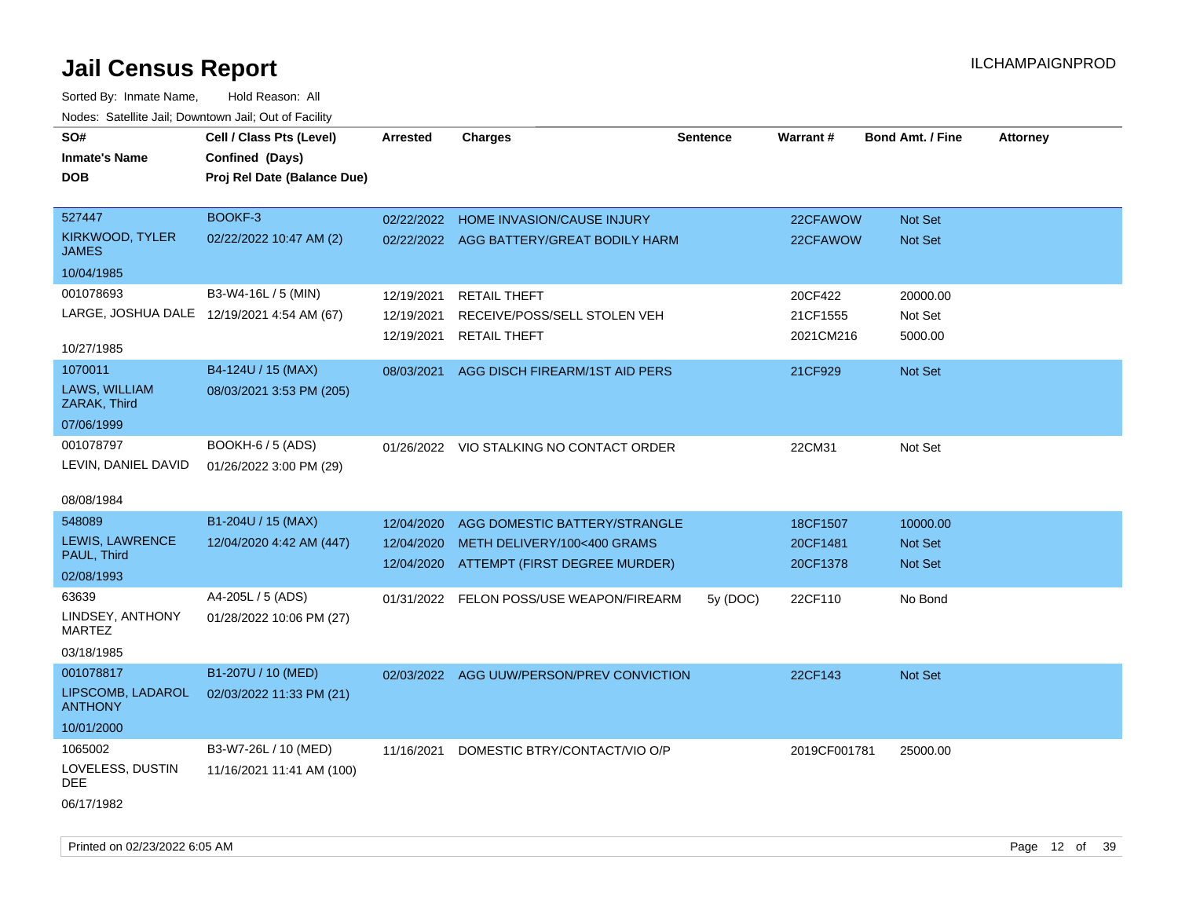| SO#<br><b>Inmate's Name</b><br><b>DOB</b>  | Cell / Class Pts (Level)<br>Confined (Days)<br>Proj Rel Date (Balance Due) | <b>Arrested</b> | <b>Charges</b>                            | <b>Sentence</b> | Warrant#     | <b>Bond Amt. / Fine</b> | <b>Attorney</b> |
|--------------------------------------------|----------------------------------------------------------------------------|-----------------|-------------------------------------------|-----------------|--------------|-------------------------|-----------------|
| 527447                                     | BOOKF-3                                                                    | 02/22/2022      | HOME INVASION/CAUSE INJURY                |                 | 22CFAWOW     | Not Set                 |                 |
| KIRKWOOD, TYLER<br>JAMES                   | 02/22/2022 10:47 AM (2)                                                    |                 | 02/22/2022 AGG BATTERY/GREAT BODILY HARM  |                 | 22CFAWOW     | Not Set                 |                 |
| 10/04/1985                                 |                                                                            |                 |                                           |                 |              |                         |                 |
| 001078693                                  | B3-W4-16L / 5 (MIN)                                                        | 12/19/2021      | <b>RETAIL THEFT</b>                       |                 | 20CF422      | 20000.00                |                 |
| LARGE, JOSHUA DALE 12/19/2021 4:54 AM (67) |                                                                            | 12/19/2021      | RECEIVE/POSS/SELL STOLEN VEH              |                 | 21CF1555     | Not Set                 |                 |
| 10/27/1985                                 |                                                                            | 12/19/2021      | <b>RETAIL THEFT</b>                       |                 | 2021CM216    | 5000.00                 |                 |
| 1070011                                    | B4-124U / 15 (MAX)                                                         | 08/03/2021      | AGG DISCH FIREARM/1ST AID PERS            |                 | 21CF929      | Not Set                 |                 |
| LAWS, WILLIAM<br>ZARAK, Third              | 08/03/2021 3:53 PM (205)                                                   |                 |                                           |                 |              |                         |                 |
| 07/06/1999                                 |                                                                            |                 |                                           |                 |              |                         |                 |
| 001078797<br>LEVIN, DANIEL DAVID           | BOOKH-6 / 5 (ADS)<br>01/26/2022 3:00 PM (29)                               |                 | 01/26/2022 VIO STALKING NO CONTACT ORDER  |                 | 22CM31       | Not Set                 |                 |
| 08/08/1984                                 |                                                                            |                 |                                           |                 |              |                         |                 |
| 548089                                     | B1-204U / 15 (MAX)                                                         | 12/04/2020      | AGG DOMESTIC BATTERY/STRANGLE             |                 | 18CF1507     | 10000.00                |                 |
| <b>LEWIS, LAWRENCE</b><br>PAUL, Third      | 12/04/2020 4:42 AM (447)                                                   | 12/04/2020      | METH DELIVERY/100<400 GRAMS               |                 | 20CF1481     | Not Set                 |                 |
| 02/08/1993                                 |                                                                            | 12/04/2020      | ATTEMPT (FIRST DEGREE MURDER)             |                 | 20CF1378     | <b>Not Set</b>          |                 |
| 63639                                      | A4-205L / 5 (ADS)                                                          | 01/31/2022      | FELON POSS/USE WEAPON/FIREARM             | 5y (DOC)        | 22CF110      | No Bond                 |                 |
| LINDSEY, ANTHONY<br><b>MARTEZ</b>          | 01/28/2022 10:06 PM (27)                                                   |                 |                                           |                 |              |                         |                 |
| 03/18/1985                                 |                                                                            |                 |                                           |                 |              |                         |                 |
| 001078817                                  | B1-207U / 10 (MED)                                                         |                 | 02/03/2022 AGG UUW/PERSON/PREV CONVICTION |                 | 22CF143      | <b>Not Set</b>          |                 |
| LIPSCOMB, LADAROL<br><b>ANTHONY</b>        | 02/03/2022 11:33 PM (21)                                                   |                 |                                           |                 |              |                         |                 |
| 10/01/2000                                 |                                                                            |                 |                                           |                 |              |                         |                 |
| 1065002                                    | B3-W7-26L / 10 (MED)                                                       | 11/16/2021      | DOMESTIC BTRY/CONTACT/VIO O/P             |                 | 2019CF001781 | 25000.00                |                 |
| LOVELESS, DUSTIN<br>DEE                    | 11/16/2021 11:41 AM (100)                                                  |                 |                                           |                 |              |                         |                 |
| 06/17/1982                                 |                                                                            |                 |                                           |                 |              |                         |                 |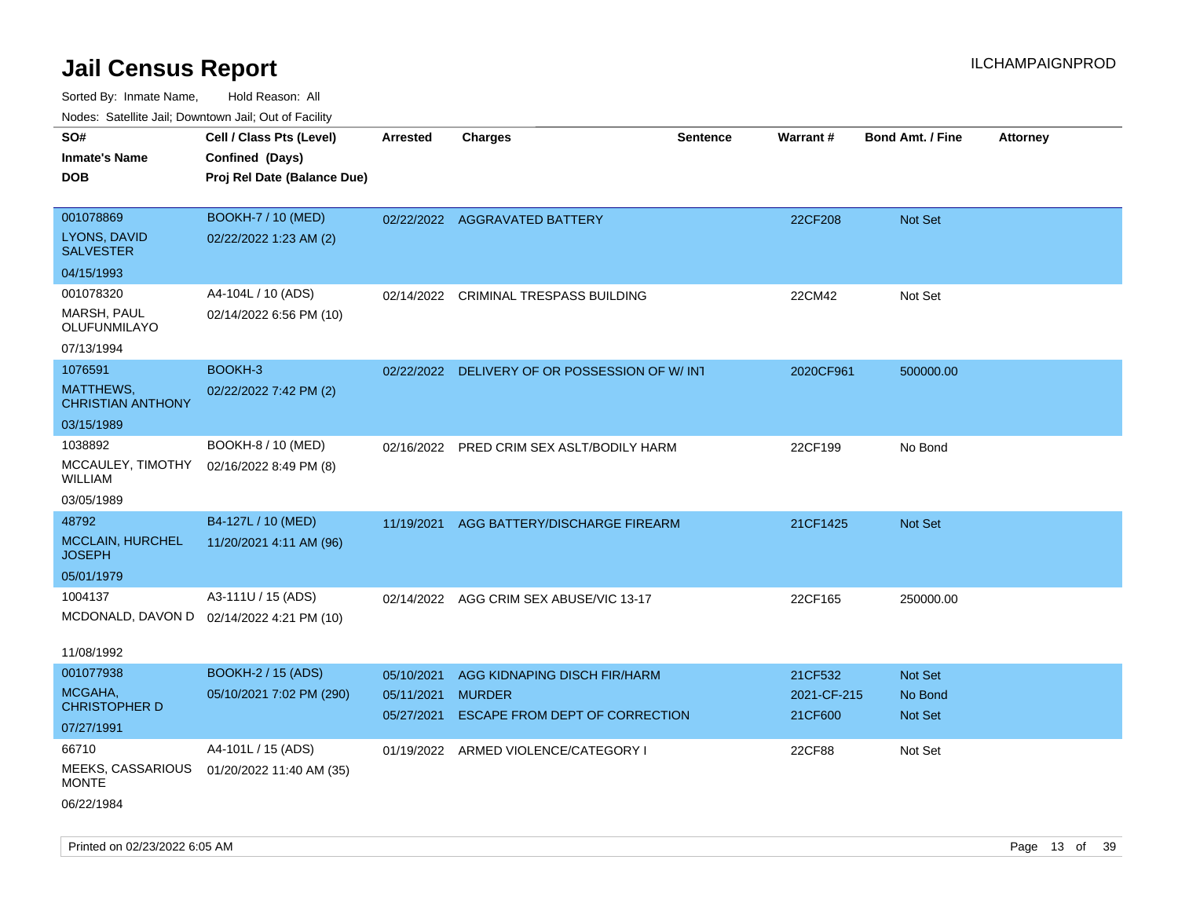| rougs. Calcing Jan, Downtown Jan, Out of Facility |                                           |                          |                                                 |                 |                        |                         |                 |
|---------------------------------------------------|-------------------------------------------|--------------------------|-------------------------------------------------|-----------------|------------------------|-------------------------|-----------------|
| SO#                                               | Cell / Class Pts (Level)                  | <b>Arrested</b>          | <b>Charges</b>                                  | <b>Sentence</b> | Warrant#               | <b>Bond Amt. / Fine</b> | <b>Attorney</b> |
| <b>Inmate's Name</b>                              | Confined (Days)                           |                          |                                                 |                 |                        |                         |                 |
| <b>DOB</b>                                        | Proj Rel Date (Balance Due)               |                          |                                                 |                 |                        |                         |                 |
|                                                   |                                           |                          |                                                 |                 |                        |                         |                 |
| 001078869                                         | <b>BOOKH-7 / 10 (MED)</b>                 |                          | 02/22/2022 AGGRAVATED BATTERY                   |                 | 22CF208                | Not Set                 |                 |
| <b>LYONS, DAVID</b><br><b>SALVESTER</b>           | 02/22/2022 1:23 AM (2)                    |                          |                                                 |                 |                        |                         |                 |
| 04/15/1993                                        |                                           |                          |                                                 |                 |                        |                         |                 |
| 001078320                                         | A4-104L / 10 (ADS)                        | 02/14/2022               | <b>CRIMINAL TRESPASS BUILDING</b>               |                 | 22CM42                 | Not Set                 |                 |
| MARSH, PAUL<br>OLUFUNMILAYO                       | 02/14/2022 6:56 PM (10)                   |                          |                                                 |                 |                        |                         |                 |
| 07/13/1994                                        |                                           |                          |                                                 |                 |                        |                         |                 |
| 1076591                                           | BOOKH-3                                   |                          | 02/22/2022 DELIVERY OF OR POSSESSION OF W/INT   |                 | 2020CF961              | 500000.00               |                 |
| MATTHEWS,<br><b>CHRISTIAN ANTHONY</b>             | 02/22/2022 7:42 PM (2)                    |                          |                                                 |                 |                        |                         |                 |
| 03/15/1989                                        |                                           |                          |                                                 |                 |                        |                         |                 |
| 1038892                                           | BOOKH-8 / 10 (MED)                        |                          | 02/16/2022 PRED CRIM SEX ASLT/BODILY HARM       |                 | 22CF199                | No Bond                 |                 |
| MCCAULEY, TIMOTHY<br>WILLIAM                      | 02/16/2022 8:49 PM (8)                    |                          |                                                 |                 |                        |                         |                 |
| 03/05/1989                                        |                                           |                          |                                                 |                 |                        |                         |                 |
| 48792                                             | B4-127L / 10 (MED)                        | 11/19/2021               | AGG BATTERY/DISCHARGE FIREARM                   |                 | 21CF1425               | <b>Not Set</b>          |                 |
| <b>MCCLAIN, HURCHEL</b><br>JOSEPH                 | 11/20/2021 4:11 AM (96)                   |                          |                                                 |                 |                        |                         |                 |
| 05/01/1979                                        |                                           |                          |                                                 |                 |                        |                         |                 |
| 1004137                                           | A3-111U / 15 (ADS)                        |                          | 02/14/2022 AGG CRIM SEX ABUSE/VIC 13-17         |                 | 22CF165                | 250000.00               |                 |
|                                                   | MCDONALD, DAVON D 02/14/2022 4:21 PM (10) |                          |                                                 |                 |                        |                         |                 |
| 11/08/1992                                        |                                           |                          |                                                 |                 |                        |                         |                 |
| 001077938                                         | <b>BOOKH-2 / 15 (ADS)</b>                 | 05/10/2021               | AGG KIDNAPING DISCH FIR/HARM                    |                 | 21CF532                | <b>Not Set</b>          |                 |
| MCGAHA,<br><b>CHRISTOPHER D</b>                   | 05/10/2021 7:02 PM (290)                  | 05/11/2021<br>05/27/2021 | <b>MURDER</b><br>ESCAPE FROM DEPT OF CORRECTION |                 | 2021-CF-215<br>21CF600 | No Bond<br>Not Set      |                 |
| 07/27/1991                                        |                                           |                          |                                                 |                 |                        |                         |                 |
| 66710                                             | A4-101L / 15 (ADS)                        | 01/19/2022               | ARMED VIOLENCE/CATEGORY I                       |                 | 22CF88                 | Not Set                 |                 |
| MEEKS, CASSARIOUS<br><b>MONTE</b>                 | 01/20/2022 11:40 AM (35)                  |                          |                                                 |                 |                        |                         |                 |
| 06/22/1984                                        |                                           |                          |                                                 |                 |                        |                         |                 |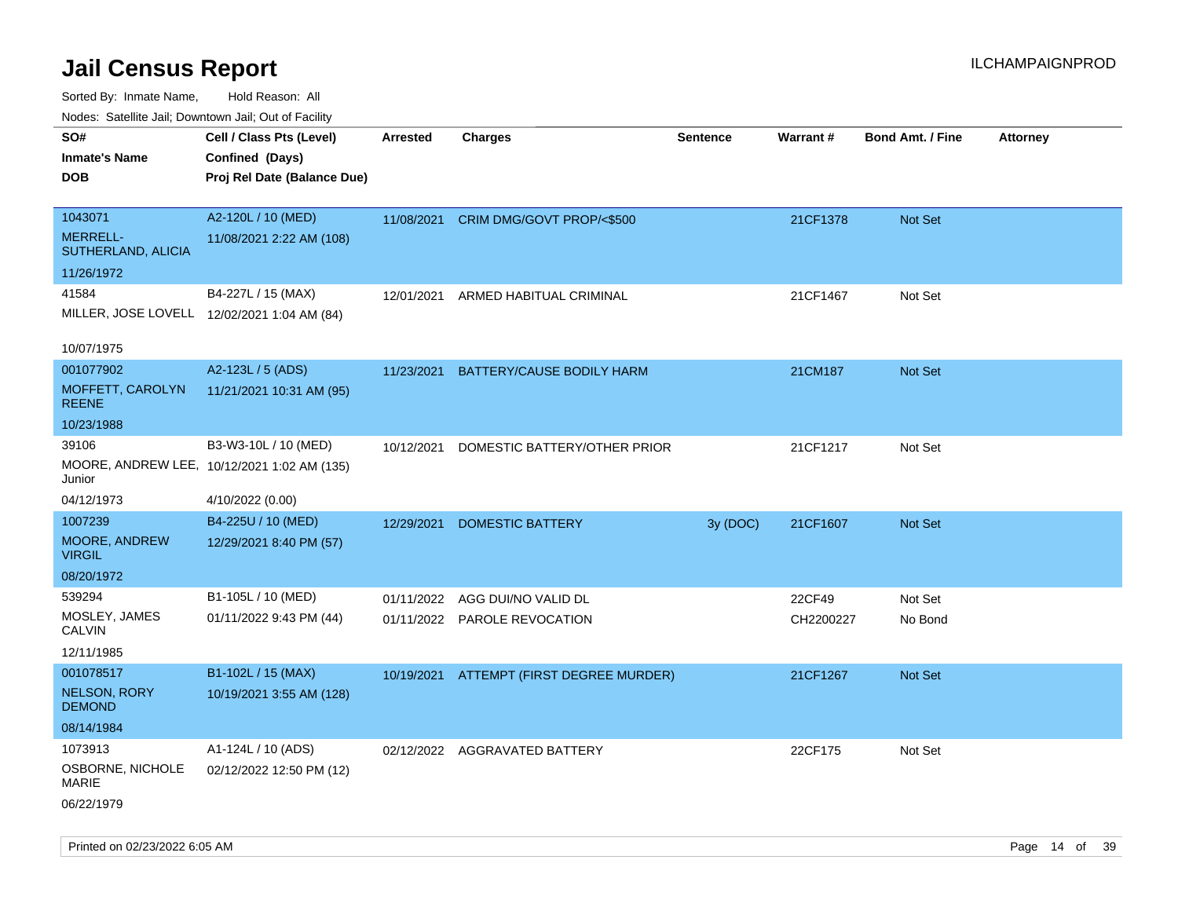Sorted By: Inmate Name, Hold Reason: All

| Nodes: Satellite Jail; Downtown Jail; Out of Facility |                                             |                 |                               |                 |           |                  |                 |
|-------------------------------------------------------|---------------------------------------------|-----------------|-------------------------------|-----------------|-----------|------------------|-----------------|
| SO#                                                   | Cell / Class Pts (Level)                    | <b>Arrested</b> | <b>Charges</b>                | <b>Sentence</b> | Warrant#  | Bond Amt. / Fine | <b>Attorney</b> |
| <b>Inmate's Name</b>                                  | Confined (Days)                             |                 |                               |                 |           |                  |                 |
| <b>DOB</b>                                            | Proj Rel Date (Balance Due)                 |                 |                               |                 |           |                  |                 |
|                                                       |                                             |                 |                               |                 |           |                  |                 |
| 1043071                                               | A2-120L / 10 (MED)                          | 11/08/2021      | CRIM DMG/GOVT PROP/<\$500     |                 | 21CF1378  | Not Set          |                 |
| <b>MERRELL-</b><br>SUTHERLAND, ALICIA                 | 11/08/2021 2:22 AM (108)                    |                 |                               |                 |           |                  |                 |
| 11/26/1972                                            |                                             |                 |                               |                 |           |                  |                 |
| 41584                                                 | B4-227L / 15 (MAX)                          | 12/01/2021      | ARMED HABITUAL CRIMINAL       |                 | 21CF1467  | Not Set          |                 |
|                                                       | MILLER, JOSE LOVELL 12/02/2021 1:04 AM (84) |                 |                               |                 |           |                  |                 |
|                                                       |                                             |                 |                               |                 |           |                  |                 |
| 10/07/1975                                            |                                             |                 |                               |                 |           |                  |                 |
| 001077902                                             | A2-123L / 5 (ADS)                           | 11/23/2021      | BATTERY/CAUSE BODILY HARM     |                 | 21CM187   | Not Set          |                 |
| MOFFETT, CAROLYN<br><b>REENE</b>                      | 11/21/2021 10:31 AM (95)                    |                 |                               |                 |           |                  |                 |
| 10/23/1988                                            |                                             |                 |                               |                 |           |                  |                 |
| 39106                                                 | B3-W3-10L / 10 (MED)                        | 10/12/2021      | DOMESTIC BATTERY/OTHER PRIOR  |                 | 21CF1217  | Not Set          |                 |
| Junior                                                | MOORE, ANDREW LEE, 10/12/2021 1:02 AM (135) |                 |                               |                 |           |                  |                 |
| 04/12/1973                                            | 4/10/2022 (0.00)                            |                 |                               |                 |           |                  |                 |
| 1007239                                               | B4-225U / 10 (MED)                          | 12/29/2021      | <b>DOMESTIC BATTERY</b>       | 3y (DOC)        | 21CF1607  | Not Set          |                 |
| MOORE, ANDREW<br><b>VIRGIL</b>                        | 12/29/2021 8:40 PM (57)                     |                 |                               |                 |           |                  |                 |
| 08/20/1972                                            |                                             |                 |                               |                 |           |                  |                 |
| 539294                                                | B1-105L / 10 (MED)                          | 01/11/2022      | AGG DUI/NO VALID DL           |                 | 22CF49    | Not Set          |                 |
| MOSLEY, JAMES<br><b>CALVIN</b>                        | 01/11/2022 9:43 PM (44)                     | 01/11/2022      | PAROLE REVOCATION             |                 | CH2200227 | No Bond          |                 |
| 12/11/1985                                            |                                             |                 |                               |                 |           |                  |                 |
| 001078517                                             | B1-102L / 15 (MAX)                          | 10/19/2021      | ATTEMPT (FIRST DEGREE MURDER) |                 | 21CF1267  | Not Set          |                 |
| <b>NELSON, RORY</b><br><b>DEMOND</b>                  | 10/19/2021 3:55 AM (128)                    |                 |                               |                 |           |                  |                 |
| 08/14/1984                                            |                                             |                 |                               |                 |           |                  |                 |
| 1073913                                               | A1-124L / 10 (ADS)                          |                 | 02/12/2022 AGGRAVATED BATTERY |                 | 22CF175   | Not Set          |                 |
| OSBORNE, NICHOLE<br><b>MARIE</b>                      | 02/12/2022 12:50 PM (12)                    |                 |                               |                 |           |                  |                 |

06/22/1979

Printed on 02/23/2022 6:05 AM Page 14 of 39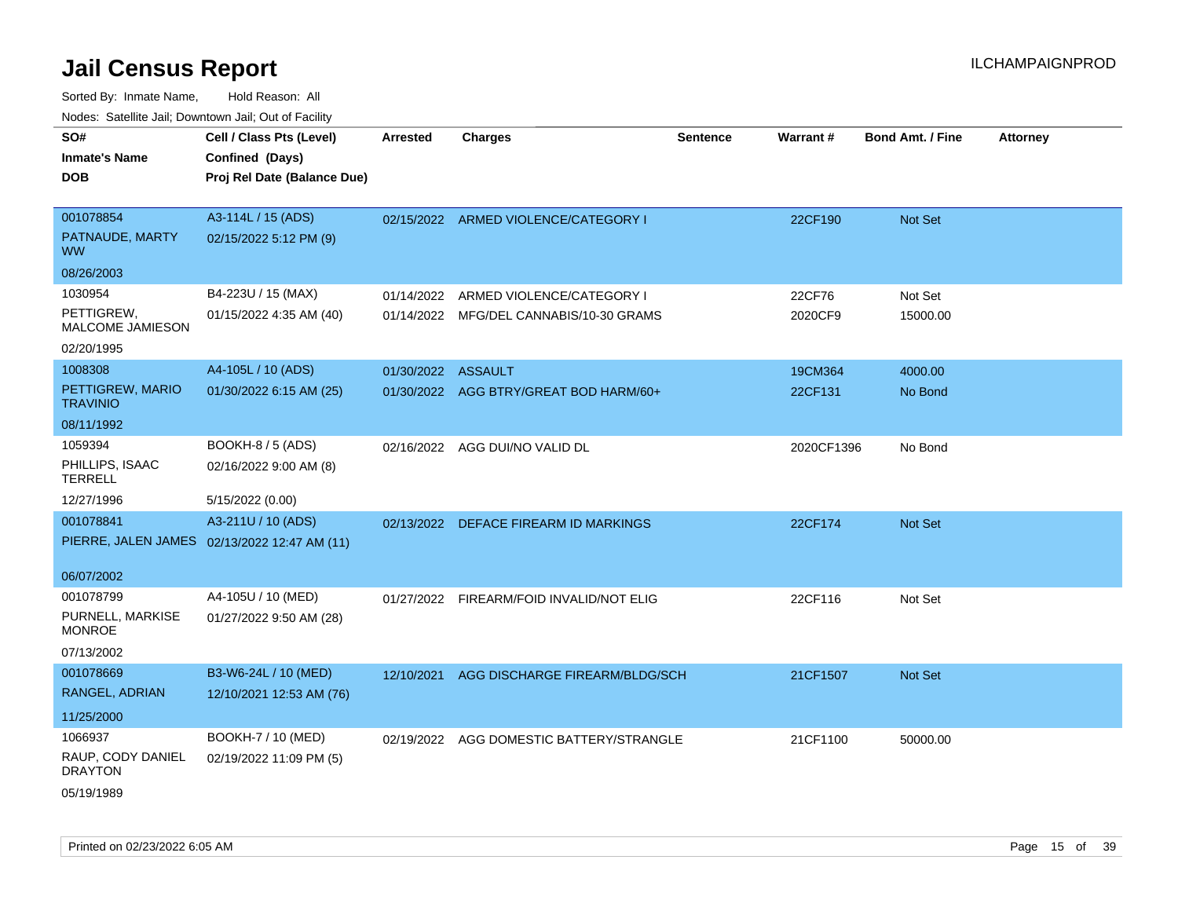| roaco. Catolino dall, Downtown dall, Out of Fability |                                              |                    |                                          |                 |            |                         |                 |
|------------------------------------------------------|----------------------------------------------|--------------------|------------------------------------------|-----------------|------------|-------------------------|-----------------|
| SO#                                                  | Cell / Class Pts (Level)                     | <b>Arrested</b>    | <b>Charges</b>                           | <b>Sentence</b> | Warrant#   | <b>Bond Amt. / Fine</b> | <b>Attorney</b> |
| <b>Inmate's Name</b>                                 | Confined (Days)                              |                    |                                          |                 |            |                         |                 |
| <b>DOB</b>                                           | Proj Rel Date (Balance Due)                  |                    |                                          |                 |            |                         |                 |
|                                                      |                                              |                    |                                          |                 |            |                         |                 |
| 001078854                                            | A3-114L / 15 (ADS)                           |                    | 02/15/2022 ARMED VIOLENCE/CATEGORY I     |                 | 22CF190    | Not Set                 |                 |
| PATNAUDE, MARTY<br><b>WW</b>                         | 02/15/2022 5:12 PM (9)                       |                    |                                          |                 |            |                         |                 |
| 08/26/2003                                           |                                              |                    |                                          |                 |            |                         |                 |
| 1030954                                              | B4-223U / 15 (MAX)                           | 01/14/2022         | ARMED VIOLENCE/CATEGORY I                |                 | 22CF76     | Not Set                 |                 |
| PETTIGREW,<br>MALCOME JAMIESON                       | 01/15/2022 4:35 AM (40)                      |                    | 01/14/2022 MFG/DEL CANNABIS/10-30 GRAMS  |                 | 2020CF9    | 15000.00                |                 |
| 02/20/1995                                           |                                              |                    |                                          |                 |            |                         |                 |
| 1008308                                              | A4-105L / 10 (ADS)                           | 01/30/2022 ASSAULT |                                          |                 | 19CM364    | 4000.00                 |                 |
| PETTIGREW, MARIO<br>TRAVINIO                         | 01/30/2022 6:15 AM (25)                      |                    | 01/30/2022 AGG BTRY/GREAT BOD HARM/60+   |                 | 22CF131    | No Bond                 |                 |
| 08/11/1992                                           |                                              |                    |                                          |                 |            |                         |                 |
| 1059394                                              | <b>BOOKH-8 / 5 (ADS)</b>                     |                    | 02/16/2022 AGG DUI/NO VALID DL           |                 | 2020CF1396 | No Bond                 |                 |
| PHILLIPS, ISAAC<br><b>TERRELL</b>                    | 02/16/2022 9:00 AM (8)                       |                    |                                          |                 |            |                         |                 |
| 12/27/1996                                           | 5/15/2022 (0.00)                             |                    |                                          |                 |            |                         |                 |
| 001078841                                            | A3-211U / 10 (ADS)                           |                    | 02/13/2022 DEFACE FIREARM ID MARKINGS    |                 | 22CF174    | <b>Not Set</b>          |                 |
|                                                      | PIERRE, JALEN JAMES 02/13/2022 12:47 AM (11) |                    |                                          |                 |            |                         |                 |
|                                                      |                                              |                    |                                          |                 |            |                         |                 |
| 06/07/2002                                           |                                              |                    |                                          |                 |            |                         |                 |
| 001078799                                            | A4-105U / 10 (MED)                           | 01/27/2022         | FIREARM/FOID INVALID/NOT ELIG            |                 | 22CF116    | Not Set                 |                 |
| PURNELL, MARKISE<br><b>MONROE</b>                    | 01/27/2022 9:50 AM (28)                      |                    |                                          |                 |            |                         |                 |
| 07/13/2002                                           |                                              |                    |                                          |                 |            |                         |                 |
| 001078669                                            | B3-W6-24L / 10 (MED)                         | 12/10/2021         | AGG DISCHARGE FIREARM/BLDG/SCH           |                 | 21CF1507   | Not Set                 |                 |
| RANGEL, ADRIAN                                       | 12/10/2021 12:53 AM (76)                     |                    |                                          |                 |            |                         |                 |
| 11/25/2000                                           |                                              |                    |                                          |                 |            |                         |                 |
| 1066937                                              | BOOKH-7 / 10 (MED)                           |                    | 02/19/2022 AGG DOMESTIC BATTERY/STRANGLE |                 | 21CF1100   | 50000.00                |                 |
| RAUP, CODY DANIEL<br><b>DRAYTON</b>                  | 02/19/2022 11:09 PM (5)                      |                    |                                          |                 |            |                         |                 |
| 05/19/1989                                           |                                              |                    |                                          |                 |            |                         |                 |
|                                                      |                                              |                    |                                          |                 |            |                         |                 |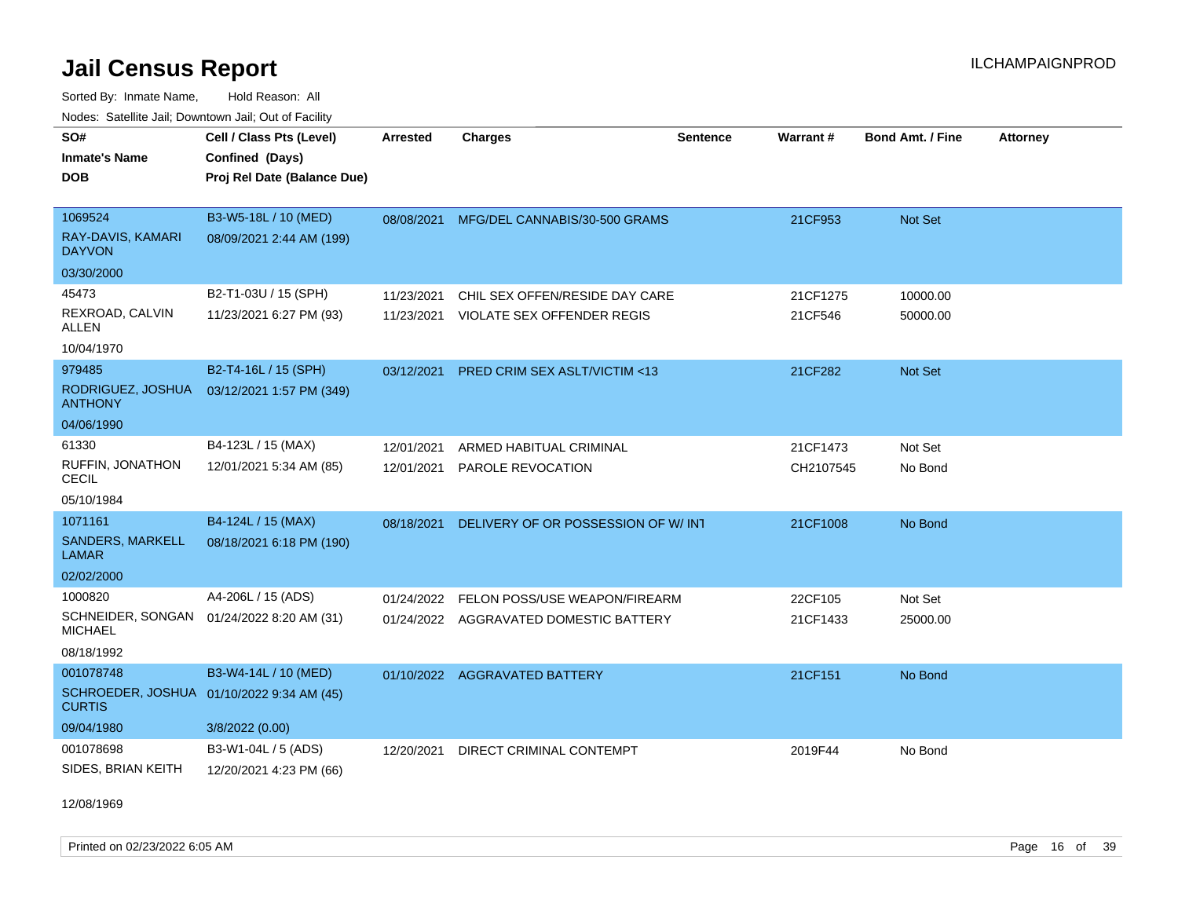Sorted By: Inmate Name, Hold Reason: All Nodes: Satellite Jail; Downtown Jail; Out of Facility

| SO#<br><b>Inmate's Name</b><br><b>DOB</b>                   | Cell / Class Pts (Level)<br>Confined (Days)<br>Proj Rel Date (Balance Due) | <b>Arrested</b> | <b>Charges</b>                           | Sentence | Warrant#  | <b>Bond Amt. / Fine</b> | <b>Attorney</b> |
|-------------------------------------------------------------|----------------------------------------------------------------------------|-----------------|------------------------------------------|----------|-----------|-------------------------|-----------------|
| 1069524                                                     | B3-W5-18L / 10 (MED)                                                       |                 | 08/08/2021 MFG/DEL CANNABIS/30-500 GRAMS |          | 21CF953   | Not Set                 |                 |
| RAY-DAVIS, KAMARI<br><b>DAYVON</b>                          | 08/09/2021 2:44 AM (199)                                                   |                 |                                          |          |           |                         |                 |
| 03/30/2000                                                  |                                                                            |                 |                                          |          |           |                         |                 |
| 45473                                                       | B2-T1-03U / 15 (SPH)                                                       | 11/23/2021      | CHIL SEX OFFEN/RESIDE DAY CARE           |          | 21CF1275  | 10000.00                |                 |
| REXROAD, CALVIN<br>ALLEN                                    | 11/23/2021 6:27 PM (93)                                                    | 11/23/2021      | <b>VIOLATE SEX OFFENDER REGIS</b>        |          | 21CF546   | 50000.00                |                 |
| 10/04/1970                                                  |                                                                            |                 |                                          |          |           |                         |                 |
| 979485                                                      | B2-T4-16L / 15 (SPH)                                                       | 03/12/2021      | <b>PRED CRIM SEX ASLT/VICTIM &lt;13</b>  |          | 21CF282   | <b>Not Set</b>          |                 |
| RODRIGUEZ, JOSHUA<br><b>ANTHONY</b>                         | 03/12/2021 1:57 PM (349)                                                   |                 |                                          |          |           |                         |                 |
| 04/06/1990                                                  |                                                                            |                 |                                          |          |           |                         |                 |
| 61330                                                       | B4-123L / 15 (MAX)                                                         | 12/01/2021      | ARMED HABITUAL CRIMINAL                  |          | 21CF1473  | Not Set                 |                 |
| RUFFIN, JONATHON<br><b>CECIL</b>                            | 12/01/2021 5:34 AM (85)                                                    | 12/01/2021      | PAROLE REVOCATION                        |          | CH2107545 | No Bond                 |                 |
| 05/10/1984                                                  |                                                                            |                 |                                          |          |           |                         |                 |
| 1071161                                                     | B4-124L / 15 (MAX)                                                         | 08/18/2021      | DELIVERY OF OR POSSESSION OF W/INT       |          | 21CF1008  | No Bond                 |                 |
| SANDERS, MARKELL<br><b>LAMAR</b>                            | 08/18/2021 6:18 PM (190)                                                   |                 |                                          |          |           |                         |                 |
| 02/02/2000                                                  |                                                                            |                 |                                          |          |           |                         |                 |
| 1000820                                                     | A4-206L / 15 (ADS)                                                         | 01/24/2022      | FELON POSS/USE WEAPON/FIREARM            |          | 22CF105   | Not Set                 |                 |
| SCHNEIDER, SONGAN 01/24/2022 8:20 AM (31)<br><b>MICHAEL</b> |                                                                            |                 | 01/24/2022 AGGRAVATED DOMESTIC BATTERY   |          | 21CF1433  | 25000.00                |                 |
| 08/18/1992                                                  |                                                                            |                 |                                          |          |           |                         |                 |
| 001078748                                                   | B3-W4-14L / 10 (MED)                                                       |                 | 01/10/2022 AGGRAVATED BATTERY            |          | 21CF151   | No Bond                 |                 |
| SCHROEDER, JOSHUA 01/10/2022 9:34 AM (45)<br><b>CURTIS</b>  |                                                                            |                 |                                          |          |           |                         |                 |
| 09/04/1980                                                  | 3/8/2022 (0.00)                                                            |                 |                                          |          |           |                         |                 |
| 001078698                                                   | B3-W1-04L / 5 (ADS)                                                        | 12/20/2021      | DIRECT CRIMINAL CONTEMPT                 |          | 2019F44   | No Bond                 |                 |
| SIDES, BRIAN KEITH                                          | 12/20/2021 4:23 PM (66)                                                    |                 |                                          |          |           |                         |                 |

12/08/1969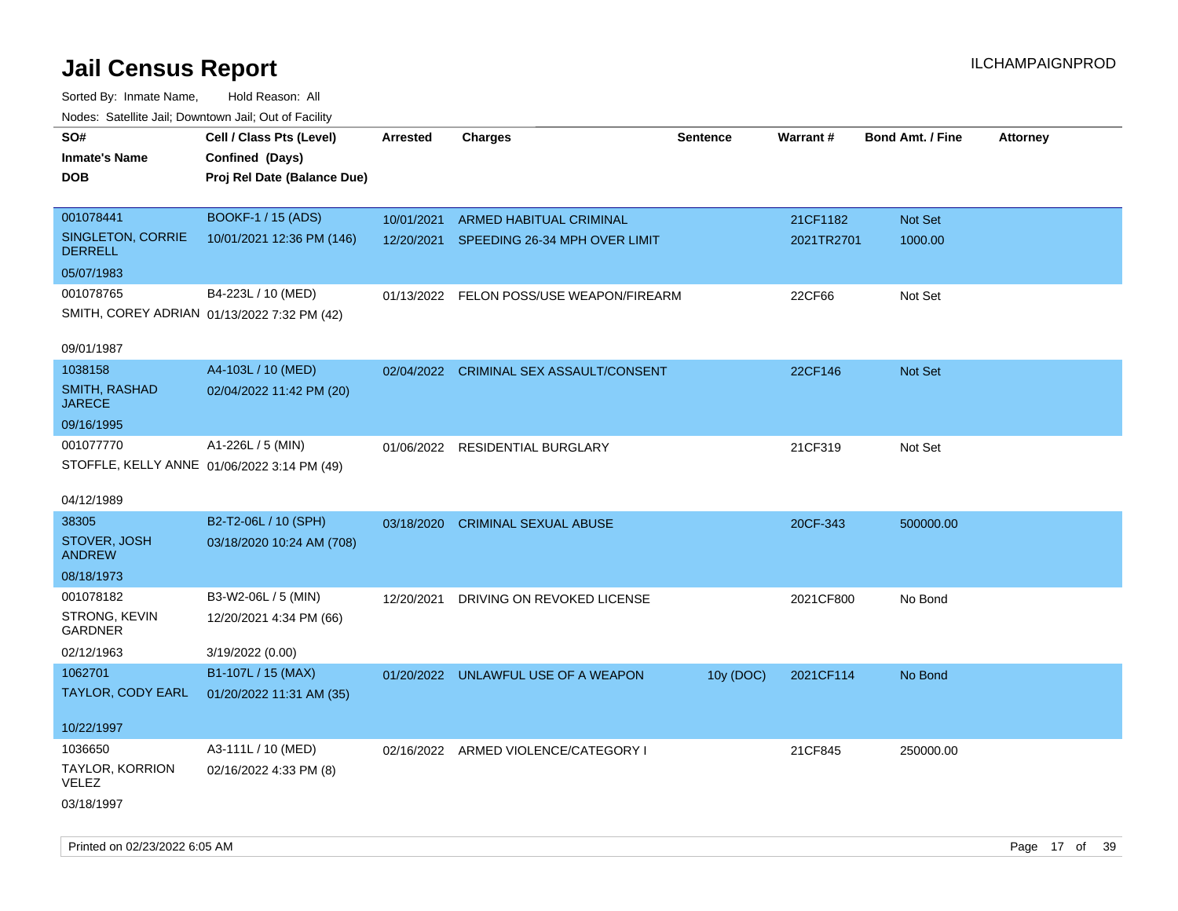| roaco. Calcinio dan, Downtown dan, Cal or Fability |                             |                 |                                          |                 |            |                         |                 |
|----------------------------------------------------|-----------------------------|-----------------|------------------------------------------|-----------------|------------|-------------------------|-----------------|
| SO#                                                | Cell / Class Pts (Level)    | <b>Arrested</b> | <b>Charges</b>                           | <b>Sentence</b> | Warrant#   | <b>Bond Amt. / Fine</b> | <b>Attorney</b> |
| <b>Inmate's Name</b>                               | Confined (Days)             |                 |                                          |                 |            |                         |                 |
| <b>DOB</b>                                         | Proj Rel Date (Balance Due) |                 |                                          |                 |            |                         |                 |
|                                                    |                             |                 |                                          |                 |            |                         |                 |
| 001078441                                          | <b>BOOKF-1 / 15 (ADS)</b>   | 10/01/2021      | ARMED HABITUAL CRIMINAL                  |                 | 21CF1182   | Not Set                 |                 |
| SINGLETON, CORRIE<br><b>DERRELL</b>                | 10/01/2021 12:36 PM (146)   |                 | 12/20/2021 SPEEDING 26-34 MPH OVER LIMIT |                 | 2021TR2701 | 1000.00                 |                 |
| 05/07/1983                                         |                             |                 |                                          |                 |            |                         |                 |
| 001078765                                          | B4-223L / 10 (MED)          |                 | 01/13/2022 FELON POSS/USE WEAPON/FIREARM |                 | 22CF66     | Not Set                 |                 |
| SMITH, COREY ADRIAN 01/13/2022 7:32 PM (42)        |                             |                 |                                          |                 |            |                         |                 |
|                                                    |                             |                 |                                          |                 |            |                         |                 |
| 09/01/1987                                         |                             |                 |                                          |                 |            |                         |                 |
| 1038158                                            | A4-103L / 10 (MED)          |                 | 02/04/2022 CRIMINAL SEX ASSAULT/CONSENT  |                 | 22CF146    | Not Set                 |                 |
| <b>SMITH, RASHAD</b><br><b>JARECE</b>              | 02/04/2022 11:42 PM (20)    |                 |                                          |                 |            |                         |                 |
| 09/16/1995                                         |                             |                 |                                          |                 |            |                         |                 |
| 001077770                                          | A1-226L / 5 (MIN)           |                 | 01/06/2022 RESIDENTIAL BURGLARY          |                 | 21CF319    | Not Set                 |                 |
| STOFFLE, KELLY ANNE 01/06/2022 3:14 PM (49)        |                             |                 |                                          |                 |            |                         |                 |
|                                                    |                             |                 |                                          |                 |            |                         |                 |
| 04/12/1989                                         |                             |                 |                                          |                 |            |                         |                 |
| 38305                                              | B2-T2-06L / 10 (SPH)        |                 | 03/18/2020 CRIMINAL SEXUAL ABUSE         |                 | 20CF-343   | 500000.00               |                 |
| STOVER, JOSH<br><b>ANDREW</b>                      | 03/18/2020 10:24 AM (708)   |                 |                                          |                 |            |                         |                 |
| 08/18/1973                                         |                             |                 |                                          |                 |            |                         |                 |
| 001078182                                          | B3-W2-06L / 5 (MIN)         | 12/20/2021      | DRIVING ON REVOKED LICENSE               |                 | 2021CF800  | No Bond                 |                 |
| STRONG, KEVIN<br><b>GARDNER</b>                    | 12/20/2021 4:34 PM (66)     |                 |                                          |                 |            |                         |                 |
| 02/12/1963                                         | 3/19/2022 (0.00)            |                 |                                          |                 |            |                         |                 |
| 1062701                                            | B1-107L / 15 (MAX)          |                 | 01/20/2022 UNLAWFUL USE OF A WEAPON      | 10y (DOC)       | 2021CF114  | No Bond                 |                 |
| TAYLOR, CODY EARL                                  | 01/20/2022 11:31 AM (35)    |                 |                                          |                 |            |                         |                 |
|                                                    |                             |                 |                                          |                 |            |                         |                 |
| 10/22/1997                                         |                             |                 |                                          |                 |            |                         |                 |
| 1036650                                            | A3-111L / 10 (MED)          |                 | 02/16/2022 ARMED VIOLENCE/CATEGORY I     |                 | 21CF845    | 250000.00               |                 |
| TAYLOR, KORRION<br>VELEZ                           | 02/16/2022 4:33 PM (8)      |                 |                                          |                 |            |                         |                 |
| 03/18/1997                                         |                             |                 |                                          |                 |            |                         |                 |
|                                                    |                             |                 |                                          |                 |            |                         |                 |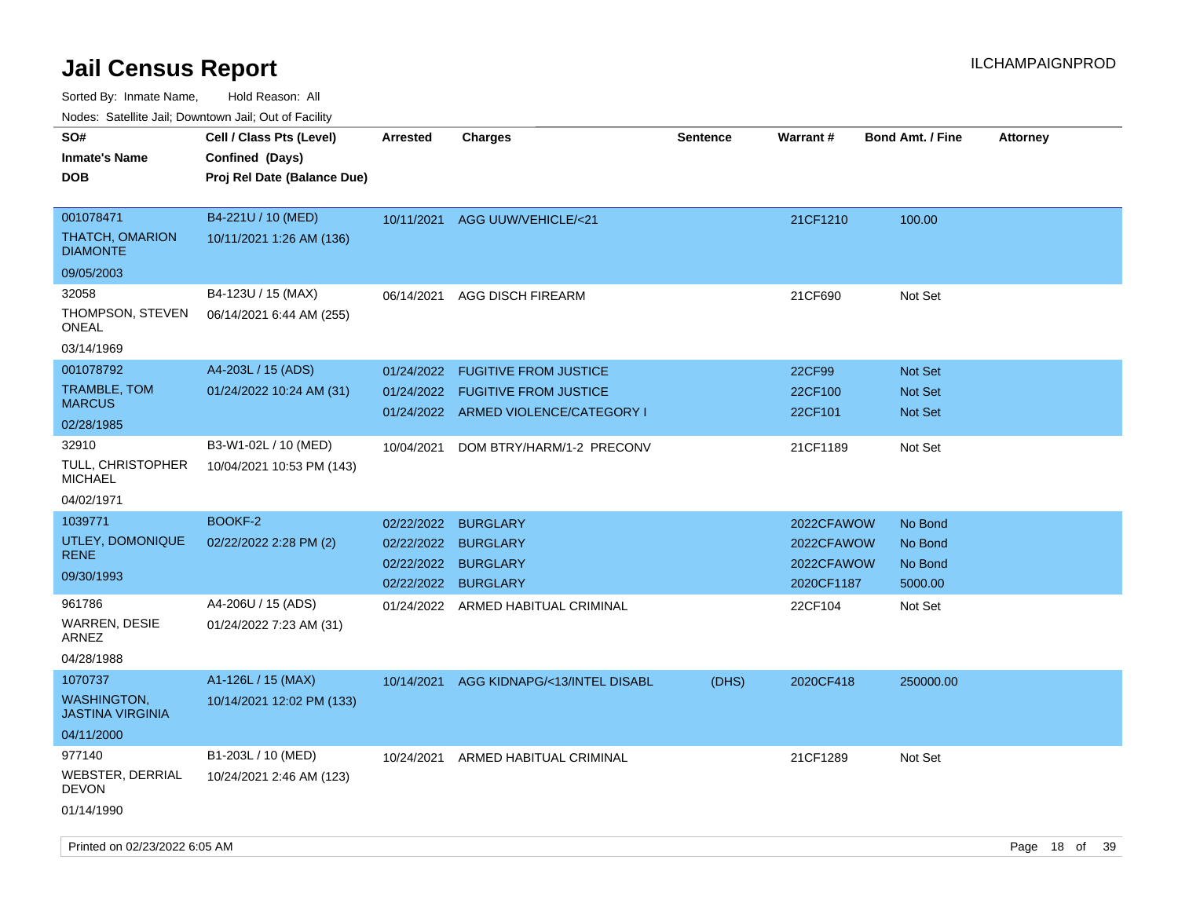Sorted By: Inmate Name, Hold Reason: All

Nodes: Satellite Jail; Downtown Jail; Out of Facility

| ivuuto. Galeinle Jan, Downlown Jan, Oul of Facility |                             |                     |                                      |                 |            |                         |                 |
|-----------------------------------------------------|-----------------------------|---------------------|--------------------------------------|-----------------|------------|-------------------------|-----------------|
| SO#                                                 | Cell / Class Pts (Level)    | <b>Arrested</b>     | <b>Charges</b>                       | <b>Sentence</b> | Warrant#   | <b>Bond Amt. / Fine</b> | <b>Attorney</b> |
| <b>Inmate's Name</b>                                | Confined (Days)             |                     |                                      |                 |            |                         |                 |
| <b>DOB</b>                                          | Proj Rel Date (Balance Due) |                     |                                      |                 |            |                         |                 |
|                                                     |                             |                     |                                      |                 |            |                         |                 |
| 001078471                                           | B4-221U / 10 (MED)          | 10/11/2021          | AGG UUW/VEHICLE/<21                  |                 | 21CF1210   | 100.00                  |                 |
| <b>THATCH, OMARION</b><br><b>DIAMONTE</b>           | 10/11/2021 1:26 AM (136)    |                     |                                      |                 |            |                         |                 |
| 09/05/2003                                          |                             |                     |                                      |                 |            |                         |                 |
| 32058                                               | B4-123U / 15 (MAX)          | 06/14/2021          | <b>AGG DISCH FIREARM</b>             |                 | 21CF690    | Not Set                 |                 |
| THOMPSON, STEVEN<br>ONEAL                           | 06/14/2021 6:44 AM (255)    |                     |                                      |                 |            |                         |                 |
| 03/14/1969                                          |                             |                     |                                      |                 |            |                         |                 |
| 001078792                                           | A4-203L / 15 (ADS)          | 01/24/2022          | <b>FUGITIVE FROM JUSTICE</b>         |                 | 22CF99     | <b>Not Set</b>          |                 |
| TRAMBLE, TOM                                        | 01/24/2022 10:24 AM (31)    | 01/24/2022          | <b>FUGITIVE FROM JUSTICE</b>         |                 | 22CF100    | <b>Not Set</b>          |                 |
| <b>MARCUS</b>                                       |                             |                     | 01/24/2022 ARMED VIOLENCE/CATEGORY I |                 | 22CF101    | <b>Not Set</b>          |                 |
| 02/28/1985                                          |                             |                     |                                      |                 |            |                         |                 |
| 32910                                               | B3-W1-02L / 10 (MED)        | 10/04/2021          | DOM BTRY/HARM/1-2 PRECONV            |                 | 21CF1189   | Not Set                 |                 |
| TULL, CHRISTOPHER<br><b>MICHAEL</b>                 | 10/04/2021 10:53 PM (143)   |                     |                                      |                 |            |                         |                 |
| 04/02/1971                                          |                             |                     |                                      |                 |            |                         |                 |
| 1039771                                             | BOOKF-2                     | 02/22/2022          | <b>BURGLARY</b>                      |                 | 2022CFAWOW | No Bond                 |                 |
| UTLEY, DOMONIQUE                                    | 02/22/2022 2:28 PM (2)      | 02/22/2022          | <b>BURGLARY</b>                      |                 | 2022CFAWOW | No Bond                 |                 |
| <b>RENE</b>                                         |                             | 02/22/2022 BURGLARY |                                      |                 | 2022CFAWOW | No Bond                 |                 |
| 09/30/1993                                          |                             | 02/22/2022          | <b>BURGLARY</b>                      |                 | 2020CF1187 | 5000.00                 |                 |
| 961786                                              | A4-206U / 15 (ADS)          |                     | 01/24/2022 ARMED HABITUAL CRIMINAL   |                 | 22CF104    | Not Set                 |                 |
| <b>WARREN, DESIE</b><br>ARNEZ                       | 01/24/2022 7:23 AM (31)     |                     |                                      |                 |            |                         |                 |
| 04/28/1988                                          |                             |                     |                                      |                 |            |                         |                 |
| 1070737                                             | A1-126L / 15 (MAX)          | 10/14/2021          | AGG KIDNAPG/<13/INTEL DISABL         | (DHS)           | 2020CF418  | 250000.00               |                 |
| <b>WASHINGTON,</b><br><b>JASTINA VIRGINIA</b>       | 10/14/2021 12:02 PM (133)   |                     |                                      |                 |            |                         |                 |
| 04/11/2000                                          |                             |                     |                                      |                 |            |                         |                 |
| 977140                                              | B1-203L / 10 (MED)          | 10/24/2021          | ARMED HABITUAL CRIMINAL              |                 | 21CF1289   | Not Set                 |                 |
| WEBSTER, DERRIAL<br><b>DEVON</b>                    | 10/24/2021 2:46 AM (123)    |                     |                                      |                 |            |                         |                 |
| 01/14/1990                                          |                             |                     |                                      |                 |            |                         |                 |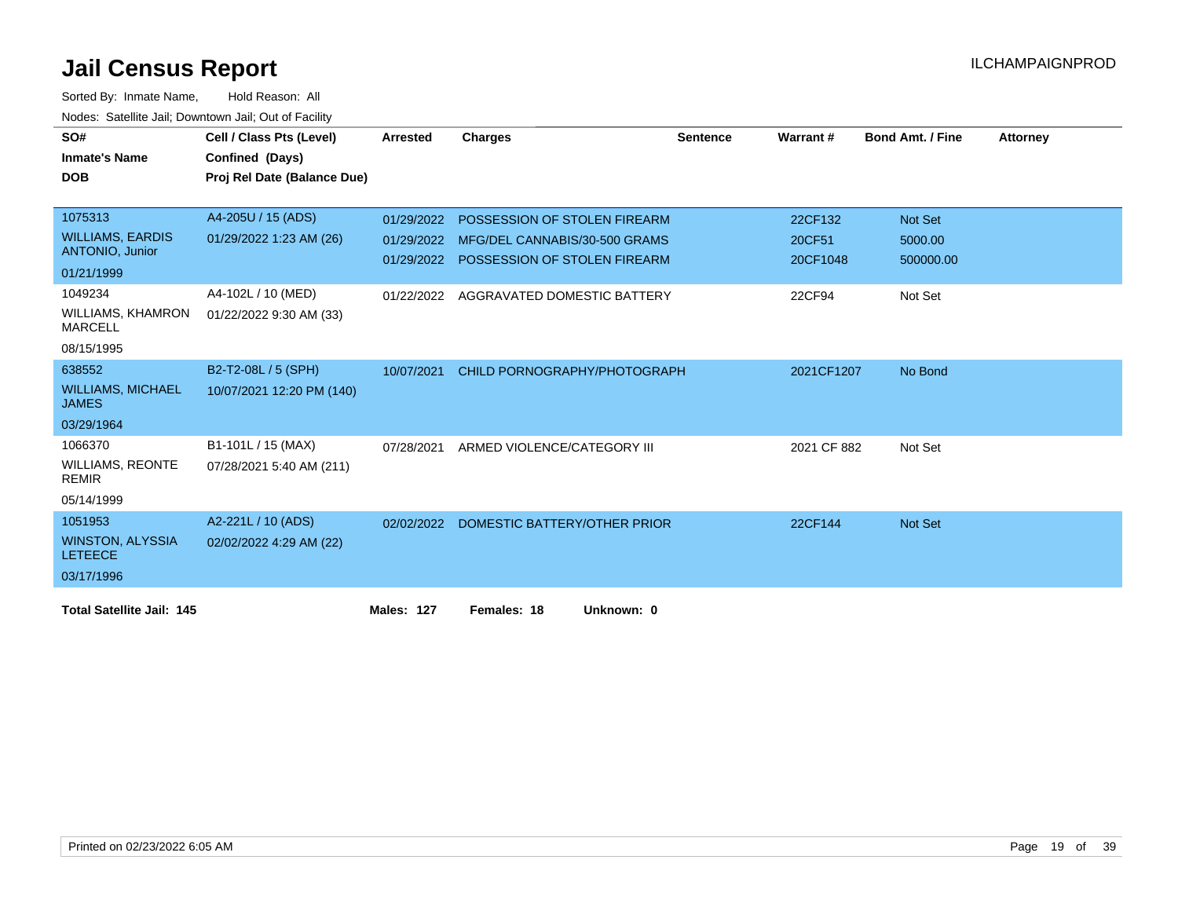| SO#                                        | Cell / Class Pts (Level)    | <b>Arrested</b>   | <b>Charges</b>                          | <b>Sentence</b> | Warrant#    | <b>Bond Amt. / Fine</b> | <b>Attorney</b> |
|--------------------------------------------|-----------------------------|-------------------|-----------------------------------------|-----------------|-------------|-------------------------|-----------------|
| <b>Inmate's Name</b>                       | Confined (Days)             |                   |                                         |                 |             |                         |                 |
| <b>DOB</b>                                 | Proj Rel Date (Balance Due) |                   |                                         |                 |             |                         |                 |
|                                            |                             |                   |                                         |                 |             |                         |                 |
| 1075313                                    | A4-205U / 15 (ADS)          | 01/29/2022        | POSSESSION OF STOLEN FIREARM            |                 | 22CF132     | Not Set                 |                 |
| <b>WILLIAMS, EARDIS</b>                    | 01/29/2022 1:23 AM (26)     | 01/29/2022        | MFG/DEL CANNABIS/30-500 GRAMS           |                 | 20CF51      | 5000.00                 |                 |
| <b>ANTONIO, Junior</b>                     |                             |                   | 01/29/2022 POSSESSION OF STOLEN FIREARM |                 | 20CF1048    | 500000.00               |                 |
| 01/21/1999                                 |                             |                   |                                         |                 |             |                         |                 |
| 1049234                                    | A4-102L / 10 (MED)          | 01/22/2022        | AGGRAVATED DOMESTIC BATTERY             |                 | 22CF94      | Not Set                 |                 |
| <b>WILLIAMS, KHAMRON</b><br><b>MARCELL</b> | 01/22/2022 9:30 AM (33)     |                   |                                         |                 |             |                         |                 |
| 08/15/1995                                 |                             |                   |                                         |                 |             |                         |                 |
| 638552                                     | B2-T2-08L / 5 (SPH)         | 10/07/2021        | CHILD PORNOGRAPHY/PHOTOGRAPH            |                 | 2021CF1207  | No Bond                 |                 |
| <b>WILLIAMS, MICHAEL</b><br><b>JAMES</b>   | 10/07/2021 12:20 PM (140)   |                   |                                         |                 |             |                         |                 |
| 03/29/1964                                 |                             |                   |                                         |                 |             |                         |                 |
| 1066370                                    | B1-101L / 15 (MAX)          | 07/28/2021        | ARMED VIOLENCE/CATEGORY III             |                 | 2021 CF 882 | Not Set                 |                 |
| <b>WILLIAMS, REONTE</b><br><b>REMIR</b>    | 07/28/2021 5:40 AM (211)    |                   |                                         |                 |             |                         |                 |
| 05/14/1999                                 |                             |                   |                                         |                 |             |                         |                 |
| 1051953                                    | A2-221L / 10 (ADS)          | 02/02/2022        | DOMESTIC BATTERY/OTHER PRIOR            |                 | 22CF144     | Not Set                 |                 |
| <b>WINSTON, ALYSSIA</b><br><b>LETEECE</b>  | 02/02/2022 4:29 AM (22)     |                   |                                         |                 |             |                         |                 |
| 03/17/1996                                 |                             |                   |                                         |                 |             |                         |                 |
| <b>Total Satellite Jail: 145</b>           |                             | <b>Males: 127</b> | Females: 18<br>Unknown: 0               |                 |             |                         |                 |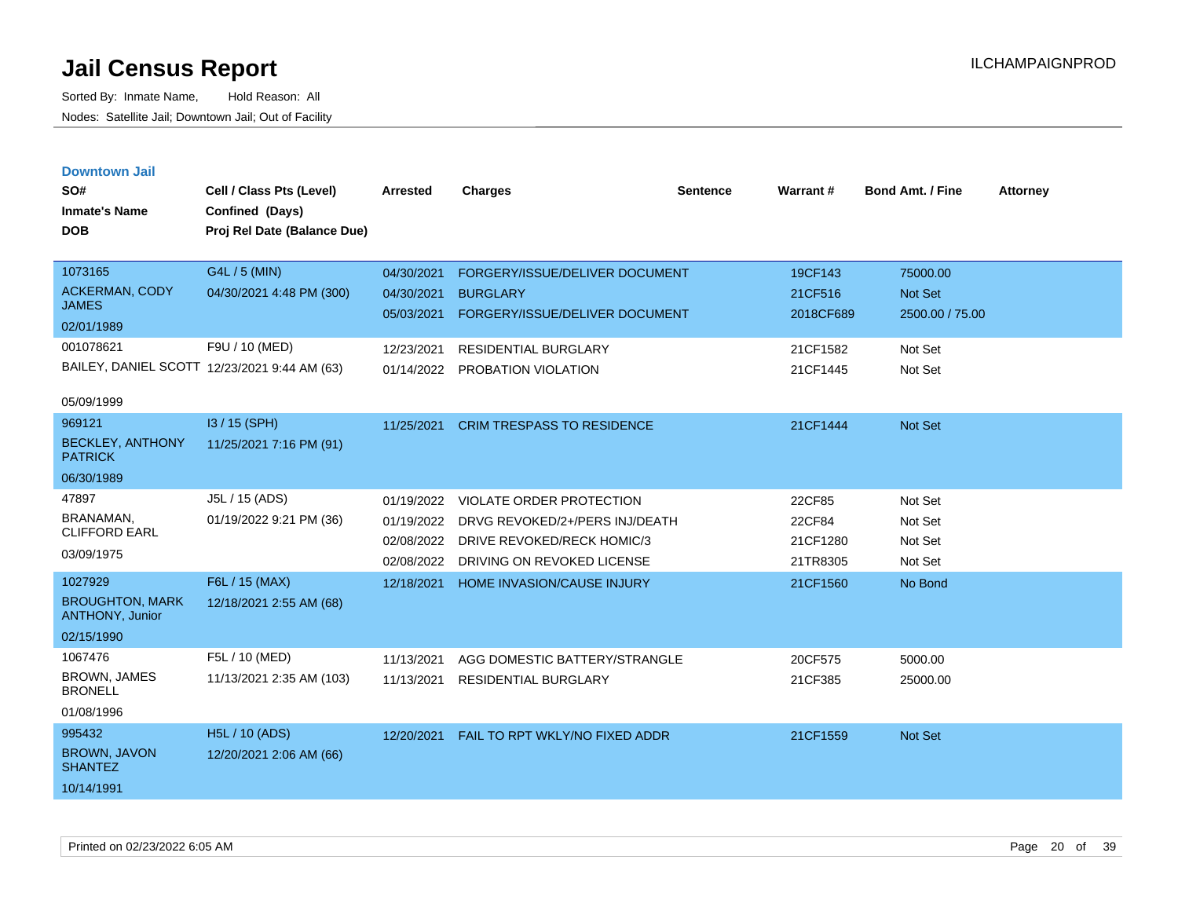| <b>Downtown Jail</b> |  |
|----------------------|--|
|                      |  |

| SO#<br><b>Inmate's Name</b><br><b>DOB</b>                                       | Cell / Class Pts (Level)<br>Confined (Days)<br>Proj Rel Date (Balance Due)                                  | <b>Arrested</b>                                                    | <b>Charges</b>                                                                                                                            | <b>Sentence</b> | Warrant#                                                | <b>Bond Amt. / Fine</b>                                             | <b>Attorney</b> |
|---------------------------------------------------------------------------------|-------------------------------------------------------------------------------------------------------------|--------------------------------------------------------------------|-------------------------------------------------------------------------------------------------------------------------------------------|-----------------|---------------------------------------------------------|---------------------------------------------------------------------|-----------------|
| 1073165<br><b>ACKERMAN, CODY</b><br><b>JAMES</b><br>02/01/1989<br>001078621     | G4L / 5 (MIN)<br>04/30/2021 4:48 PM (300)<br>F9U / 10 (MED)<br>BAILEY, DANIEL SCOTT 12/23/2021 9:44 AM (63) | 04/30/2021<br>04/30/2021<br>05/03/2021<br>12/23/2021<br>01/14/2022 | FORGERY/ISSUE/DELIVER DOCUMENT<br><b>BURGLARY</b><br>FORGERY/ISSUE/DELIVER DOCUMENT<br><b>RESIDENTIAL BURGLARY</b><br>PROBATION VIOLATION |                 | 19CF143<br>21CF516<br>2018CF689<br>21CF1582<br>21CF1445 | 75000.00<br><b>Not Set</b><br>2500.00 / 75.00<br>Not Set<br>Not Set |                 |
| 05/09/1999<br>969121<br><b>BECKLEY, ANTHONY</b><br><b>PATRICK</b><br>06/30/1989 | I3 / 15 (SPH)<br>11/25/2021 7:16 PM (91)                                                                    | 11/25/2021                                                         | <b>CRIM TRESPASS TO RESIDENCE</b>                                                                                                         |                 | 21CF1444                                                | <b>Not Set</b>                                                      |                 |
| 47897<br>BRANAMAN.<br><b>CLIFFORD EARL</b><br>03/09/1975                        | J5L / 15 (ADS)<br>01/19/2022 9:21 PM (36)                                                                   | 01/19/2022<br>01/19/2022<br>02/08/2022<br>02/08/2022               | VIOLATE ORDER PROTECTION<br>DRVG REVOKED/2+/PERS INJ/DEATH<br>DRIVE REVOKED/RECK HOMIC/3<br>DRIVING ON REVOKED LICENSE                    |                 | 22CF85<br>22CF84<br>21CF1280<br>21TR8305                | Not Set<br>Not Set<br>Not Set<br>Not Set                            |                 |
| 1027929<br><b>BROUGHTON, MARK</b><br>ANTHONY, Junior<br>02/15/1990              | F6L / 15 (MAX)<br>12/18/2021 2:55 AM (68)                                                                   | 12/18/2021                                                         | <b>HOME INVASION/CAUSE INJURY</b>                                                                                                         |                 | 21CF1560                                                | No Bond                                                             |                 |
| 1067476<br><b>BROWN, JAMES</b><br><b>BRONELL</b><br>01/08/1996                  | F5L / 10 (MED)<br>11/13/2021 2:35 AM (103)                                                                  | 11/13/2021<br>11/13/2021                                           | AGG DOMESTIC BATTERY/STRANGLE<br>RESIDENTIAL BURGLARY                                                                                     |                 | 20CF575<br>21CF385                                      | 5000.00<br>25000.00                                                 |                 |
| 995432<br>BROWN, JAVON<br><b>SHANTEZ</b><br>10/14/1991                          | <b>H5L / 10 (ADS)</b><br>12/20/2021 2:06 AM (66)                                                            | 12/20/2021                                                         | FAIL TO RPT WKLY/NO FIXED ADDR                                                                                                            |                 | 21CF1559                                                | Not Set                                                             |                 |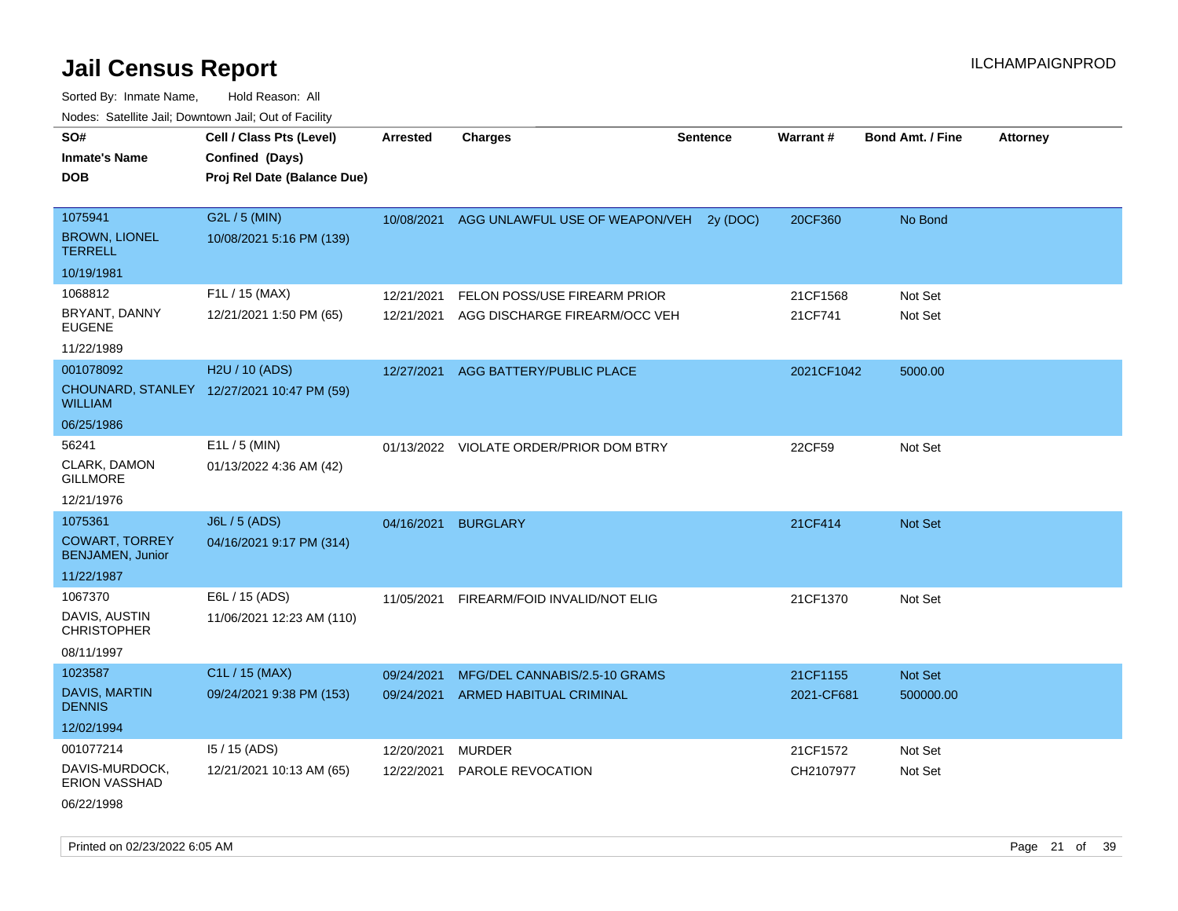Sorted By: Inmate Name, Hold Reason: All Nodes: Satellite Jail; Downtown Jail; Out of Facility

| SO#                                              | Cell / Class Pts (Level)                   | <b>Arrested</b> | <b>Charges</b>                          | <b>Sentence</b> | Warrant #  | <b>Bond Amt. / Fine</b> | <b>Attorney</b> |
|--------------------------------------------------|--------------------------------------------|-----------------|-----------------------------------------|-----------------|------------|-------------------------|-----------------|
| <b>Inmate's Name</b>                             | Confined (Days)                            |                 |                                         |                 |            |                         |                 |
| <b>DOB</b>                                       | Proj Rel Date (Balance Due)                |                 |                                         |                 |            |                         |                 |
|                                                  |                                            |                 |                                         |                 |            |                         |                 |
| 1075941                                          | G2L / 5 (MIN)                              | 10/08/2021      | AGG UNLAWFUL USE OF WEAPON/VEH          | 2y (DOC)        | 20CF360    | No Bond                 |                 |
| <b>BROWN, LIONEL</b><br><b>TERRELL</b>           | 10/08/2021 5:16 PM (139)                   |                 |                                         |                 |            |                         |                 |
| 10/19/1981                                       |                                            |                 |                                         |                 |            |                         |                 |
| 1068812                                          | F1L / 15 (MAX)                             | 12/21/2021      | FELON POSS/USE FIREARM PRIOR            |                 | 21CF1568   | Not Set                 |                 |
| BRYANT, DANNY<br><b>EUGENE</b>                   | 12/21/2021 1:50 PM (65)                    | 12/21/2021      | AGG DISCHARGE FIREARM/OCC VEH           |                 | 21CF741    | Not Set                 |                 |
| 11/22/1989                                       |                                            |                 |                                         |                 |            |                         |                 |
| 001078092                                        | H2U / 10 (ADS)                             | 12/27/2021      | AGG BATTERY/PUBLIC PLACE                |                 | 2021CF1042 | 5000.00                 |                 |
| <b>WILLIAM</b>                                   | CHOUNARD, STANLEY 12/27/2021 10:47 PM (59) |                 |                                         |                 |            |                         |                 |
| 06/25/1986                                       |                                            |                 |                                         |                 |            |                         |                 |
| 56241                                            | $E1L / 5$ (MIN)                            |                 | 01/13/2022 VIOLATE ORDER/PRIOR DOM BTRY |                 | 22CF59     | Not Set                 |                 |
| CLARK, DAMON<br><b>GILLMORE</b>                  | 01/13/2022 4:36 AM (42)                    |                 |                                         |                 |            |                         |                 |
| 12/21/1976                                       |                                            |                 |                                         |                 |            |                         |                 |
| 1075361                                          | J6L / 5 (ADS)                              | 04/16/2021      | <b>BURGLARY</b>                         |                 | 21CF414    | Not Set                 |                 |
| <b>COWART, TORREY</b><br><b>BENJAMEN, Junior</b> | 04/16/2021 9:17 PM (314)                   |                 |                                         |                 |            |                         |                 |
| 11/22/1987                                       |                                            |                 |                                         |                 |            |                         |                 |
| 1067370                                          | E6L / 15 (ADS)                             | 11/05/2021      | FIREARM/FOID INVALID/NOT ELIG           |                 | 21CF1370   | Not Set                 |                 |
| DAVIS, AUSTIN<br><b>CHRISTOPHER</b>              | 11/06/2021 12:23 AM (110)                  |                 |                                         |                 |            |                         |                 |
| 08/11/1997                                       |                                            |                 |                                         |                 |            |                         |                 |
| 1023587                                          | C <sub>1</sub> L / 15 (MAX)                | 09/24/2021      | MFG/DEL CANNABIS/2.5-10 GRAMS           |                 | 21CF1155   | Not Set                 |                 |
| <b>DAVIS, MARTIN</b><br><b>DENNIS</b>            | 09/24/2021 9:38 PM (153)                   | 09/24/2021      | <b>ARMED HABITUAL CRIMINAL</b>          |                 | 2021-CF681 | 500000.00               |                 |
| 12/02/1994                                       |                                            |                 |                                         |                 |            |                         |                 |
| 001077214                                        | I5 / 15 (ADS)                              | 12/20/2021      | <b>MURDER</b>                           |                 | 21CF1572   | Not Set                 |                 |
| DAVIS-MURDOCK,<br><b>ERION VASSHAD</b>           | 12/21/2021 10:13 AM (65)                   | 12/22/2021      | PAROLE REVOCATION                       |                 | CH2107977  | Not Set                 |                 |

06/22/1998

Printed on 02/23/2022 6:05 AM Page 21 of 39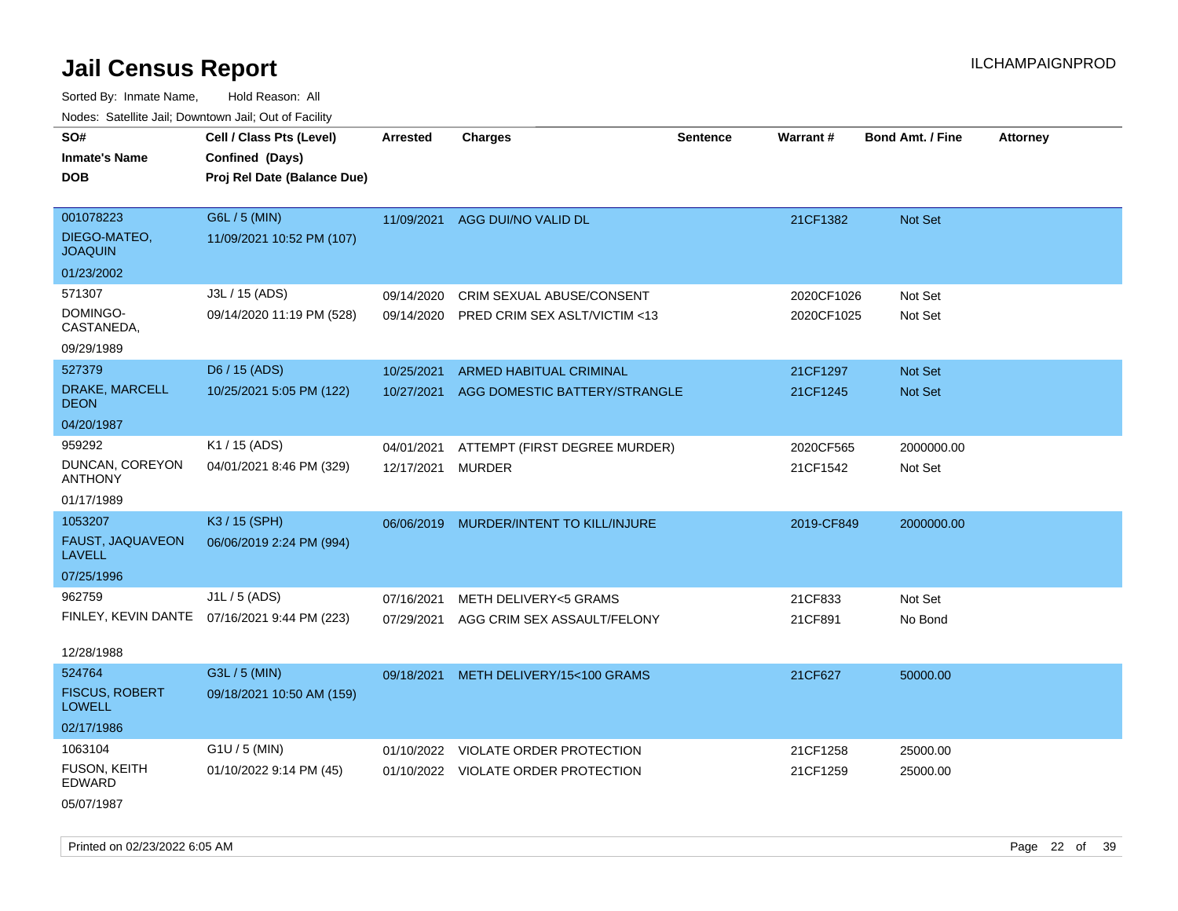Sorted By: Inmate Name, Hold Reason: All Nodes: Satellite Jail; Downtown Jail; Out of Facility

| roaco. Catolino cali, Domntonn cali, Out of Facility |                             |            |                                     |                 |            |                         |                 |
|------------------------------------------------------|-----------------------------|------------|-------------------------------------|-----------------|------------|-------------------------|-----------------|
| SO#                                                  | Cell / Class Pts (Level)    | Arrested   | <b>Charges</b>                      | <b>Sentence</b> | Warrant#   | <b>Bond Amt. / Fine</b> | <b>Attorney</b> |
| <b>Inmate's Name</b>                                 | Confined (Days)             |            |                                     |                 |            |                         |                 |
| <b>DOB</b>                                           | Proj Rel Date (Balance Due) |            |                                     |                 |            |                         |                 |
|                                                      |                             |            |                                     |                 |            |                         |                 |
| 001078223                                            | G6L / 5 (MIN)               |            | 11/09/2021 AGG DUI/NO VALID DL      |                 | 21CF1382   | Not Set                 |                 |
| DIEGO-MATEO,<br><b>JOAQUIN</b>                       | 11/09/2021 10:52 PM (107)   |            |                                     |                 |            |                         |                 |
| 01/23/2002                                           |                             |            |                                     |                 |            |                         |                 |
| 571307                                               | J3L / 15 (ADS)              | 09/14/2020 | CRIM SEXUAL ABUSE/CONSENT           |                 | 2020CF1026 | Not Set                 |                 |
| DOMINGO-<br>CASTANEDA,                               | 09/14/2020 11:19 PM (528)   | 09/14/2020 | PRED CRIM SEX ASLT/VICTIM <13       |                 | 2020CF1025 | Not Set                 |                 |
| 09/29/1989                                           |                             |            |                                     |                 |            |                         |                 |
| 527379                                               | D6 / 15 (ADS)               | 10/25/2021 | ARMED HABITUAL CRIMINAL             |                 | 21CF1297   | Not Set                 |                 |
| DRAKE, MARCELL<br><b>DEON</b>                        | 10/25/2021 5:05 PM (122)    | 10/27/2021 | AGG DOMESTIC BATTERY/STRANGLE       |                 | 21CF1245   | Not Set                 |                 |
| 04/20/1987                                           |                             |            |                                     |                 |            |                         |                 |
| 959292                                               | K1 / 15 (ADS)               | 04/01/2021 | ATTEMPT (FIRST DEGREE MURDER)       |                 | 2020CF565  | 2000000.00              |                 |
| DUNCAN, COREYON<br><b>ANTHONY</b>                    | 04/01/2021 8:46 PM (329)    | 12/17/2021 | <b>MURDER</b>                       |                 | 21CF1542   | Not Set                 |                 |
| 01/17/1989                                           |                             |            |                                     |                 |            |                         |                 |
| 1053207                                              | K3 / 15 (SPH)               | 06/06/2019 | MURDER/INTENT TO KILL/INJURE        |                 | 2019-CF849 | 2000000.00              |                 |
| FAUST, JAQUAVEON<br><b>LAVELL</b>                    | 06/06/2019 2:24 PM (994)    |            |                                     |                 |            |                         |                 |
| 07/25/1996                                           |                             |            |                                     |                 |            |                         |                 |
| 962759                                               | $J1L / 5$ (ADS)             | 07/16/2021 | <b>METH DELIVERY&lt;5 GRAMS</b>     |                 | 21CF833    | Not Set                 |                 |
| FINLEY, KEVIN DANTE                                  | 07/16/2021 9:44 PM (223)    | 07/29/2021 | AGG CRIM SEX ASSAULT/FELONY         |                 | 21CF891    | No Bond                 |                 |
| 12/28/1988                                           |                             |            |                                     |                 |            |                         |                 |
| 524764                                               | G3L / 5 (MIN)               | 09/18/2021 | METH DELIVERY/15<100 GRAMS          |                 | 21CF627    | 50000.00                |                 |
| <b>FISCUS, ROBERT</b><br><b>LOWELL</b>               | 09/18/2021 10:50 AM (159)   |            |                                     |                 |            |                         |                 |
| 02/17/1986                                           |                             |            |                                     |                 |            |                         |                 |
| 1063104                                              | G1U / 5 (MIN)               |            | 01/10/2022 VIOLATE ORDER PROTECTION |                 | 21CF1258   | 25000.00                |                 |
| <b>FUSON, KEITH</b><br>EDWARD                        | 01/10/2022 9:14 PM (45)     |            | 01/10/2022 VIOLATE ORDER PROTECTION |                 | 21CF1259   | 25000.00                |                 |
| 05/07/1987                                           |                             |            |                                     |                 |            |                         |                 |

Printed on 02/23/2022 6:05 AM Page 22 of 39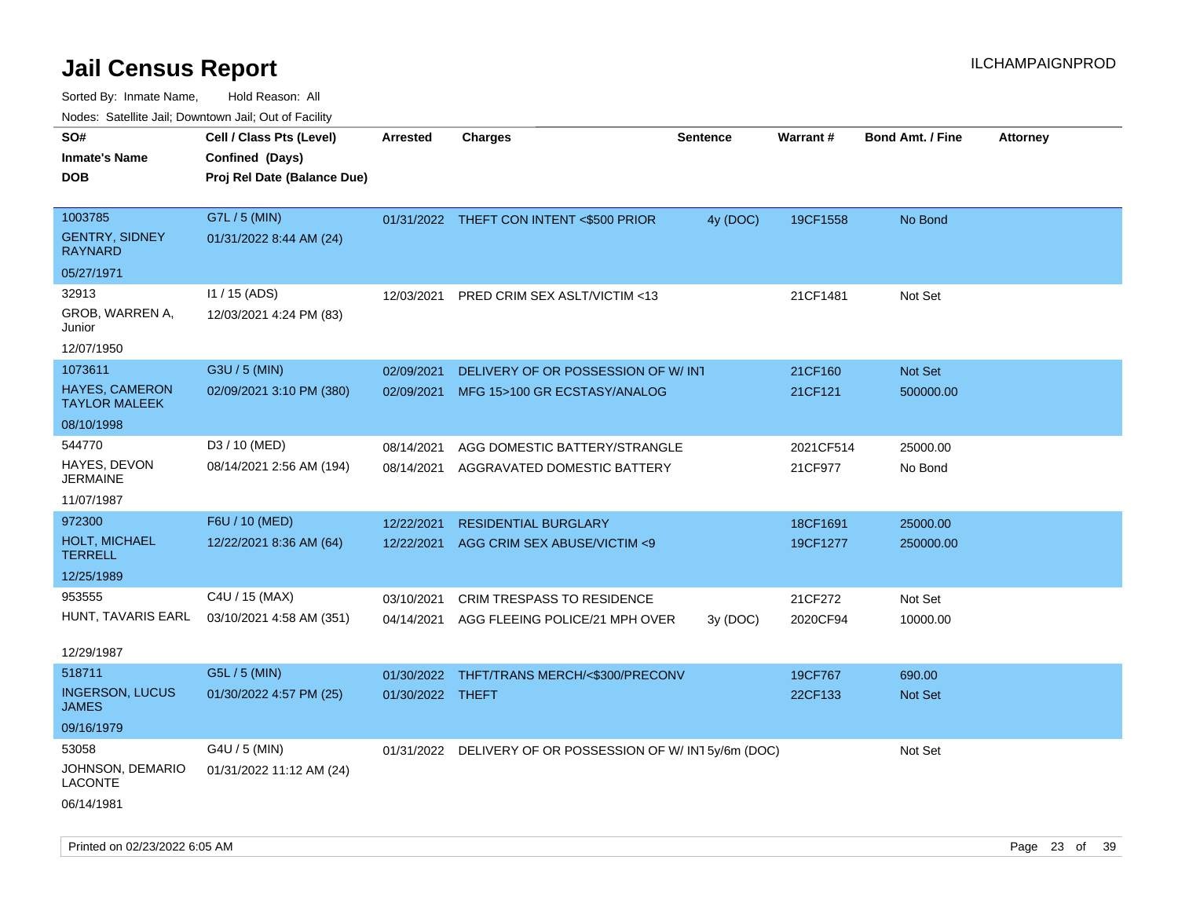| ivodes. Satellite Jali, Downtown Jali, Out of Facility |                             |                  |                                                            |                 |                 |                         |                 |
|--------------------------------------------------------|-----------------------------|------------------|------------------------------------------------------------|-----------------|-----------------|-------------------------|-----------------|
| SO#                                                    | Cell / Class Pts (Level)    | Arrested         | <b>Charges</b>                                             | <b>Sentence</b> | <b>Warrant#</b> | <b>Bond Amt. / Fine</b> | <b>Attorney</b> |
| <b>Inmate's Name</b>                                   | Confined (Days)             |                  |                                                            |                 |                 |                         |                 |
| DOB                                                    | Proj Rel Date (Balance Due) |                  |                                                            |                 |                 |                         |                 |
|                                                        |                             |                  |                                                            |                 |                 |                         |                 |
| 1003785                                                | G7L / 5 (MIN)               |                  | 01/31/2022 THEFT CON INTENT <\$500 PRIOR                   | 4y (DOC)        | 19CF1558        | No Bond                 |                 |
| <b>GENTRY, SIDNEY</b><br>RAYNARD                       | 01/31/2022 8:44 AM (24)     |                  |                                                            |                 |                 |                         |                 |
| 05/27/1971                                             |                             |                  |                                                            |                 |                 |                         |                 |
| 32913                                                  | I1 / 15 (ADS)               | 12/03/2021       | PRED CRIM SEX ASLT/VICTIM <13                              |                 | 21CF1481        | Not Set                 |                 |
| GROB, WARREN A,<br>Junior                              | 12/03/2021 4:24 PM (83)     |                  |                                                            |                 |                 |                         |                 |
| 12/07/1950                                             |                             |                  |                                                            |                 |                 |                         |                 |
| 1073611                                                | G3U / 5 (MIN)               | 02/09/2021       | DELIVERY OF OR POSSESSION OF W/INT                         |                 | 21CF160         | <b>Not Set</b>          |                 |
| HAYES, CAMERON<br>TAYLOR MALEEK                        | 02/09/2021 3:10 PM (380)    | 02/09/2021       | MFG 15>100 GR ECSTASY/ANALOG                               |                 | 21CF121         | 500000.00               |                 |
| 08/10/1998                                             |                             |                  |                                                            |                 |                 |                         |                 |
| 544770                                                 | D3 / 10 (MED)               | 08/14/2021       | AGG DOMESTIC BATTERY/STRANGLE                              |                 | 2021CF514       | 25000.00                |                 |
| HAYES, DEVON<br>JERMAINE                               | 08/14/2021 2:56 AM (194)    | 08/14/2021       | AGGRAVATED DOMESTIC BATTERY                                |                 | 21CF977         | No Bond                 |                 |
| 11/07/1987                                             |                             |                  |                                                            |                 |                 |                         |                 |
| 972300                                                 | F6U / 10 (MED)              | 12/22/2021       | <b>RESIDENTIAL BURGLARY</b>                                |                 | 18CF1691        | 25000.00                |                 |
| <b>HOLT, MICHAEL</b><br>TERRELL                        | 12/22/2021 8:36 AM (64)     | 12/22/2021       | AGG CRIM SEX ABUSE/VICTIM <9                               |                 | 19CF1277        | 250000.00               |                 |
| 12/25/1989                                             |                             |                  |                                                            |                 |                 |                         |                 |
| 953555                                                 | C4U / 15 (MAX)              | 03/10/2021       | <b>CRIM TRESPASS TO RESIDENCE</b>                          |                 | 21CF272         | Not Set                 |                 |
| HUNT, TAVARIS EARL                                     | 03/10/2021 4:58 AM (351)    | 04/14/2021       | AGG FLEEING POLICE/21 MPH OVER                             | 3y(DOC)         | 2020CF94        | 10000.00                |                 |
| 12/29/1987                                             |                             |                  |                                                            |                 |                 |                         |                 |
| 518711                                                 | G5L / 5 (MIN)               | 01/30/2022       | THFT/TRANS MERCH/<\$300/PRECONV                            |                 | 19CF767         | 690.00                  |                 |
| <b>INGERSON, LUCUS</b><br>JAMES                        | 01/30/2022 4:57 PM (25)     | 01/30/2022 THEFT |                                                            |                 | 22CF133         | <b>Not Set</b>          |                 |
| 09/16/1979                                             |                             |                  |                                                            |                 |                 |                         |                 |
| 53058                                                  | G4U / 5 (MIN)               |                  | 01/31/2022 DELIVERY OF OR POSSESSION OF W/ IN1 5y/6m (DOC) |                 |                 | Not Set                 |                 |
| JOHNSON, DEMARIO<br>LACONTE                            | 01/31/2022 11:12 AM (24)    |                  |                                                            |                 |                 |                         |                 |
| 06/14/1981                                             |                             |                  |                                                            |                 |                 |                         |                 |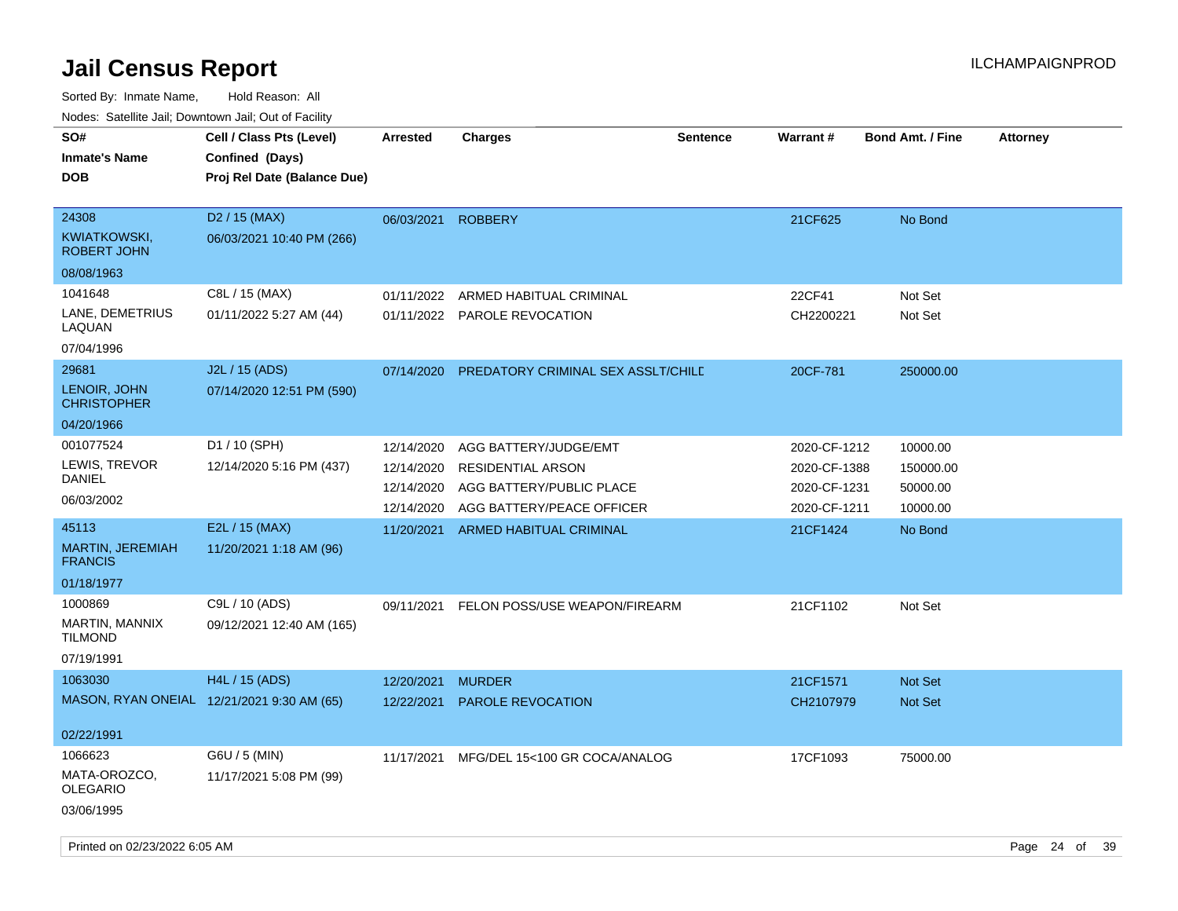| SO#<br><b>Inmate's Name</b><br><b>DOB</b>          | Cell / Class Pts (Level)<br>Confined (Days)<br>Proj Rel Date (Balance Due) | <b>Arrested</b>          | <b>Charges</b>                                       | <b>Sentence</b> | <b>Warrant#</b>              | <b>Bond Amt. / Fine</b> | <b>Attorney</b> |    |
|----------------------------------------------------|----------------------------------------------------------------------------|--------------------------|------------------------------------------------------|-----------------|------------------------------|-------------------------|-----------------|----|
| 24308<br><b>KWIATKOWSKI,</b><br><b>ROBERT JOHN</b> | D <sub>2</sub> / 15 (MAX)<br>06/03/2021 10:40 PM (266)                     | 06/03/2021               | <b>ROBBERY</b>                                       |                 | 21CF625                      | No Bond                 |                 |    |
| 08/08/1963                                         |                                                                            |                          |                                                      |                 |                              |                         |                 |    |
| 1041648                                            | C8L / 15 (MAX)                                                             | 01/11/2022               | ARMED HABITUAL CRIMINAL                              |                 | 22CF41                       | Not Set                 |                 |    |
| LANE, DEMETRIUS<br>LAQUAN                          | 01/11/2022 5:27 AM (44)                                                    |                          | 01/11/2022 PAROLE REVOCATION                         |                 | CH2200221                    | Not Set                 |                 |    |
| 07/04/1996                                         |                                                                            |                          |                                                      |                 |                              |                         |                 |    |
| 29681                                              | J2L / 15 (ADS)                                                             | 07/14/2020               | PREDATORY CRIMINAL SEX ASSLT/CHILE                   |                 | 20CF-781                     | 250000.00               |                 |    |
| LENOIR, JOHN<br><b>CHRISTOPHER</b>                 | 07/14/2020 12:51 PM (590)                                                  |                          |                                                      |                 |                              |                         |                 |    |
| 04/20/1966                                         |                                                                            |                          |                                                      |                 |                              |                         |                 |    |
| 001077524                                          | D1 / 10 (SPH)                                                              | 12/14/2020               | AGG BATTERY/JUDGE/EMT                                |                 | 2020-CF-1212                 | 10000.00                |                 |    |
| LEWIS, TREVOR<br>DANIEL                            | 12/14/2020 5:16 PM (437)                                                   | 12/14/2020<br>12/14/2020 | <b>RESIDENTIAL ARSON</b><br>AGG BATTERY/PUBLIC PLACE |                 | 2020-CF-1388<br>2020-CF-1231 | 150000.00               |                 |    |
| 06/03/2002                                         |                                                                            | 12/14/2020               | AGG BATTERY/PEACE OFFICER                            |                 | 2020-CF-1211                 | 50000.00<br>10000.00    |                 |    |
| 45113                                              | E2L / 15 (MAX)                                                             | 11/20/2021               | ARMED HABITUAL CRIMINAL                              |                 | 21CF1424                     | No Bond                 |                 |    |
| MARTIN, JEREMIAH<br><b>FRANCIS</b>                 | 11/20/2021 1:18 AM (96)                                                    |                          |                                                      |                 |                              |                         |                 |    |
| 01/18/1977                                         |                                                                            |                          |                                                      |                 |                              |                         |                 |    |
| 1000869                                            | C9L / 10 (ADS)                                                             | 09/11/2021               | FELON POSS/USE WEAPON/FIREARM                        |                 | 21CF1102                     | Not Set                 |                 |    |
| MARTIN, MANNIX<br><b>TILMOND</b>                   | 09/12/2021 12:40 AM (165)                                                  |                          |                                                      |                 |                              |                         |                 |    |
| 07/19/1991                                         |                                                                            |                          |                                                      |                 |                              |                         |                 |    |
| 1063030                                            | H4L / 15 (ADS)                                                             | 12/20/2021               | <b>MURDER</b>                                        |                 | 21CF1571                     | <b>Not Set</b>          |                 |    |
|                                                    | MASON, RYAN ONEIAL 12/21/2021 9:30 AM (65)                                 | 12/22/2021               | <b>PAROLE REVOCATION</b>                             |                 | CH2107979                    | <b>Not Set</b>          |                 |    |
| 02/22/1991                                         |                                                                            |                          |                                                      |                 |                              |                         |                 |    |
| 1066623                                            | G6U / 5 (MIN)                                                              | 11/17/2021               | MFG/DEL 15<100 GR COCA/ANALOG                        |                 | 17CF1093                     | 75000.00                |                 |    |
| MATA-OROZCO,<br><b>OLEGARIO</b>                    | 11/17/2021 5:08 PM (99)                                                    |                          |                                                      |                 |                              |                         |                 |    |
| 03/06/1995                                         |                                                                            |                          |                                                      |                 |                              |                         |                 |    |
| Printed on 02/23/2022 6:05 AM                      |                                                                            |                          |                                                      |                 |                              |                         | Page 24 of      | 39 |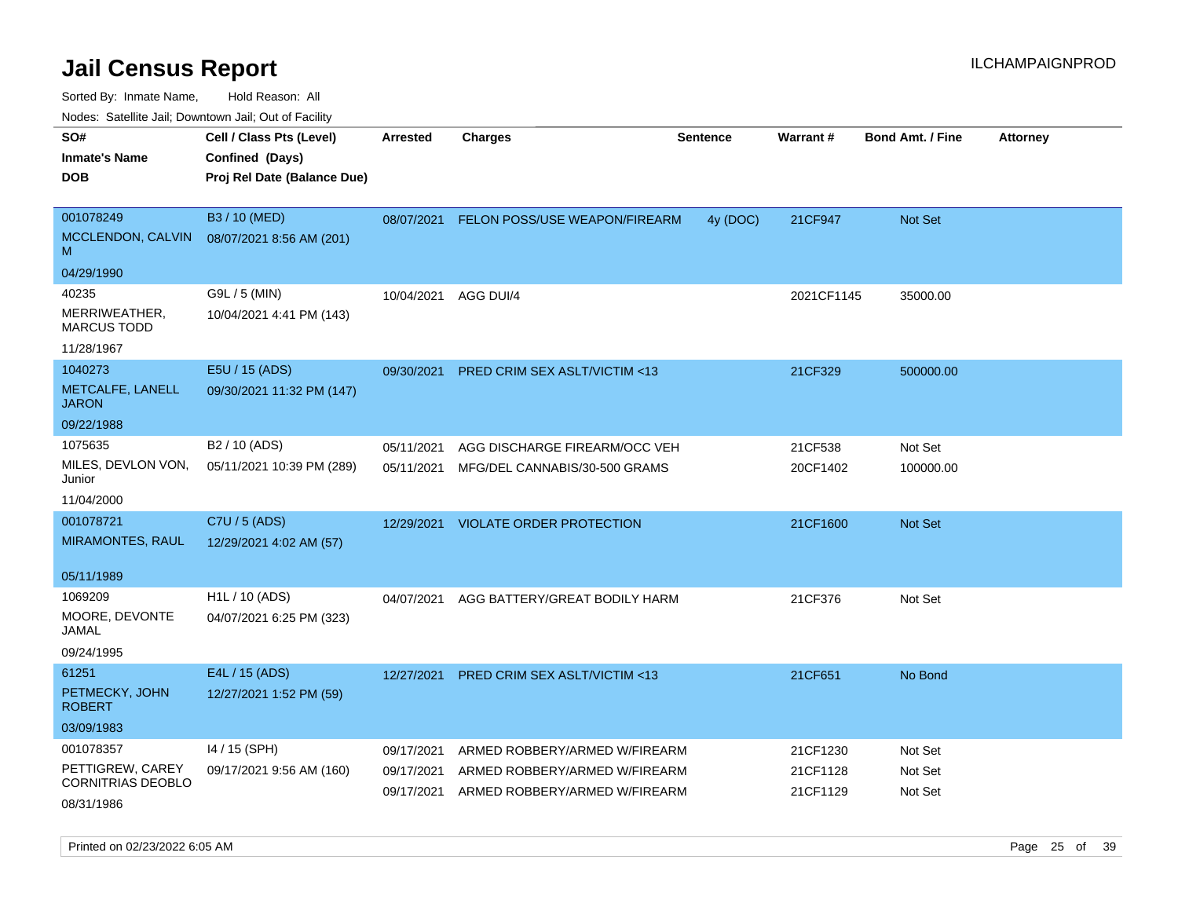| Nudes. Salenne Jan, Downlown Jan, Out of Facility |                             |            |                                         |                 |            |                  |                 |
|---------------------------------------------------|-----------------------------|------------|-----------------------------------------|-----------------|------------|------------------|-----------------|
| SO#                                               | Cell / Class Pts (Level)    | Arrested   | <b>Charges</b>                          | <b>Sentence</b> | Warrant#   | Bond Amt. / Fine | <b>Attorney</b> |
| <b>Inmate's Name</b>                              | Confined (Days)             |            |                                         |                 |            |                  |                 |
| DOB                                               | Proj Rel Date (Balance Due) |            |                                         |                 |            |                  |                 |
|                                                   |                             |            |                                         |                 |            |                  |                 |
| 001078249                                         | B3 / 10 (MED)               | 08/07/2021 | FELON POSS/USE WEAPON/FIREARM           | 4y (DOC)        | 21CF947    | Not Set          |                 |
| MCCLENDON, CALVIN<br>M                            | 08/07/2021 8:56 AM (201)    |            |                                         |                 |            |                  |                 |
| 04/29/1990                                        |                             |            |                                         |                 |            |                  |                 |
| 40235                                             | G9L / 5 (MIN)               | 10/04/2021 | AGG DUI/4                               |                 | 2021CF1145 | 35000.00         |                 |
| MERRIWEATHER,<br><b>MARCUS TODD</b>               | 10/04/2021 4:41 PM (143)    |            |                                         |                 |            |                  |                 |
| 11/28/1967                                        |                             |            |                                         |                 |            |                  |                 |
| 1040273                                           | E5U / 15 (ADS)              | 09/30/2021 | <b>PRED CRIM SEX ASLT/VICTIM &lt;13</b> |                 | 21CF329    | 500000.00        |                 |
| METCALFE, LANELL<br><b>JARON</b>                  | 09/30/2021 11:32 PM (147)   |            |                                         |                 |            |                  |                 |
| 09/22/1988                                        |                             |            |                                         |                 |            |                  |                 |
| 1075635                                           | B2 / 10 (ADS)               | 05/11/2021 | AGG DISCHARGE FIREARM/OCC VEH           |                 | 21CF538    | Not Set          |                 |
| MILES, DEVLON VON,<br>Junior                      | 05/11/2021 10:39 PM (289)   | 05/11/2021 | MFG/DEL CANNABIS/30-500 GRAMS           |                 | 20CF1402   | 100000.00        |                 |
| 11/04/2000                                        |                             |            |                                         |                 |            |                  |                 |
| 001078721                                         | C7U / 5 (ADS)               | 12/29/2021 | <b>VIOLATE ORDER PROTECTION</b>         |                 | 21CF1600   | <b>Not Set</b>   |                 |
| <b>MIRAMONTES, RAUL</b>                           | 12/29/2021 4:02 AM (57)     |            |                                         |                 |            |                  |                 |
|                                                   |                             |            |                                         |                 |            |                  |                 |
| 05/11/1989                                        |                             |            |                                         |                 |            |                  |                 |
| 1069209                                           | H1L / 10 (ADS)              | 04/07/2021 | AGG BATTERY/GREAT BODILY HARM           |                 | 21CF376    | Not Set          |                 |
| MOORE, DEVONTE<br>JAMAL                           | 04/07/2021 6:25 PM (323)    |            |                                         |                 |            |                  |                 |
| 09/24/1995                                        |                             |            |                                         |                 |            |                  |                 |
| 61251                                             | E4L / 15 (ADS)              | 12/27/2021 | PRED CRIM SEX ASLT/VICTIM <13           |                 | 21CF651    | No Bond          |                 |
| PETMECKY, JOHN<br><b>ROBERT</b>                   | 12/27/2021 1:52 PM (59)     |            |                                         |                 |            |                  |                 |
| 03/09/1983                                        |                             |            |                                         |                 |            |                  |                 |
| 001078357                                         | I4 / 15 (SPH)               | 09/17/2021 | ARMED ROBBERY/ARMED W/FIREARM           |                 | 21CF1230   | Not Set          |                 |
| PETTIGREW, CAREY                                  | 09/17/2021 9:56 AM (160)    | 09/17/2021 | ARMED ROBBERY/ARMED W/FIREARM           |                 | 21CF1128   | Not Set          |                 |
| CORNITRIAS DEOBLO                                 |                             | 09/17/2021 | ARMED ROBBERY/ARMED W/FIREARM           |                 | 21CF1129   | Not Set          |                 |
| 08/31/1986                                        |                             |            |                                         |                 |            |                  |                 |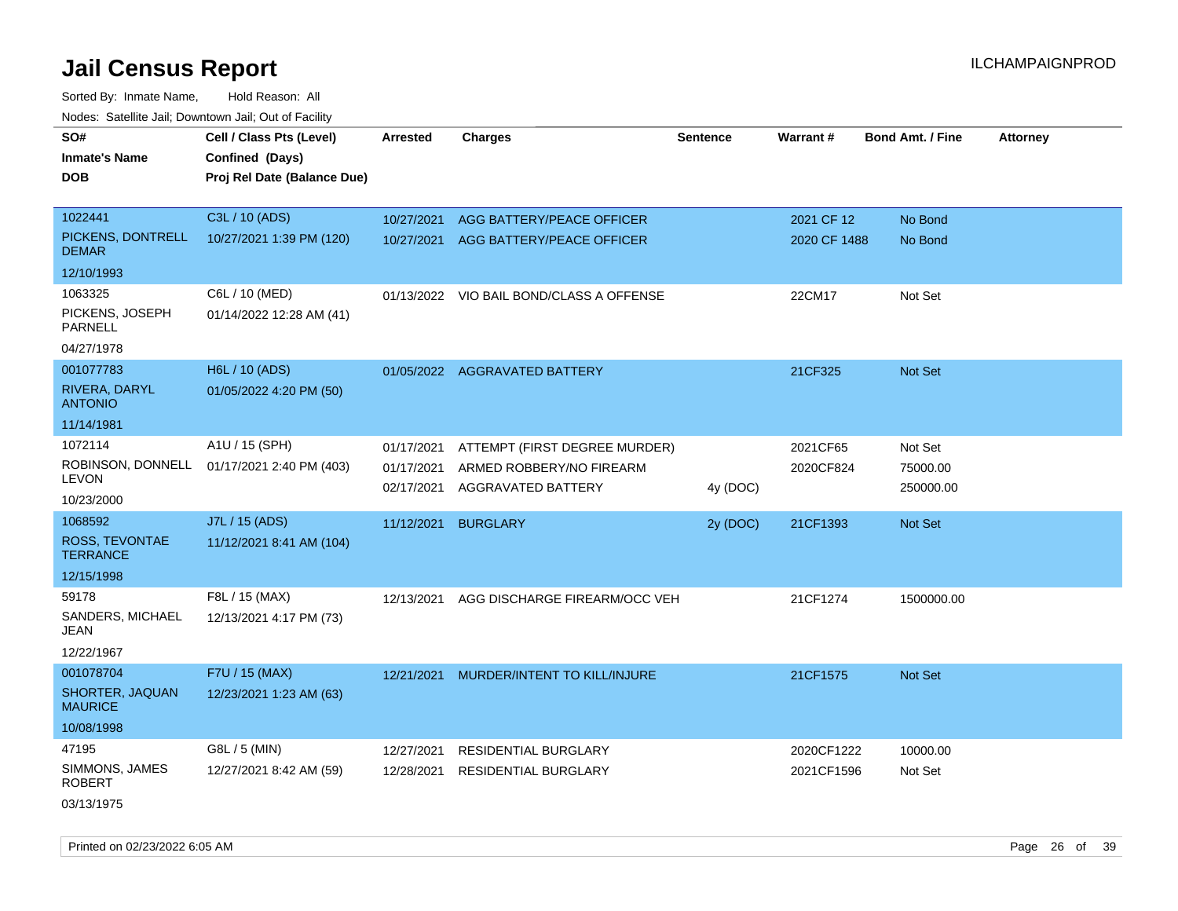| rougs. Calcing Jan, Downtown Jan, Out of Facinty |                                                                            |                          |                                                |                 |                 |                         |                 |
|--------------------------------------------------|----------------------------------------------------------------------------|--------------------------|------------------------------------------------|-----------------|-----------------|-------------------------|-----------------|
| SO#<br><b>Inmate's Name</b><br><b>DOB</b>        | Cell / Class Pts (Level)<br>Confined (Days)<br>Proj Rel Date (Balance Due) | <b>Arrested</b>          | <b>Charges</b>                                 | <b>Sentence</b> | <b>Warrant#</b> | <b>Bond Amt. / Fine</b> | <b>Attorney</b> |
| 1022441                                          | C3L / 10 (ADS)                                                             | 10/27/2021               | AGG BATTERY/PEACE OFFICER                      |                 | 2021 CF 12      | No Bond                 |                 |
| PICKENS, DONTRELL<br><b>DEMAR</b>                | 10/27/2021 1:39 PM (120)                                                   |                          | 10/27/2021 AGG BATTERY/PEACE OFFICER           |                 | 2020 CF 1488    | No Bond                 |                 |
| 12/10/1993                                       |                                                                            |                          |                                                |                 |                 |                         |                 |
| 1063325                                          | C6L / 10 (MED)                                                             |                          | 01/13/2022 VIO BAIL BOND/CLASS A OFFENSE       |                 | 22CM17          | Not Set                 |                 |
| PICKENS, JOSEPH<br><b>PARNELL</b>                | 01/14/2022 12:28 AM (41)                                                   |                          |                                                |                 |                 |                         |                 |
| 04/27/1978                                       |                                                                            |                          |                                                |                 |                 |                         |                 |
| 001077783                                        | H6L / 10 (ADS)                                                             |                          | 01/05/2022 AGGRAVATED BATTERY                  |                 | 21CF325         | Not Set                 |                 |
| <b>RIVERA, DARYL</b><br><b>ANTONIO</b>           | 01/05/2022 4:20 PM (50)                                                    |                          |                                                |                 |                 |                         |                 |
| 11/14/1981                                       |                                                                            |                          |                                                |                 |                 |                         |                 |
| 1072114                                          | A1U / 15 (SPH)                                                             | 01/17/2021               | ATTEMPT (FIRST DEGREE MURDER)                  |                 | 2021CF65        | Not Set                 |                 |
| ROBINSON, DONNELL<br><b>LEVON</b>                | 01/17/2021 2:40 PM (403)                                                   | 01/17/2021<br>02/17/2021 | ARMED ROBBERY/NO FIREARM<br>AGGRAVATED BATTERY | 4y (DOC)        | 2020CF824       | 75000.00<br>250000.00   |                 |
| 10/23/2000                                       |                                                                            |                          |                                                |                 |                 |                         |                 |
| 1068592                                          | J7L / 15 (ADS)                                                             | 11/12/2021               | <b>BURGLARY</b>                                | 2y (DOC)        | 21CF1393        | Not Set                 |                 |
| ROSS, TEVONTAE<br><b>TERRANCE</b>                | 11/12/2021 8:41 AM (104)                                                   |                          |                                                |                 |                 |                         |                 |
| 12/15/1998                                       |                                                                            |                          |                                                |                 |                 |                         |                 |
| 59178                                            | F8L / 15 (MAX)                                                             | 12/13/2021               | AGG DISCHARGE FIREARM/OCC VEH                  |                 | 21CF1274        | 1500000.00              |                 |
| SANDERS, MICHAEL<br>JEAN                         | 12/13/2021 4:17 PM (73)                                                    |                          |                                                |                 |                 |                         |                 |
| 12/22/1967                                       |                                                                            |                          |                                                |                 |                 |                         |                 |
| 001078704                                        | F7U / 15 (MAX)                                                             | 12/21/2021               | MURDER/INTENT TO KILL/INJURE                   |                 | 21CF1575        | Not Set                 |                 |
| SHORTER, JAQUAN<br><b>MAURICE</b>                | 12/23/2021 1:23 AM (63)                                                    |                          |                                                |                 |                 |                         |                 |
| 10/08/1998                                       |                                                                            |                          |                                                |                 |                 |                         |                 |
| 47195                                            | G8L / 5 (MIN)                                                              | 12/27/2021               | <b>RESIDENTIAL BURGLARY</b>                    |                 | 2020CF1222      | 10000.00                |                 |
| SIMMONS, JAMES<br><b>ROBERT</b>                  | 12/27/2021 8:42 AM (59)                                                    | 12/28/2021               | <b>RESIDENTIAL BURGLARY</b>                    |                 | 2021CF1596      | Not Set                 |                 |
| 03/13/1975                                       |                                                                            |                          |                                                |                 |                 |                         |                 |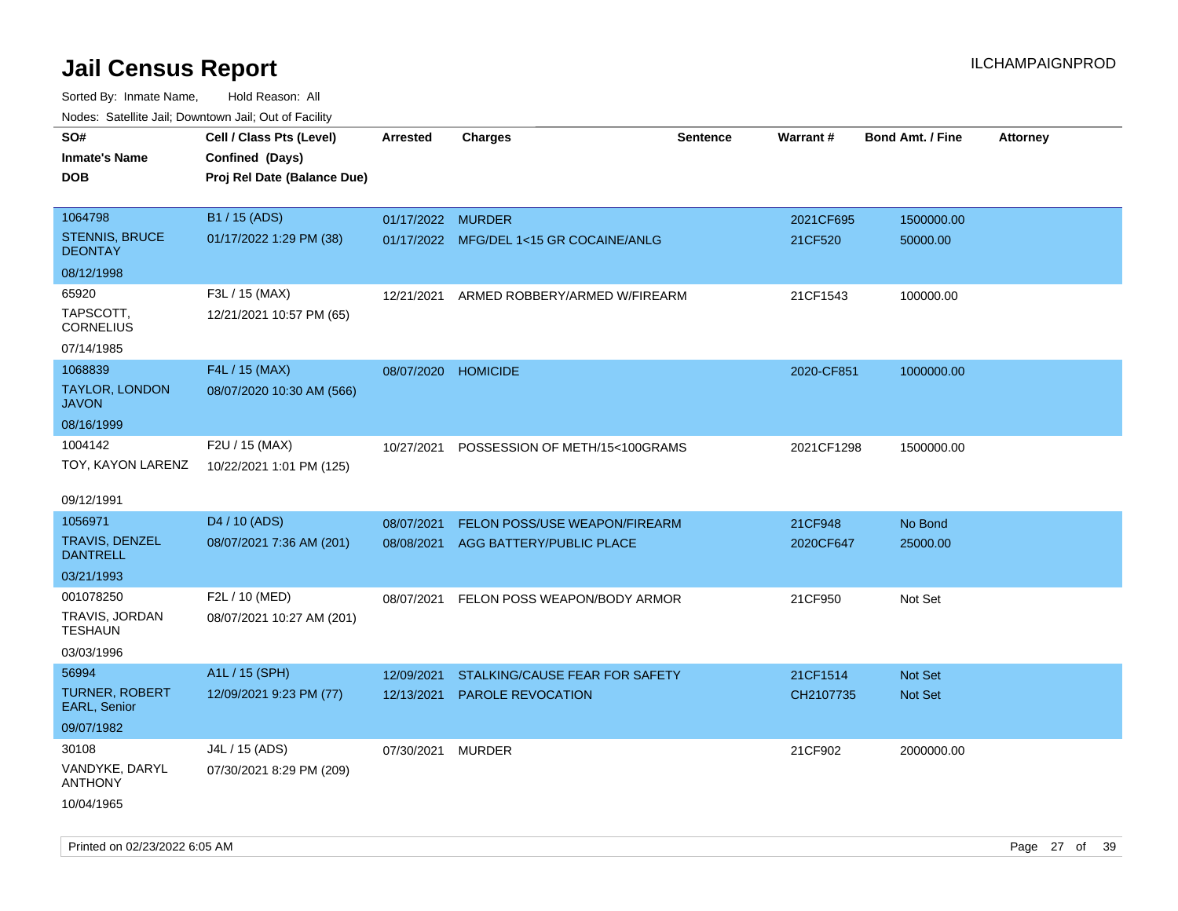| ivouss. Saleline Jali, Downtown Jali, Out of Facility |                             |                     |                                         |                 |                 |                         |                 |
|-------------------------------------------------------|-----------------------------|---------------------|-----------------------------------------|-----------------|-----------------|-------------------------|-----------------|
| SO#                                                   | Cell / Class Pts (Level)    | Arrested            | <b>Charges</b>                          | <b>Sentence</b> | <b>Warrant#</b> | <b>Bond Amt. / Fine</b> | <b>Attorney</b> |
| Inmate's Name                                         | Confined (Days)             |                     |                                         |                 |                 |                         |                 |
| <b>DOB</b>                                            | Proj Rel Date (Balance Due) |                     |                                         |                 |                 |                         |                 |
|                                                       |                             |                     |                                         |                 |                 |                         |                 |
| 1064798                                               | B1 / 15 (ADS)               | 01/17/2022 MURDER   |                                         |                 | 2021CF695       | 1500000.00              |                 |
| <b>STENNIS, BRUCE</b><br><b>DEONTAY</b>               | 01/17/2022 1:29 PM (38)     |                     | 01/17/2022 MFG/DEL 1<15 GR COCAINE/ANLG |                 | 21CF520         | 50000.00                |                 |
| 08/12/1998                                            |                             |                     |                                         |                 |                 |                         |                 |
| 65920                                                 | F3L / 15 (MAX)              | 12/21/2021          | ARMED ROBBERY/ARMED W/FIREARM           |                 | 21CF1543        | 100000.00               |                 |
| TAPSCOTT.<br>CORNELIUS                                | 12/21/2021 10:57 PM (65)    |                     |                                         |                 |                 |                         |                 |
| 07/14/1985                                            |                             |                     |                                         |                 |                 |                         |                 |
| 1068839                                               | F4L / 15 (MAX)              | 08/07/2020 HOMICIDE |                                         |                 | 2020-CF851      | 1000000.00              |                 |
| TAYLOR, LONDON<br>JAVON                               | 08/07/2020 10:30 AM (566)   |                     |                                         |                 |                 |                         |                 |
| 08/16/1999                                            |                             |                     |                                         |                 |                 |                         |                 |
| 1004142                                               | F2U / 15 (MAX)              | 10/27/2021          | POSSESSION OF METH/15<100GRAMS          |                 | 2021CF1298      | 1500000.00              |                 |
| TOY, KAYON LARENZ                                     | 10/22/2021 1:01 PM (125)    |                     |                                         |                 |                 |                         |                 |
|                                                       |                             |                     |                                         |                 |                 |                         |                 |
| 09/12/1991                                            |                             |                     |                                         |                 |                 |                         |                 |
| 1056971                                               | D <sub>4</sub> / 10 (ADS)   | 08/07/2021          | <b>FELON POSS/USE WEAPON/FIREARM</b>    |                 | 21CF948         | No Bond                 |                 |
| TRAVIS, DENZEL<br>DANTRELL                            | 08/07/2021 7:36 AM (201)    | 08/08/2021          | AGG BATTERY/PUBLIC PLACE                |                 | 2020CF647       | 25000.00                |                 |
| 03/21/1993                                            |                             |                     |                                         |                 |                 |                         |                 |
| 001078250                                             | F2L / 10 (MED)              | 08/07/2021          | FELON POSS WEAPON/BODY ARMOR            |                 | 21CF950         | Not Set                 |                 |
| TRAVIS, JORDAN<br>TESHAUN                             | 08/07/2021 10:27 AM (201)   |                     |                                         |                 |                 |                         |                 |
| 03/03/1996                                            |                             |                     |                                         |                 |                 |                         |                 |
| 56994                                                 | A1L / 15 (SPH)              | 12/09/2021          | STALKING/CAUSE FEAR FOR SAFETY          |                 | 21CF1514        | <b>Not Set</b>          |                 |
| <b>TURNER, ROBERT</b><br><b>EARL, Senior</b>          | 12/09/2021 9:23 PM (77)     | 12/13/2021          | <b>PAROLE REVOCATION</b>                |                 | CH2107735       | <b>Not Set</b>          |                 |
| 09/07/1982                                            |                             |                     |                                         |                 |                 |                         |                 |
| 30108                                                 | J4L / 15 (ADS)              | 07/30/2021          | MURDER                                  |                 | 21CF902         | 2000000.00              |                 |
| VANDYKE, DARYL<br>ANTHONY                             | 07/30/2021 8:29 PM (209)    |                     |                                         |                 |                 |                         |                 |
| 10/04/1965                                            |                             |                     |                                         |                 |                 |                         |                 |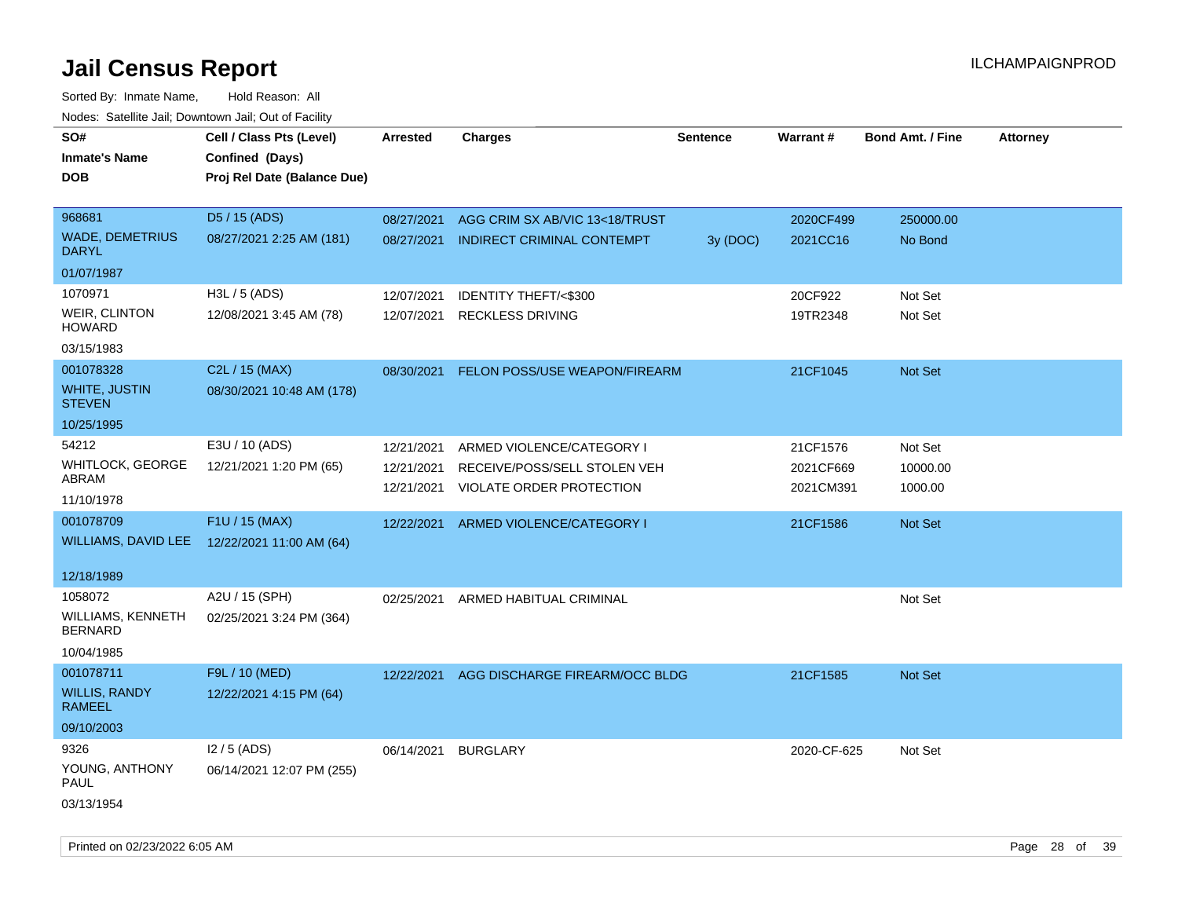| Todoo. Catolino can, Bomntonn can, Out of Fability<br>SO#<br><b>Inmate's Name</b><br><b>DOB</b> | Cell / Class Pts (Level)<br>Confined (Days)<br>Proj Rel Date (Balance Due) | Arrested   | <b>Charges</b>                    | Sentence | Warrant#    | <b>Bond Amt. / Fine</b> | <b>Attorney</b> |
|-------------------------------------------------------------------------------------------------|----------------------------------------------------------------------------|------------|-----------------------------------|----------|-------------|-------------------------|-----------------|
| 968681                                                                                          | D5 / 15 (ADS)                                                              | 08/27/2021 | AGG CRIM SX AB/VIC 13<18/TRUST    |          | 2020CF499   | 250000.00               |                 |
| <b>WADE, DEMETRIUS</b><br><b>DARYL</b>                                                          | 08/27/2021 2:25 AM (181)                                                   | 08/27/2021 | <b>INDIRECT CRIMINAL CONTEMPT</b> | 3y (DOC) | 2021CC16    | No Bond                 |                 |
| 01/07/1987                                                                                      |                                                                            |            |                                   |          |             |                         |                 |
| 1070971                                                                                         | H3L / 5 (ADS)                                                              | 12/07/2021 | IDENTITY THEFT/<\$300             |          | 20CF922     | Not Set                 |                 |
| WEIR, CLINTON<br><b>HOWARD</b>                                                                  | 12/08/2021 3:45 AM (78)                                                    | 12/07/2021 | <b>RECKLESS DRIVING</b>           |          | 19TR2348    | Not Set                 |                 |
| 03/15/1983                                                                                      |                                                                            |            |                                   |          |             |                         |                 |
| 001078328                                                                                       | C2L / 15 (MAX)                                                             | 08/30/2021 | FELON POSS/USE WEAPON/FIREARM     |          | 21CF1045    | Not Set                 |                 |
| <b>WHITE, JUSTIN</b><br><b>STEVEN</b>                                                           | 08/30/2021 10:48 AM (178)                                                  |            |                                   |          |             |                         |                 |
| 10/25/1995                                                                                      |                                                                            |            |                                   |          |             |                         |                 |
| 54212                                                                                           | E3U / 10 (ADS)                                                             | 12/21/2021 | ARMED VIOLENCE/CATEGORY I         |          | 21CF1576    | Not Set                 |                 |
| WHITLOCK, GEORGE<br>ABRAM                                                                       | 12/21/2021 1:20 PM (65)                                                    | 12/21/2021 | RECEIVE/POSS/SELL STOLEN VEH      |          | 2021CF669   | 10000.00                |                 |
| 11/10/1978                                                                                      |                                                                            | 12/21/2021 | VIOLATE ORDER PROTECTION          |          | 2021CM391   | 1000.00                 |                 |
| 001078709                                                                                       | F1U / 15 (MAX)                                                             | 12/22/2021 | ARMED VIOLENCE/CATEGORY I         |          | 21CF1586    | Not Set                 |                 |
| WILLIAMS, DAVID LEE                                                                             | 12/22/2021 11:00 AM (64)                                                   |            |                                   |          |             |                         |                 |
| 12/18/1989                                                                                      |                                                                            |            |                                   |          |             |                         |                 |
| 1058072                                                                                         | A2U / 15 (SPH)                                                             | 02/25/2021 | ARMED HABITUAL CRIMINAL           |          |             | Not Set                 |                 |
| WILLIAMS, KENNETH<br><b>BERNARD</b>                                                             | 02/25/2021 3:24 PM (364)                                                   |            |                                   |          |             |                         |                 |
| 10/04/1985                                                                                      |                                                                            |            |                                   |          |             |                         |                 |
| 001078711                                                                                       | F9L / 10 (MED)                                                             | 12/22/2021 | AGG DISCHARGE FIREARM/OCC BLDG    |          | 21CF1585    | Not Set                 |                 |
| <b>WILLIS, RANDY</b><br><b>RAMEEL</b>                                                           | 12/22/2021 4:15 PM (64)                                                    |            |                                   |          |             |                         |                 |
| 09/10/2003                                                                                      |                                                                            |            |                                   |          |             |                         |                 |
| 9326                                                                                            | $12/5$ (ADS)                                                               | 06/14/2021 | <b>BURGLARY</b>                   |          | 2020-CF-625 | Not Set                 |                 |
| YOUNG, ANTHONY<br><b>PAUL</b>                                                                   | 06/14/2021 12:07 PM (255)                                                  |            |                                   |          |             |                         |                 |
| 03/13/1954                                                                                      |                                                                            |            |                                   |          |             |                         |                 |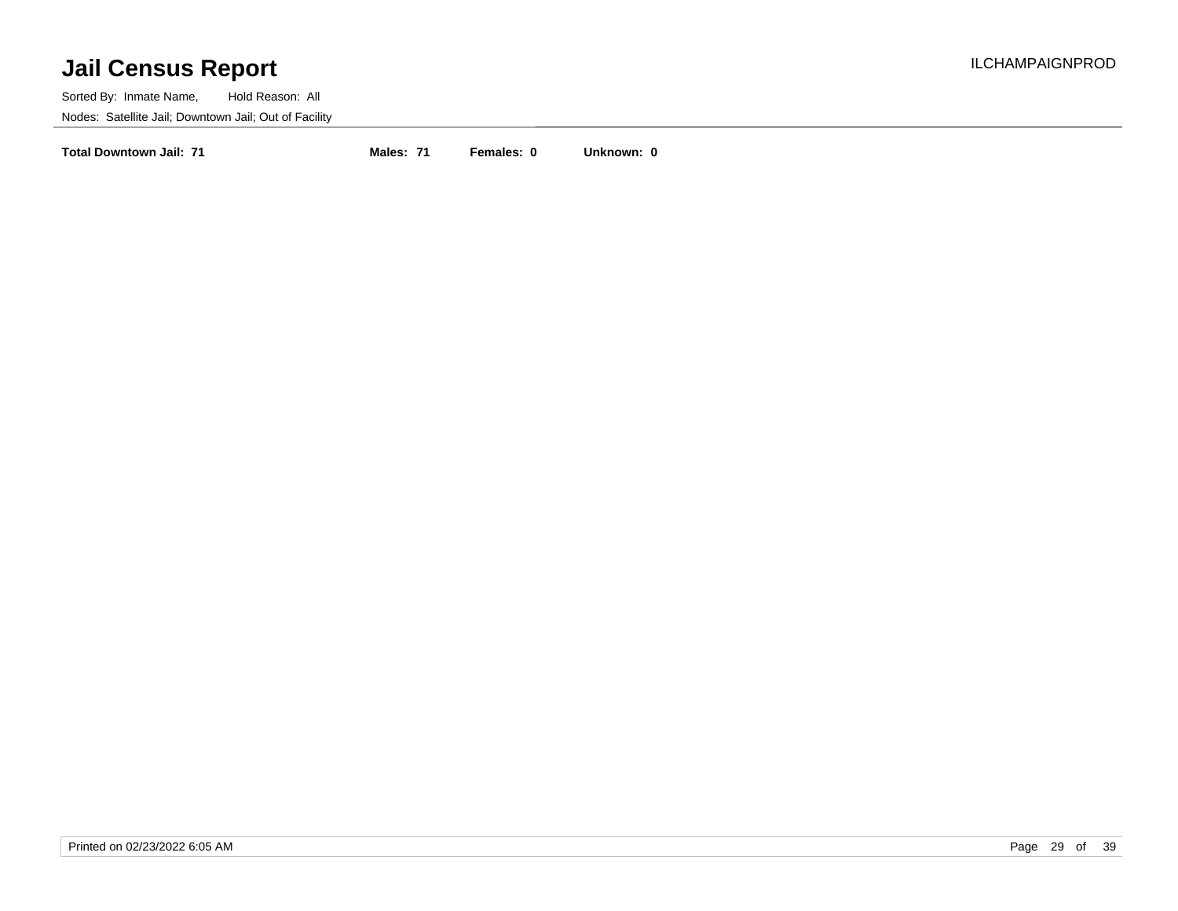Sorted By: Inmate Name, Hold Reason: All Nodes: Satellite Jail; Downtown Jail; Out of Facility

**Total Downtown Jail: 71 Males: 71 Females: 0 Unknown: 0**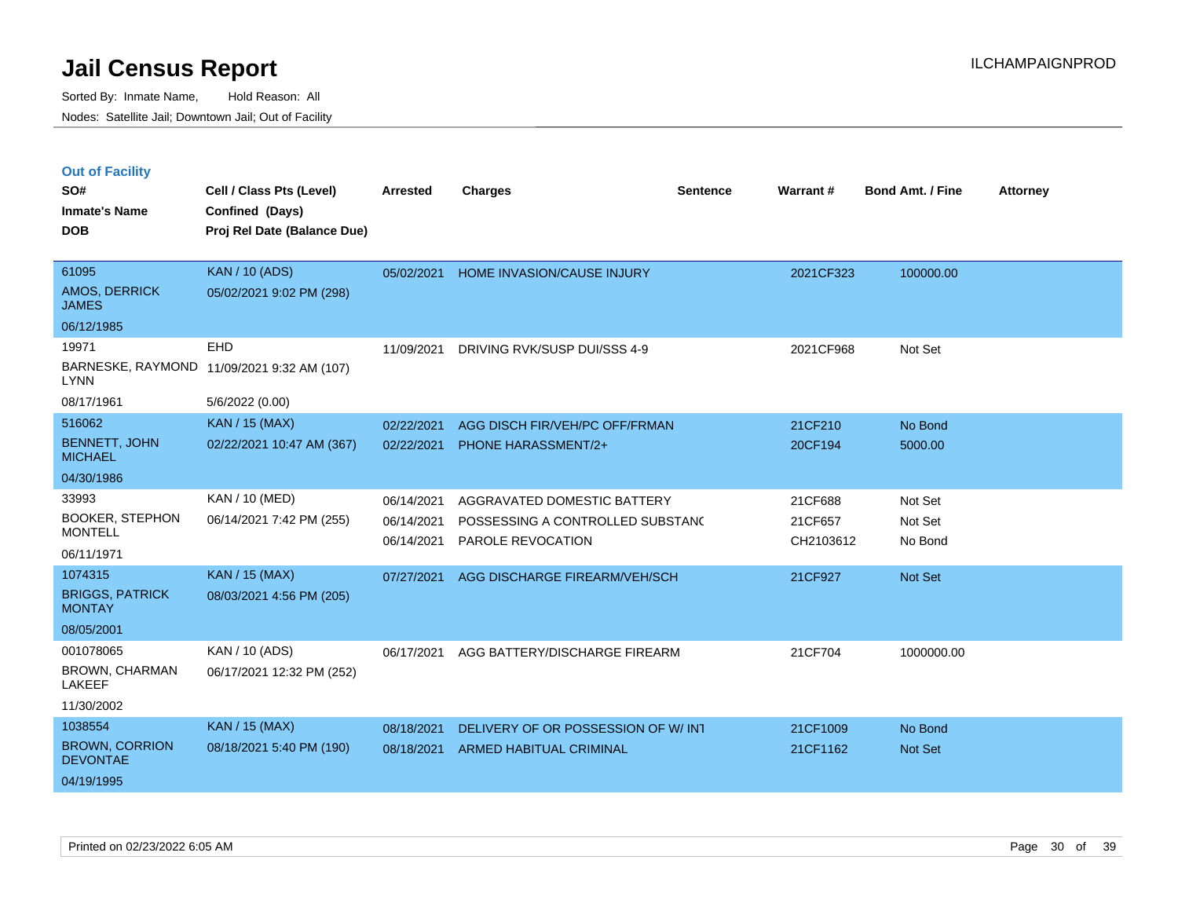|  | <b>Out of Facility</b> |  |
|--|------------------------|--|
|--|------------------------|--|

| SO#<br><b>Inmate's Name</b><br><b>DOB</b> | Cell / Class Pts (Level)<br>Confined (Days)<br>Proj Rel Date (Balance Due) | <b>Arrested</b> | <b>Charges</b>                      | <b>Sentence</b> | Warrant#  | <b>Bond Amt. / Fine</b> | <b>Attorney</b> |
|-------------------------------------------|----------------------------------------------------------------------------|-----------------|-------------------------------------|-----------------|-----------|-------------------------|-----------------|
| 61095<br>AMOS, DERRICK<br><b>JAMES</b>    | <b>KAN / 10 (ADS)</b><br>05/02/2021 9:02 PM (298)                          | 05/02/2021      | HOME INVASION/CAUSE INJURY          |                 | 2021CF323 | 100000.00               |                 |
| 06/12/1985                                |                                                                            |                 |                                     |                 |           |                         |                 |
| 19971                                     | <b>EHD</b>                                                                 | 11/09/2021      | DRIVING RVK/SUSP DUI/SSS 4-9        |                 | 2021CF968 | Not Set                 |                 |
| <b>LYNN</b>                               | BARNESKE, RAYMOND 11/09/2021 9:32 AM (107)                                 |                 |                                     |                 |           |                         |                 |
| 08/17/1961                                | 5/6/2022 (0.00)                                                            |                 |                                     |                 |           |                         |                 |
| 516062                                    | <b>KAN / 15 (MAX)</b>                                                      | 02/22/2021      | AGG DISCH FIR/VEH/PC OFF/FRMAN      |                 | 21CF210   | No Bond                 |                 |
| <b>BENNETT, JOHN</b><br><b>MICHAEL</b>    | 02/22/2021 10:47 AM (367)                                                  | 02/22/2021      | <b>PHONE HARASSMENT/2+</b>          |                 | 20CF194   | 5000.00                 |                 |
| 04/30/1986                                |                                                                            |                 |                                     |                 |           |                         |                 |
| 33993                                     | <b>KAN / 10 (MED)</b>                                                      | 06/14/2021      | AGGRAVATED DOMESTIC BATTERY         |                 | 21CF688   | Not Set                 |                 |
| <b>BOOKER, STEPHON</b>                    | 06/14/2021 7:42 PM (255)                                                   | 06/14/2021      | POSSESSING A CONTROLLED SUBSTANC    |                 | 21CF657   | Not Set                 |                 |
| <b>MONTELL</b>                            |                                                                            | 06/14/2021      | PAROLE REVOCATION                   |                 | CH2103612 | No Bond                 |                 |
| 06/11/1971                                |                                                                            |                 |                                     |                 |           |                         |                 |
| 1074315                                   | <b>KAN / 15 (MAX)</b>                                                      | 07/27/2021      | AGG DISCHARGE FIREARM/VEH/SCH       |                 | 21CF927   | Not Set                 |                 |
| <b>BRIGGS, PATRICK</b><br><b>MONTAY</b>   | 08/03/2021 4:56 PM (205)                                                   |                 |                                     |                 |           |                         |                 |
| 08/05/2001                                |                                                                            |                 |                                     |                 |           |                         |                 |
| 001078065                                 | KAN / 10 (ADS)                                                             | 06/17/2021      | AGG BATTERY/DISCHARGE FIREARM       |                 | 21CF704   | 1000000.00              |                 |
| <b>BROWN, CHARMAN</b><br><b>LAKEEF</b>    | 06/17/2021 12:32 PM (252)                                                  |                 |                                     |                 |           |                         |                 |
| 11/30/2002                                |                                                                            |                 |                                     |                 |           |                         |                 |
| 1038554                                   | <b>KAN / 15 (MAX)</b>                                                      | 08/18/2021      | DELIVERY OF OR POSSESSION OF W/ INT |                 | 21CF1009  | No Bond                 |                 |
| <b>BROWN, CORRION</b><br><b>DEVONTAE</b>  | 08/18/2021 5:40 PM (190)                                                   | 08/18/2021      | ARMED HABITUAL CRIMINAL             |                 | 21CF1162  | <b>Not Set</b>          |                 |
| 04/19/1995                                |                                                                            |                 |                                     |                 |           |                         |                 |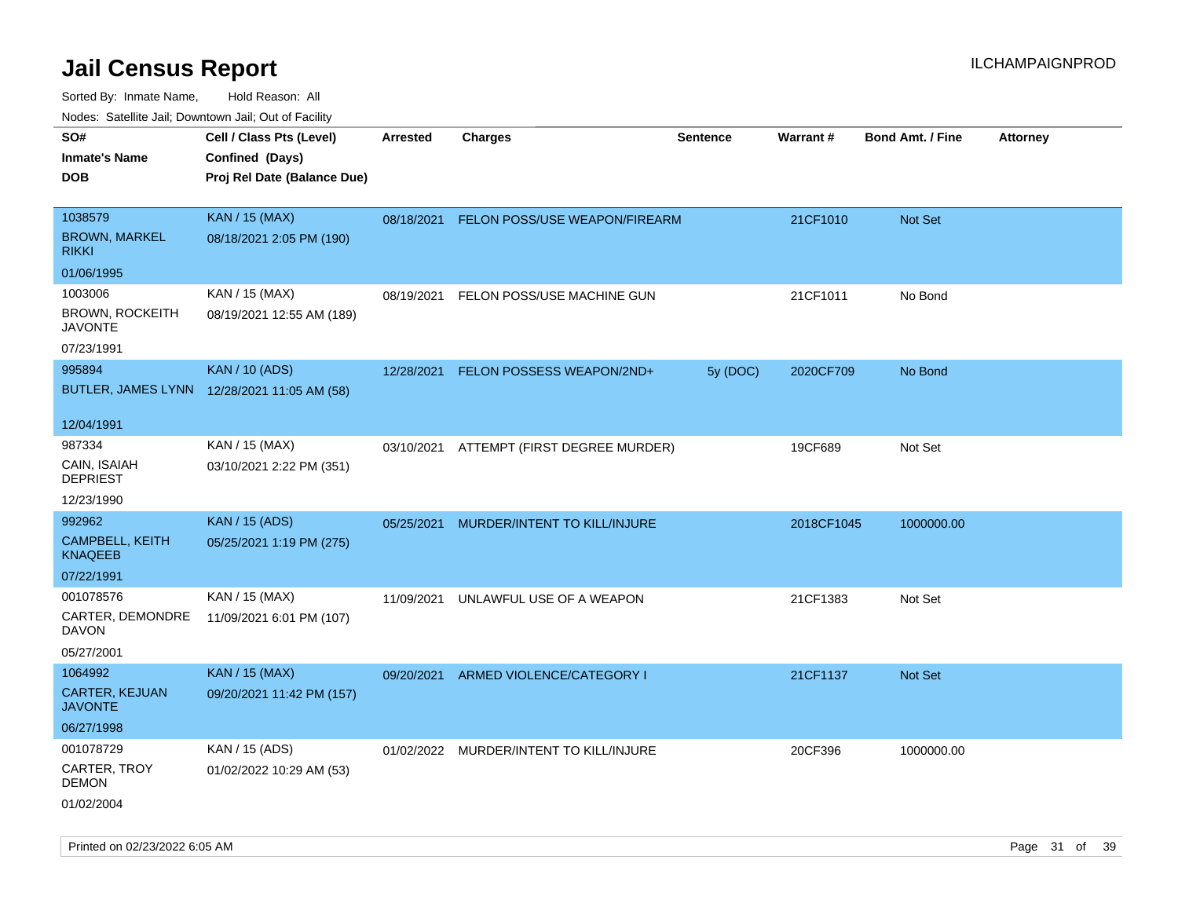| ivouss. Saleline Jali, Downtown Jali, Out of Facility                      |            |                            |                                                                                                                                   |                                                                           |                         |                 |
|----------------------------------------------------------------------------|------------|----------------------------|-----------------------------------------------------------------------------------------------------------------------------------|---------------------------------------------------------------------------|-------------------------|-----------------|
| Cell / Class Pts (Level)<br>Confined (Days)<br>Proj Rel Date (Balance Due) | Arrested   | <b>Charges</b>             | <b>Sentence</b>                                                                                                                   | <b>Warrant#</b>                                                           | <b>Bond Amt. / Fine</b> | <b>Attorney</b> |
| <b>KAN / 15 (MAX)</b><br>08/18/2021 2:05 PM (190)                          | 08/18/2021 |                            |                                                                                                                                   | 21CF1010                                                                  | Not Set                 |                 |
| KAN / 15 (MAX)<br>08/19/2021 12:55 AM (189)                                | 08/19/2021 | FELON POSS/USE MACHINE GUN |                                                                                                                                   | 21CF1011                                                                  | No Bond                 |                 |
| <b>KAN / 10 (ADS)</b><br>BUTLER, JAMES LYNN 12/28/2021 11:05 AM (58)       | 12/28/2021 |                            | 5y (DOC)                                                                                                                          | 2020CF709                                                                 | No Bond                 |                 |
| KAN / 15 (MAX)<br>03/10/2021 2:22 PM (351)                                 |            |                            |                                                                                                                                   | 19CF689                                                                   | Not Set                 |                 |
| <b>KAN / 15 (ADS)</b><br>05/25/2021 1:19 PM (275)                          | 05/25/2021 |                            |                                                                                                                                   |                                                                           | 1000000.00              |                 |
| KAN / 15 (MAX)<br>11/09/2021 6:01 PM (107)                                 | 11/09/2021 | UNLAWFUL USE OF A WEAPON   |                                                                                                                                   | 21CF1383                                                                  | Not Set                 |                 |
| <b>KAN / 15 (MAX)</b><br>09/20/2021 11:42 PM (157)                         | 09/20/2021 |                            |                                                                                                                                   | 21CF1137                                                                  | <b>Not Set</b>          |                 |
| KAN / 15 (ADS)<br>01/02/2022 10:29 AM (53)                                 |            |                            |                                                                                                                                   | 20CF396                                                                   | 1000000.00              |                 |
|                                                                            |            |                            | FELON POSSESS WEAPON/2ND+<br>MURDER/INTENT TO KILL/INJURE<br>ARMED VIOLENCE/CATEGORY I<br>01/02/2022 MURDER/INTENT TO KILL/INJURE | FELON POSS/USE WEAPON/FIREARM<br>03/10/2021 ATTEMPT (FIRST DEGREE MURDER) |                         | 2018CF1045      |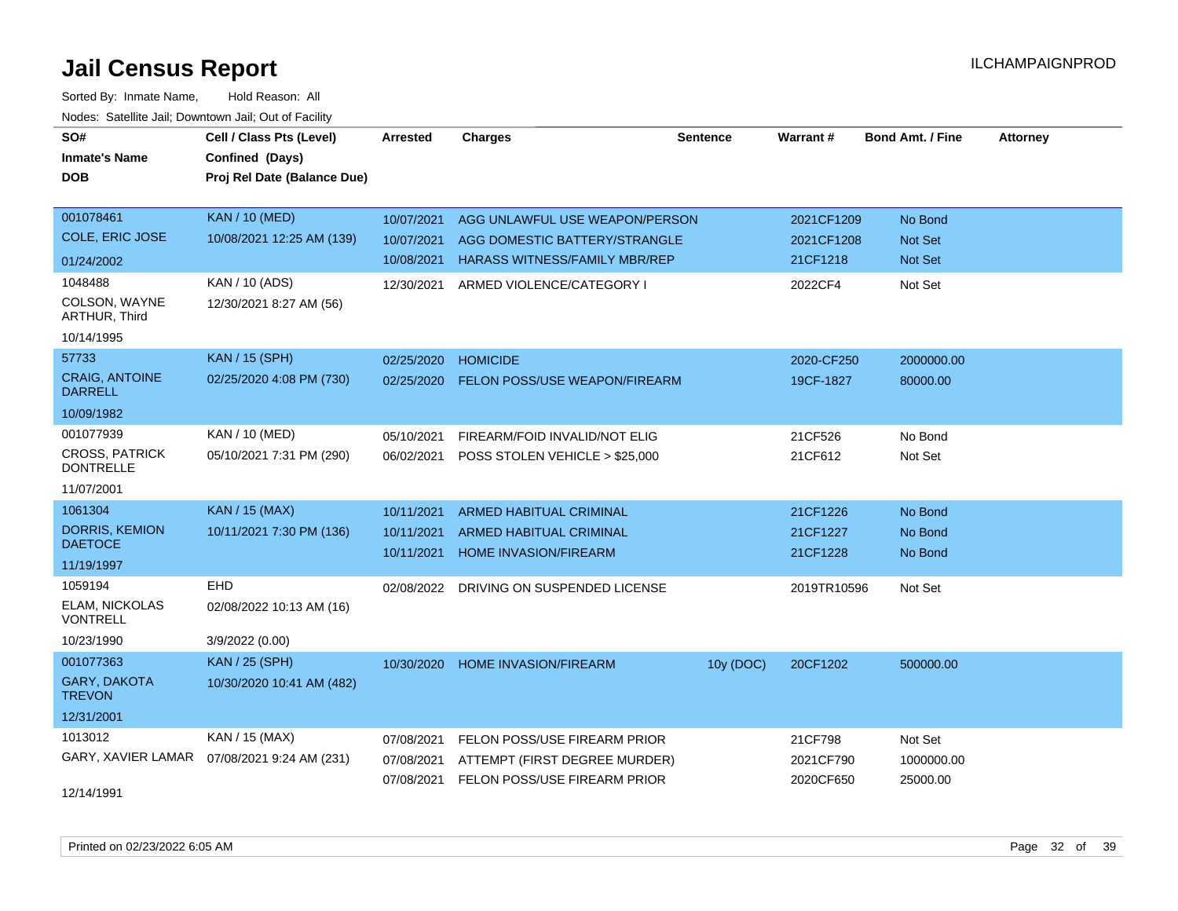| SO#<br><b>Inmate's Name</b>               | Cell / Class Pts (Level)<br>Confined (Days) | <b>Arrested</b> | <b>Charges</b>                          | <b>Sentence</b> | <b>Warrant#</b> | <b>Bond Amt. / Fine</b> | <b>Attorney</b> |
|-------------------------------------------|---------------------------------------------|-----------------|-----------------------------------------|-----------------|-----------------|-------------------------|-----------------|
| <b>DOB</b>                                | Proj Rel Date (Balance Due)                 |                 |                                         |                 |                 |                         |                 |
| 001078461                                 | <b>KAN / 10 (MED)</b>                       | 10/07/2021      | AGG UNLAWFUL USE WEAPON/PERSON          |                 | 2021CF1209      | No Bond                 |                 |
| <b>COLE, ERIC JOSE</b>                    | 10/08/2021 12:25 AM (139)                   | 10/07/2021      | AGG DOMESTIC BATTERY/STRANGLE           |                 | 2021CF1208      | <b>Not Set</b>          |                 |
| 01/24/2002                                |                                             | 10/08/2021      | <b>HARASS WITNESS/FAMILY MBR/REP</b>    |                 | 21CF1218        | Not Set                 |                 |
| 1048488                                   | KAN / 10 (ADS)                              | 12/30/2021      | ARMED VIOLENCE/CATEGORY I               |                 | 2022CF4         | Not Set                 |                 |
| COLSON, WAYNE<br>ARTHUR, Third            | 12/30/2021 8:27 AM (56)                     |                 |                                         |                 |                 |                         |                 |
| 10/14/1995                                |                                             |                 |                                         |                 |                 |                         |                 |
| 57733                                     | KAN / 15 (SPH)                              | 02/25/2020      | <b>HOMICIDE</b>                         |                 | 2020-CF250      | 2000000.00              |                 |
| <b>CRAIG, ANTOINE</b><br><b>DARRELL</b>   | 02/25/2020 4:08 PM (730)                    | 02/25/2020      | <b>FELON POSS/USE WEAPON/FIREARM</b>    |                 | 19CF-1827       | 80000.00                |                 |
| 10/09/1982                                |                                             |                 |                                         |                 |                 |                         |                 |
| 001077939                                 | KAN / 10 (MED)                              | 05/10/2021      | FIREARM/FOID INVALID/NOT ELIG           |                 | 21CF526         | No Bond                 |                 |
| <b>CROSS, PATRICK</b><br><b>DONTRELLE</b> | 05/10/2021 7:31 PM (290)                    | 06/02/2021      | POSS STOLEN VEHICLE > \$25,000          |                 | 21CF612         | Not Set                 |                 |
| 11/07/2001                                |                                             |                 |                                         |                 |                 |                         |                 |
| 1061304                                   | KAN / 15 (MAX)                              | 10/11/2021      | <b>ARMED HABITUAL CRIMINAL</b>          |                 | 21CF1226        | No Bond                 |                 |
| <b>DORRIS, KEMION</b>                     | 10/11/2021 7:30 PM (136)                    | 10/11/2021      | <b>ARMED HABITUAL CRIMINAL</b>          |                 | 21CF1227        | No Bond                 |                 |
| <b>DAETOCE</b>                            |                                             | 10/11/2021      | HOME INVASION/FIREARM                   |                 | 21CF1228        | No Bond                 |                 |
| 11/19/1997                                | EHD                                         |                 |                                         |                 |                 |                         |                 |
| 1059194<br>ELAM, NICKOLAS                 |                                             |                 | 02/08/2022 DRIVING ON SUSPENDED LICENSE |                 | 2019TR10596     | Not Set                 |                 |
| <b>VONTRELL</b>                           | 02/08/2022 10:13 AM (16)                    |                 |                                         |                 |                 |                         |                 |
| 10/23/1990                                | 3/9/2022 (0.00)                             |                 |                                         |                 |                 |                         |                 |
| 001077363                                 | <b>KAN / 25 (SPH)</b>                       | 10/30/2020      | HOME INVASION/FIREARM                   | 10y (DOC)       | 20CF1202        | 500000.00               |                 |
| <b>GARY, DAKOTA</b><br><b>TREVON</b>      | 10/30/2020 10:41 AM (482)                   |                 |                                         |                 |                 |                         |                 |
| 12/31/2001                                |                                             |                 |                                         |                 |                 |                         |                 |
| 1013012                                   | KAN / 15 (MAX)                              | 07/08/2021      | FELON POSS/USE FIREARM PRIOR            |                 | 21CF798         | Not Set                 |                 |
| GARY, XAVIER LAMAR                        | 07/08/2021 9:24 AM (231)                    | 07/08/2021      | ATTEMPT (FIRST DEGREE MURDER)           |                 | 2021CF790       | 1000000.00              |                 |
| 12/14/1991                                |                                             | 07/08/2021      | FELON POSS/USE FIREARM PRIOR            |                 | 2020CF650       | 25000.00                |                 |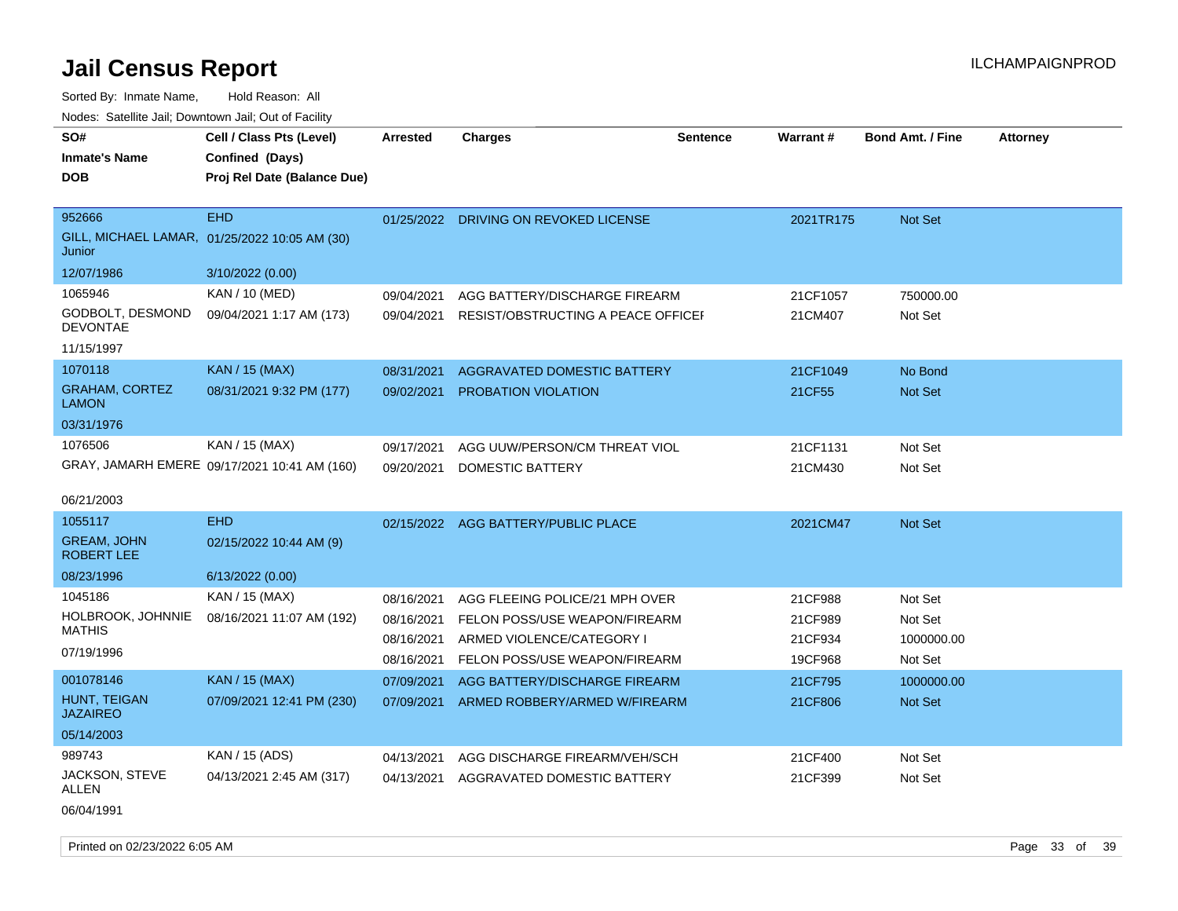| SO#                                     | Cell / Class Pts (Level)                      | <b>Arrested</b> | <b>Charges</b>                                | <b>Sentence</b> | <b>Warrant#</b> | <b>Bond Amt. / Fine</b> | <b>Attorney</b> |
|-----------------------------------------|-----------------------------------------------|-----------------|-----------------------------------------------|-----------------|-----------------|-------------------------|-----------------|
| <b>Inmate's Name</b>                    | Confined (Days)                               |                 |                                               |                 |                 |                         |                 |
| <b>DOB</b>                              | Proj Rel Date (Balance Due)                   |                 |                                               |                 |                 |                         |                 |
| 952666                                  | <b>EHD</b>                                    |                 | 01/25/2022 DRIVING ON REVOKED LICENSE         |                 | 2021TR175       | <b>Not Set</b>          |                 |
| Junior                                  | GILL, MICHAEL LAMAR, 01/25/2022 10:05 AM (30) |                 |                                               |                 |                 |                         |                 |
| 12/07/1986                              | 3/10/2022 (0.00)                              |                 |                                               |                 |                 |                         |                 |
| 1065946                                 | KAN / 10 (MED)                                | 09/04/2021      | AGG BATTERY/DISCHARGE FIREARM                 |                 | 21CF1057        | 750000.00               |                 |
| GODBOLT, DESMOND<br><b>DEVONTAE</b>     | 09/04/2021 1:17 AM (173)                      |                 | 09/04/2021 RESIST/OBSTRUCTING A PEACE OFFICEL |                 | 21CM407         | Not Set                 |                 |
| 11/15/1997                              |                                               |                 |                                               |                 |                 |                         |                 |
| 1070118                                 | <b>KAN / 15 (MAX)</b>                         | 08/31/2021      | AGGRAVATED DOMESTIC BATTERY                   |                 | 21CF1049        | No Bond                 |                 |
| <b>GRAHAM, CORTEZ</b><br><b>LAMON</b>   | 08/31/2021 9:32 PM (177)                      | 09/02/2021      | PROBATION VIOLATION                           |                 | 21CF55          | Not Set                 |                 |
| 03/31/1976                              |                                               |                 |                                               |                 |                 |                         |                 |
| 1076506                                 | KAN / 15 (MAX)                                | 09/17/2021      | AGG UUW/PERSON/CM THREAT VIOL                 |                 | 21CF1131        | Not Set                 |                 |
|                                         | GRAY, JAMARH EMERE 09/17/2021 10:41 AM (160)  | 09/20/2021      | DOMESTIC BATTERY                              |                 | 21CM430         | Not Set                 |                 |
| 06/21/2003                              |                                               |                 |                                               |                 |                 |                         |                 |
| 1055117                                 | <b>EHD</b>                                    |                 | 02/15/2022 AGG BATTERY/PUBLIC PLACE           |                 | 2021CM47        | Not Set                 |                 |
| <b>GREAM, JOHN</b><br><b>ROBERT LEE</b> | 02/15/2022 10:44 AM (9)                       |                 |                                               |                 |                 |                         |                 |
| 08/23/1996                              | 6/13/2022 (0.00)                              |                 |                                               |                 |                 |                         |                 |
| 1045186                                 | KAN / 15 (MAX)                                | 08/16/2021      | AGG FLEEING POLICE/21 MPH OVER                |                 | 21CF988         | Not Set                 |                 |
| HOLBROOK, JOHNNIE                       | 08/16/2021 11:07 AM (192)                     | 08/16/2021      | FELON POSS/USE WEAPON/FIREARM                 |                 | 21CF989         | Not Set                 |                 |
| <b>MATHIS</b>                           |                                               | 08/16/2021      | ARMED VIOLENCE/CATEGORY I                     |                 | 21CF934         | 1000000.00              |                 |
| 07/19/1996                              |                                               |                 | 08/16/2021 FELON POSS/USE WEAPON/FIREARM      |                 | 19CF968         | Not Set                 |                 |
| 001078146                               | <b>KAN / 15 (MAX)</b>                         | 07/09/2021      | AGG BATTERY/DISCHARGE FIREARM                 |                 | 21CF795         | 1000000.00              |                 |
| HUNT, TEIGAN<br><b>JAZAIREO</b>         | 07/09/2021 12:41 PM (230)                     | 07/09/2021      | ARMED ROBBERY/ARMED W/FIREARM                 |                 | 21CF806         | Not Set                 |                 |
| 05/14/2003                              |                                               |                 |                                               |                 |                 |                         |                 |
| 989743                                  | KAN / 15 (ADS)                                | 04/13/2021      | AGG DISCHARGE FIREARM/VEH/SCH                 |                 | 21CF400         | Not Set                 |                 |
| JACKSON, STEVE<br>ALLEN                 | 04/13/2021 2:45 AM (317)                      | 04/13/2021      | AGGRAVATED DOMESTIC BATTERY                   |                 | 21CF399         | Not Set                 |                 |
| 06/04/1991                              |                                               |                 |                                               |                 |                 |                         |                 |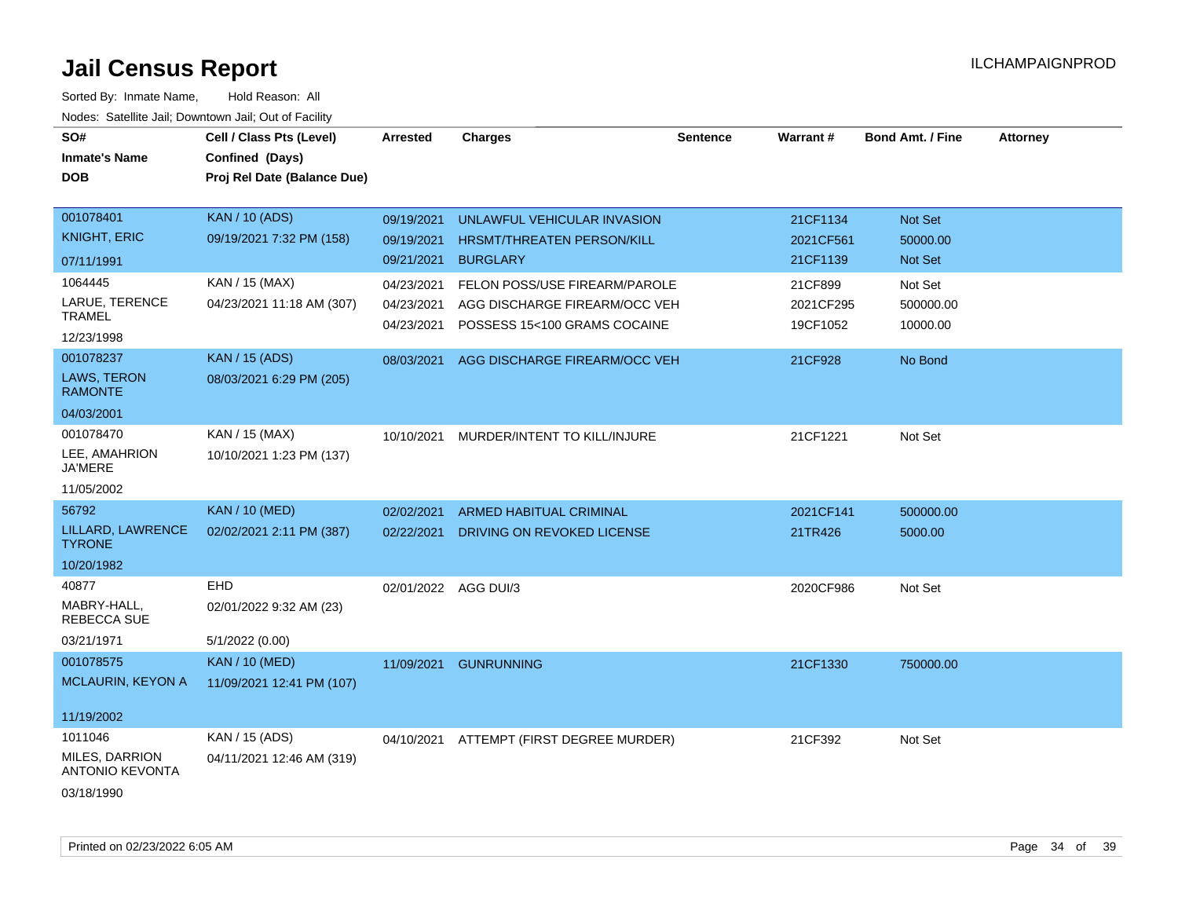| SO#<br><b>Inmate's Name</b><br><b>DOB</b> | Cell / Class Pts (Level)<br>Confined (Days)<br>Proj Rel Date (Balance Due) | <b>Arrested</b>          | <b>Charges</b>                                                | <b>Sentence</b> | Warrant#              | <b>Bond Amt. / Fine</b> | <b>Attorney</b> |
|-------------------------------------------|----------------------------------------------------------------------------|--------------------------|---------------------------------------------------------------|-----------------|-----------------------|-------------------------|-----------------|
| 001078401                                 | <b>KAN / 10 (ADS)</b>                                                      | 09/19/2021               | UNLAWFUL VEHICULAR INVASION                                   |                 | 21CF1134              | Not Set                 |                 |
| <b>KNIGHT, ERIC</b>                       | 09/19/2021 7:32 PM (158)                                                   | 09/19/2021               | HRSMT/THREATEN PERSON/KILL                                    |                 | 2021CF561             | 50000.00                |                 |
| 07/11/1991                                |                                                                            | 09/21/2021               | <b>BURGLARY</b>                                               |                 | 21CF1139              | Not Set                 |                 |
| 1064445                                   | KAN / 15 (MAX)                                                             | 04/23/2021               | FELON POSS/USE FIREARM/PAROLE                                 |                 | 21CF899               | Not Set                 |                 |
| LARUE, TERENCE<br><b>TRAMEL</b>           | 04/23/2021 11:18 AM (307)                                                  | 04/23/2021<br>04/23/2021 | AGG DISCHARGE FIREARM/OCC VEH<br>POSSESS 15<100 GRAMS COCAINE |                 | 2021CF295<br>19CF1052 | 500000.00<br>10000.00   |                 |
| 12/23/1998                                |                                                                            |                          |                                                               |                 |                       |                         |                 |
| 001078237                                 | <b>KAN / 15 (ADS)</b>                                                      | 08/03/2021               | AGG DISCHARGE FIREARM/OCC VEH                                 |                 | 21CF928               | No Bond                 |                 |
| LAWS, TERON<br><b>RAMONTE</b>             | 08/03/2021 6:29 PM (205)                                                   |                          |                                                               |                 |                       |                         |                 |
| 04/03/2001                                |                                                                            |                          |                                                               |                 |                       |                         |                 |
| 001078470                                 | KAN / 15 (MAX)                                                             | 10/10/2021               | MURDER/INTENT TO KILL/INJURE                                  |                 | 21CF1221              | Not Set                 |                 |
| LEE, AMAHRION<br><b>JA'MERE</b>           | 10/10/2021 1:23 PM (137)                                                   |                          |                                                               |                 |                       |                         |                 |
| 11/05/2002                                |                                                                            |                          |                                                               |                 |                       |                         |                 |
| 56792                                     | <b>KAN / 10 (MED)</b>                                                      | 02/02/2021               | <b>ARMED HABITUAL CRIMINAL</b>                                |                 | 2021CF141             | 500000.00               |                 |
| LILLARD, LAWRENCE<br><b>TYRONE</b>        | 02/02/2021 2:11 PM (387)                                                   | 02/22/2021               | DRIVING ON REVOKED LICENSE                                    |                 | 21TR426               | 5000.00                 |                 |
| 10/20/1982                                |                                                                            |                          |                                                               |                 |                       |                         |                 |
| 40877                                     | EHD                                                                        | 02/01/2022 AGG DUI/3     |                                                               |                 | 2020CF986             | Not Set                 |                 |
| MABRY-HALL,<br>REBECCA SUE                | 02/01/2022 9:32 AM (23)                                                    |                          |                                                               |                 |                       |                         |                 |
| 03/21/1971                                | 5/1/2022 (0.00)                                                            |                          |                                                               |                 |                       |                         |                 |
| 001078575                                 | <b>KAN / 10 (MED)</b>                                                      | 11/09/2021               | <b>GUNRUNNING</b>                                             |                 | 21CF1330              | 750000.00               |                 |
| <b>MCLAURIN, KEYON A</b>                  | 11/09/2021 12:41 PM (107)                                                  |                          |                                                               |                 |                       |                         |                 |
| 11/19/2002                                |                                                                            |                          |                                                               |                 |                       |                         |                 |
| 1011046                                   | KAN / 15 (ADS)                                                             | 04/10/2021               | ATTEMPT (FIRST DEGREE MURDER)                                 |                 | 21CF392               | Not Set                 |                 |
| MILES, DARRION<br><b>ANTONIO KEVONTA</b>  | 04/11/2021 12:46 AM (319)                                                  |                          |                                                               |                 |                       |                         |                 |
| 03/18/1990                                |                                                                            |                          |                                                               |                 |                       |                         |                 |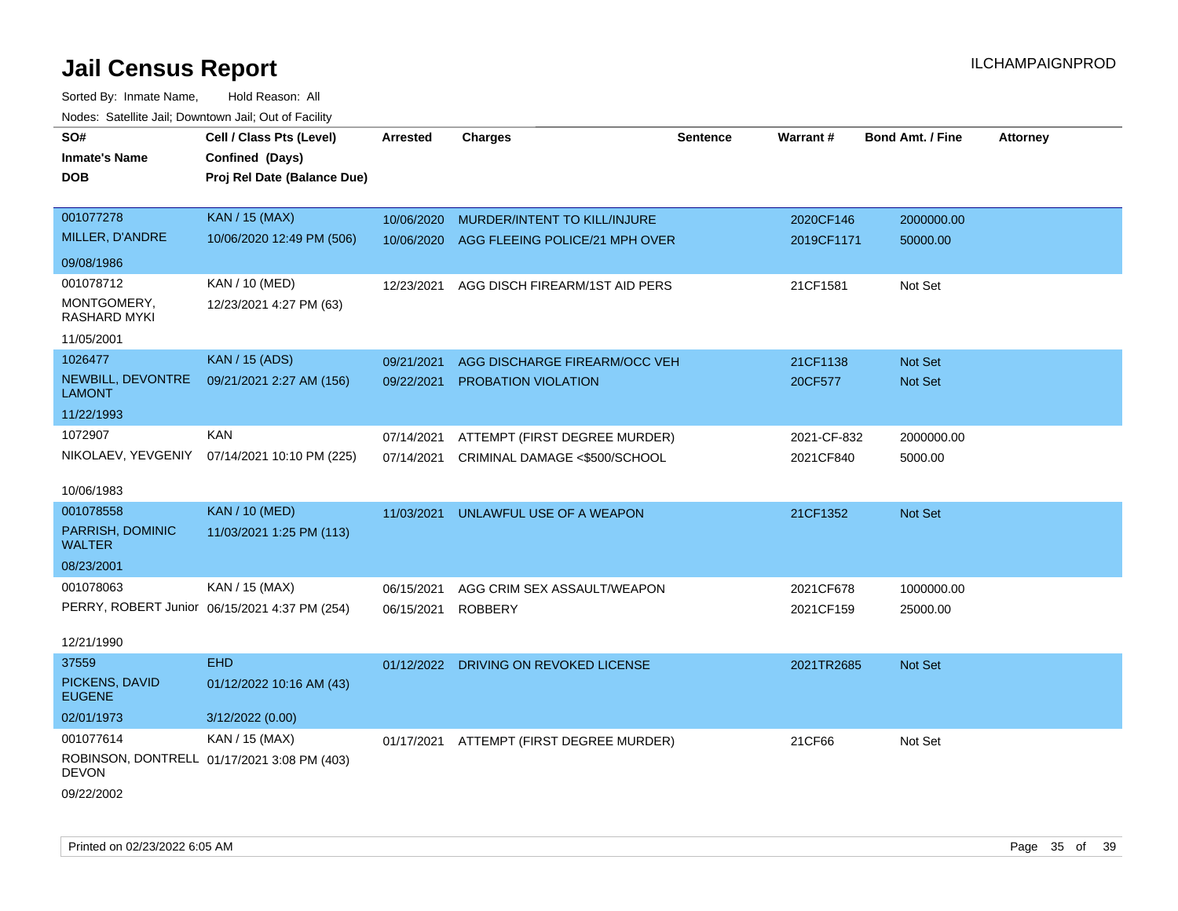| SO#<br><b>Inmate's Name</b><br><b>DOB</b> | Cell / Class Pts (Level)<br>Confined (Days)<br>Proj Rel Date (Balance Due) | Arrested   | <b>Charges</b>                        | <b>Sentence</b> | <b>Warrant#</b> | <b>Bond Amt. / Fine</b> | <b>Attorney</b> |
|-------------------------------------------|----------------------------------------------------------------------------|------------|---------------------------------------|-----------------|-----------------|-------------------------|-----------------|
| 001077278                                 | <b>KAN / 15 (MAX)</b>                                                      | 10/06/2020 | MURDER/INTENT TO KILL/INJURE          |                 | 2020CF146       | 2000000.00              |                 |
| MILLER, D'ANDRE                           | 10/06/2020 12:49 PM (506)                                                  | 10/06/2020 | AGG FLEEING POLICE/21 MPH OVER        |                 | 2019CF1171      | 50000.00                |                 |
| 09/08/1986                                |                                                                            |            |                                       |                 |                 |                         |                 |
| 001078712                                 | <b>KAN / 10 (MED)</b>                                                      | 12/23/2021 | AGG DISCH FIREARM/1ST AID PERS        |                 | 21CF1581        | Not Set                 |                 |
| MONTGOMERY,<br><b>RASHARD MYKI</b>        | 12/23/2021 4:27 PM (63)                                                    |            |                                       |                 |                 |                         |                 |
| 11/05/2001                                |                                                                            |            |                                       |                 |                 |                         |                 |
| 1026477                                   | <b>KAN / 15 (ADS)</b>                                                      | 09/21/2021 | AGG DISCHARGE FIREARM/OCC VEH         |                 | 21CF1138        | Not Set                 |                 |
| NEWBILL, DEVONTRE<br><b>LAMONT</b>        | 09/21/2021 2:27 AM (156)                                                   | 09/22/2021 | PROBATION VIOLATION                   |                 | 20CF577         | <b>Not Set</b>          |                 |
| 11/22/1993                                |                                                                            |            |                                       |                 |                 |                         |                 |
| 1072907                                   | <b>KAN</b>                                                                 | 07/14/2021 | ATTEMPT (FIRST DEGREE MURDER)         |                 | 2021-CF-832     | 2000000.00              |                 |
| NIKOLAEV, YEVGENIY                        | 07/14/2021 10:10 PM (225)                                                  | 07/14/2021 | CRIMINAL DAMAGE <\$500/SCHOOL         |                 | 2021CF840       | 5000.00                 |                 |
| 10/06/1983                                |                                                                            |            |                                       |                 |                 |                         |                 |
| 001078558                                 | <b>KAN / 10 (MED)</b>                                                      | 11/03/2021 | UNLAWFUL USE OF A WEAPON              |                 | 21CF1352        | Not Set                 |                 |
| PARRISH, DOMINIC<br><b>WALTER</b>         | 11/03/2021 1:25 PM (113)                                                   |            |                                       |                 |                 |                         |                 |
| 08/23/2001                                |                                                                            |            |                                       |                 |                 |                         |                 |
| 001078063                                 | KAN / 15 (MAX)                                                             | 06/15/2021 | AGG CRIM SEX ASSAULT/WEAPON           |                 | 2021CF678       | 1000000.00              |                 |
|                                           | PERRY, ROBERT Junior 06/15/2021 4:37 PM (254)                              | 06/15/2021 | <b>ROBBERY</b>                        |                 | 2021CF159       | 25000.00                |                 |
| 12/21/1990                                |                                                                            |            |                                       |                 |                 |                         |                 |
| 37559                                     | <b>EHD</b>                                                                 |            | 01/12/2022 DRIVING ON REVOKED LICENSE |                 | 2021TR2685      | Not Set                 |                 |
| PICKENS, DAVID<br><b>EUGENE</b>           | 01/12/2022 10:16 AM (43)                                                   |            |                                       |                 |                 |                         |                 |
| 02/01/1973                                | 3/12/2022 (0.00)                                                           |            |                                       |                 |                 |                         |                 |
| 001077614                                 | KAN / 15 (MAX)                                                             | 01/17/2021 | ATTEMPT (FIRST DEGREE MURDER)         |                 | 21CF66          | Not Set                 |                 |
| <b>DEVON</b>                              | ROBINSON, DONTRELL 01/17/2021 3:08 PM (403)                                |            |                                       |                 |                 |                         |                 |
| 09/22/2002                                |                                                                            |            |                                       |                 |                 |                         |                 |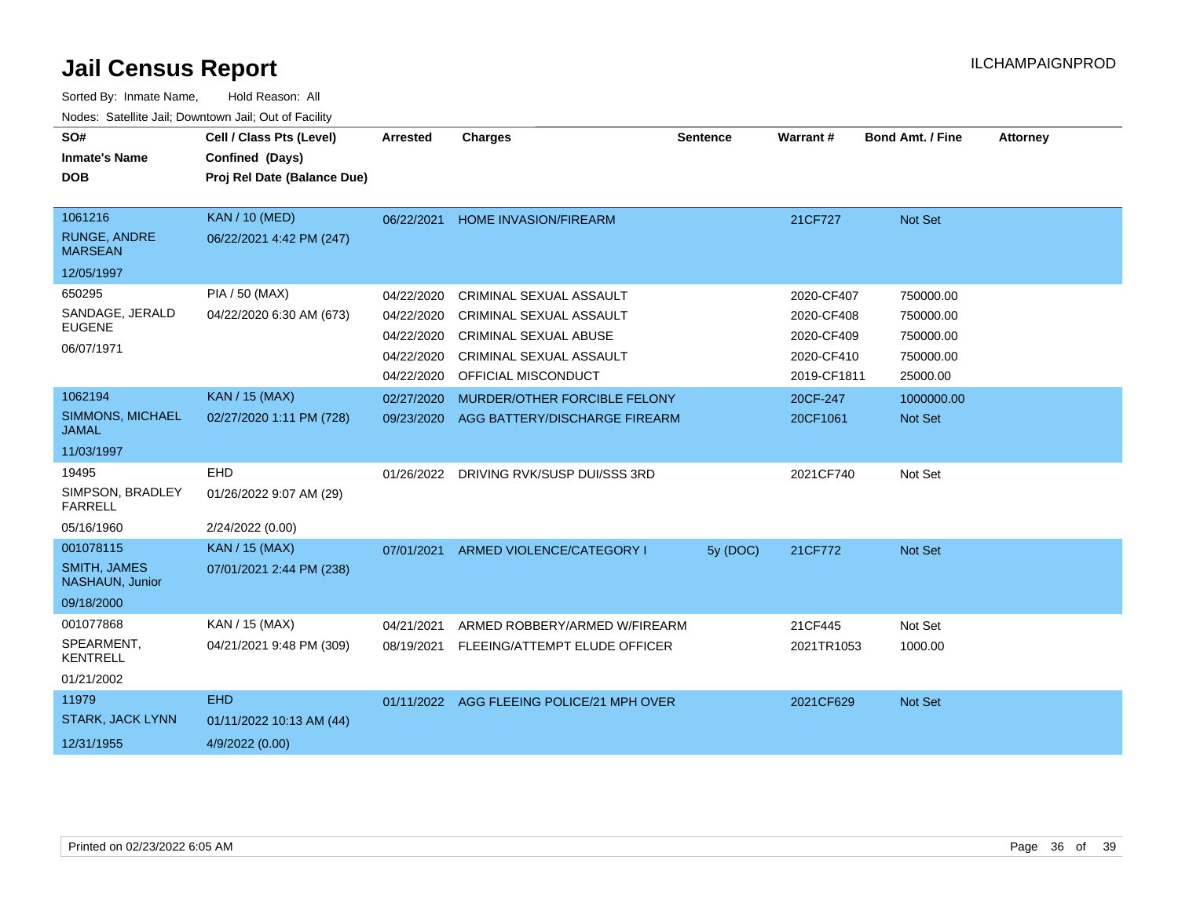| SO#<br><b>Inmate's Name</b><br><b>DOB</b>                         | Cell / Class Pts (Level)<br>Confined (Days)<br>Proj Rel Date (Balance Due) | <b>Arrested</b>                                                    | <b>Charges</b>                                                                                                                              | <b>Sentence</b> | <b>Warrant#</b>                                                     | <b>Bond Amt. / Fine</b>                                      | <b>Attorney</b> |
|-------------------------------------------------------------------|----------------------------------------------------------------------------|--------------------------------------------------------------------|---------------------------------------------------------------------------------------------------------------------------------------------|-----------------|---------------------------------------------------------------------|--------------------------------------------------------------|-----------------|
| 1061216<br>RUNGE, ANDRE<br><b>MARSEAN</b><br>12/05/1997           | <b>KAN / 10 (MED)</b><br>06/22/2021 4:42 PM (247)                          | 06/22/2021                                                         | <b>HOME INVASION/FIREARM</b>                                                                                                                |                 | 21CF727                                                             | Not Set                                                      |                 |
| 650295<br>SANDAGE, JERALD<br><b>EUGENE</b><br>06/07/1971          | PIA / 50 (MAX)<br>04/22/2020 6:30 AM (673)                                 | 04/22/2020<br>04/22/2020<br>04/22/2020<br>04/22/2020<br>04/22/2020 | <b>CRIMINAL SEXUAL ASSAULT</b><br>CRIMINAL SEXUAL ASSAULT<br><b>CRIMINAL SEXUAL ABUSE</b><br>CRIMINAL SEXUAL ASSAULT<br>OFFICIAL MISCONDUCT |                 | 2020-CF407<br>2020-CF408<br>2020-CF409<br>2020-CF410<br>2019-CF1811 | 750000.00<br>750000.00<br>750000.00<br>750000.00<br>25000.00 |                 |
| 1062194<br><b>SIMMONS, MICHAEL</b><br><b>JAMAL</b><br>11/03/1997  | <b>KAN / 15 (MAX)</b><br>02/27/2020 1:11 PM (728)                          | 02/27/2020<br>09/23/2020                                           | MURDER/OTHER FORCIBLE FELONY<br>AGG BATTERY/DISCHARGE FIREARM                                                                               |                 | 20CF-247<br>20CF1061                                                | 1000000.00<br>Not Set                                        |                 |
| 19495<br>SIMPSON, BRADLEY<br><b>FARRELL</b><br>05/16/1960         | <b>EHD</b><br>01/26/2022 9:07 AM (29)<br>2/24/2022 (0.00)                  |                                                                    | 01/26/2022 DRIVING RVK/SUSP DUI/SSS 3RD                                                                                                     |                 | 2021CF740                                                           | Not Set                                                      |                 |
| 001078115<br><b>SMITH, JAMES</b><br>NASHAUN, Junior<br>09/18/2000 | <b>KAN / 15 (MAX)</b><br>07/01/2021 2:44 PM (238)                          | 07/01/2021                                                         | ARMED VIOLENCE/CATEGORY I                                                                                                                   | 5y (DOC)        | 21CF772                                                             | Not Set                                                      |                 |
| 001077868<br>SPEARMENT,<br><b>KENTRELL</b><br>01/21/2002          | KAN / 15 (MAX)<br>04/21/2021 9:48 PM (309)                                 | 04/21/2021<br>08/19/2021                                           | ARMED ROBBERY/ARMED W/FIREARM<br>FLEEING/ATTEMPT ELUDE OFFICER                                                                              |                 | 21CF445<br>2021TR1053                                               | Not Set<br>1000.00                                           |                 |
| 11979<br><b>STARK, JACK LYNN</b><br>12/31/1955                    | <b>EHD</b><br>01/11/2022 10:13 AM (44)<br>4/9/2022 (0.00)                  |                                                                    | 01/11/2022 AGG FLEEING POLICE/21 MPH OVER                                                                                                   |                 | 2021CF629                                                           | Not Set                                                      |                 |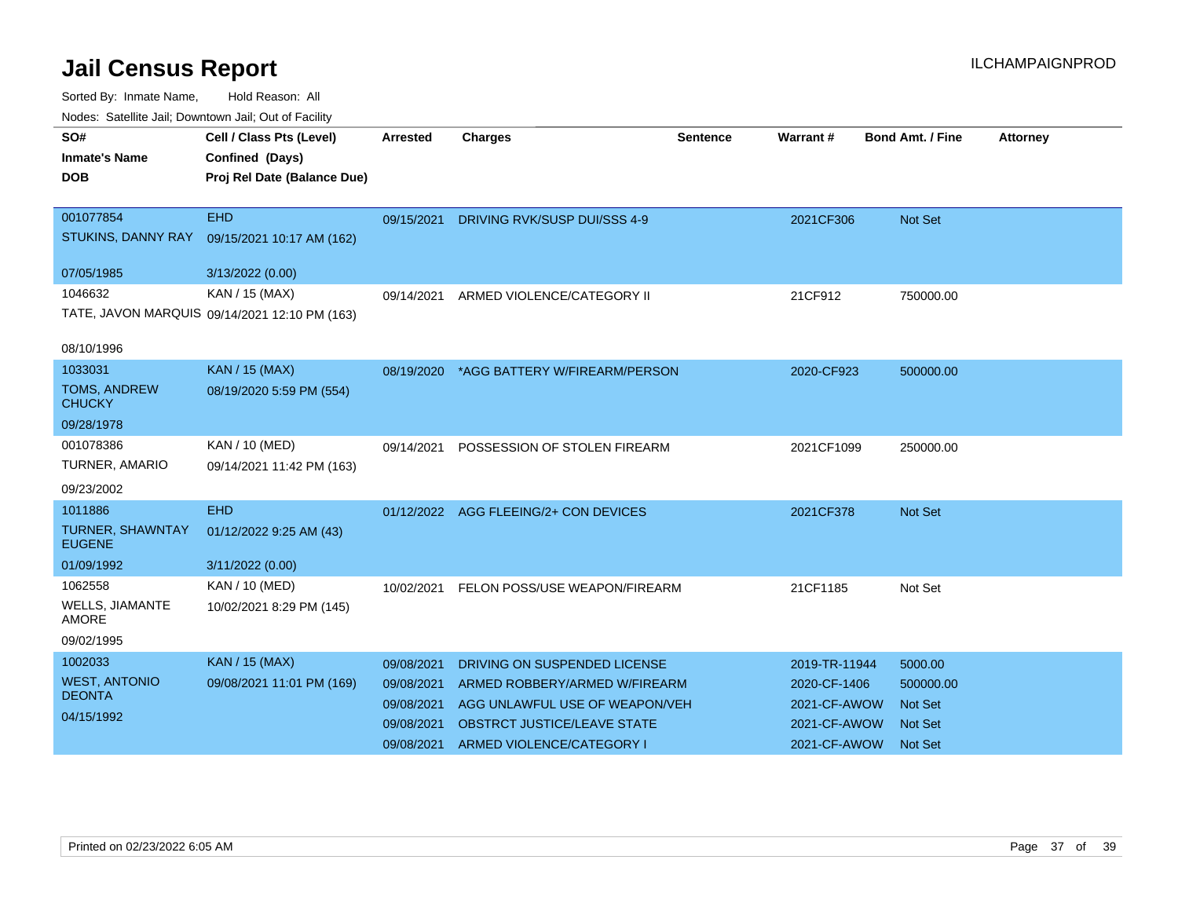| wacs. Calcinic Jan, Downtown Jan, Out of Facility |                                               |            |                                          |                 |               |                         |                 |
|---------------------------------------------------|-----------------------------------------------|------------|------------------------------------------|-----------------|---------------|-------------------------|-----------------|
| SO#                                               | Cell / Class Pts (Level)                      | Arrested   | <b>Charges</b>                           | <b>Sentence</b> | Warrant#      | <b>Bond Amt. / Fine</b> | <b>Attorney</b> |
| <b>Inmate's Name</b>                              | Confined (Days)                               |            |                                          |                 |               |                         |                 |
| <b>DOB</b>                                        | Proj Rel Date (Balance Due)                   |            |                                          |                 |               |                         |                 |
|                                                   |                                               |            |                                          |                 |               |                         |                 |
| 001077854                                         | <b>EHD</b>                                    |            | 09/15/2021 DRIVING RVK/SUSP DUI/SSS 4-9  |                 | 2021CF306     | Not Set                 |                 |
| STUKINS, DANNY RAY                                | 09/15/2021 10:17 AM (162)                     |            |                                          |                 |               |                         |                 |
| 07/05/1985                                        | 3/13/2022 (0.00)                              |            |                                          |                 |               |                         |                 |
| 1046632                                           | KAN / 15 (MAX)                                | 09/14/2021 | ARMED VIOLENCE/CATEGORY II               |                 | 21CF912       | 750000.00               |                 |
|                                                   | TATE, JAVON MARQUIS 09/14/2021 12:10 PM (163) |            |                                          |                 |               |                         |                 |
| 08/10/1996                                        |                                               |            |                                          |                 |               |                         |                 |
| 1033031                                           | <b>KAN / 15 (MAX)</b>                         |            | 08/19/2020 *AGG BATTERY W/FIREARM/PERSON |                 | 2020-CF923    | 500000.00               |                 |
| <b>TOMS, ANDREW</b><br><b>CHUCKY</b>              | 08/19/2020 5:59 PM (554)                      |            |                                          |                 |               |                         |                 |
| 09/28/1978                                        |                                               |            |                                          |                 |               |                         |                 |
| 001078386                                         | KAN / 10 (MED)                                | 09/14/2021 | POSSESSION OF STOLEN FIREARM             |                 | 2021CF1099    | 250000.00               |                 |
| TURNER, AMARIO                                    | 09/14/2021 11:42 PM (163)                     |            |                                          |                 |               |                         |                 |
| 09/23/2002                                        |                                               |            |                                          |                 |               |                         |                 |
| 1011886                                           | <b>EHD</b>                                    | 01/12/2022 | AGG FLEEING/2+ CON DEVICES               |                 | 2021CF378     | <b>Not Set</b>          |                 |
| TURNER, SHAWNTAY<br><b>EUGENE</b>                 | 01/12/2022 9:25 AM (43)                       |            |                                          |                 |               |                         |                 |
| 01/09/1992                                        | 3/11/2022 (0.00)                              |            |                                          |                 |               |                         |                 |
| 1062558                                           | KAN / 10 (MED)                                | 10/02/2021 | FELON POSS/USE WEAPON/FIREARM            |                 | 21CF1185      | Not Set                 |                 |
| WELLS, JIAMANTE<br><b>AMORE</b>                   | 10/02/2021 8:29 PM (145)                      |            |                                          |                 |               |                         |                 |
| 09/02/1995                                        |                                               |            |                                          |                 |               |                         |                 |
| 1002033                                           | <b>KAN / 15 (MAX)</b>                         | 09/08/2021 | DRIVING ON SUSPENDED LICENSE             |                 | 2019-TR-11944 | 5000.00                 |                 |
| <b>WEST, ANTONIO</b>                              | 09/08/2021 11:01 PM (169)                     | 09/08/2021 | ARMED ROBBERY/ARMED W/FIREARM            |                 | 2020-CF-1406  | 500000.00               |                 |
| <b>DEONTA</b>                                     |                                               | 09/08/2021 | AGG UNLAWFUL USE OF WEAPON/VEH           |                 | 2021-CF-AWOW  | <b>Not Set</b>          |                 |
| 04/15/1992                                        |                                               | 09/08/2021 | <b>OBSTRCT JUSTICE/LEAVE STATE</b>       |                 | 2021-CF-AWOW  | <b>Not Set</b>          |                 |
|                                                   |                                               | 09/08/2021 | ARMED VIOLENCE/CATEGORY I                |                 | 2021-CF-AWOW  | <b>Not Set</b>          |                 |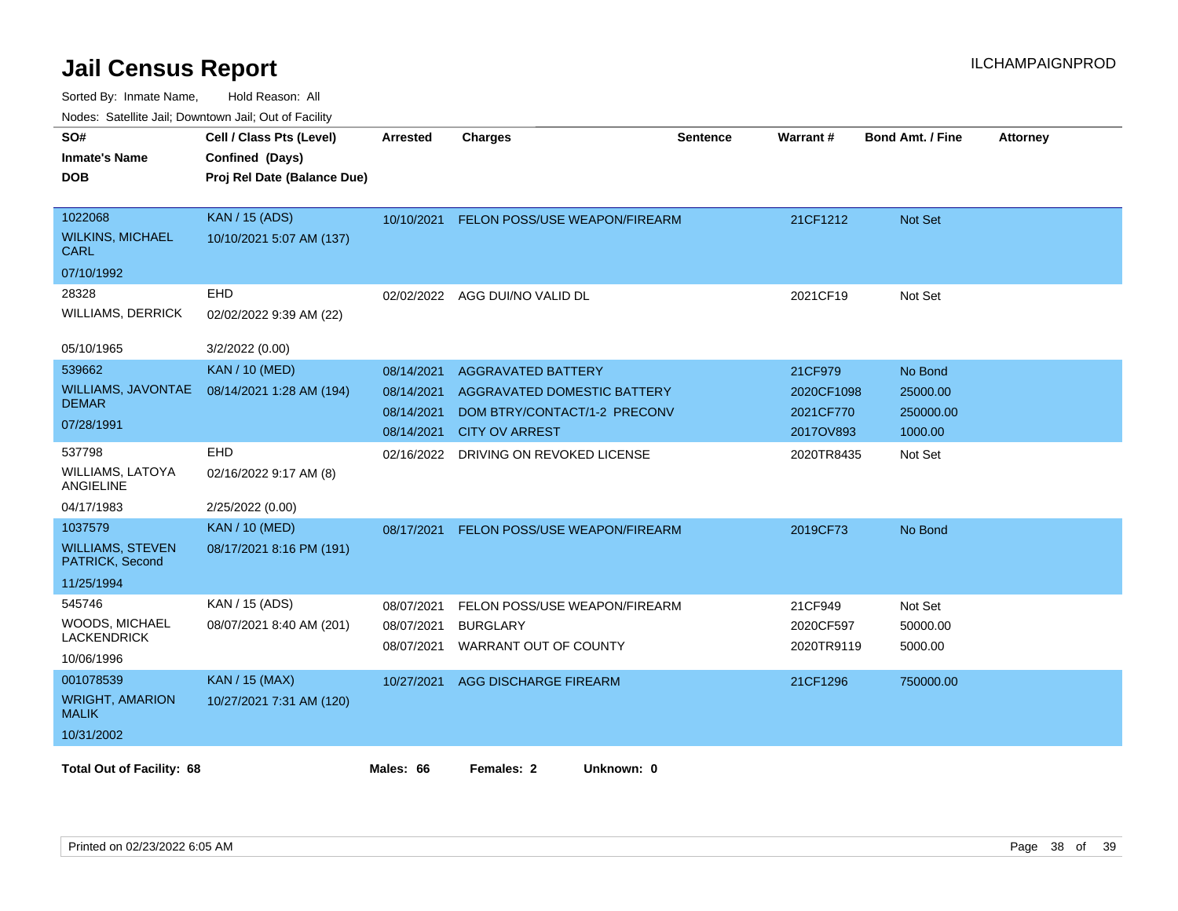| SO#<br><b>Inmate's Name</b><br><b>DOB</b>                           | Cell / Class Pts (Level)<br>Confined (Days)<br>Proj Rel Date (Balance Due) | <b>Arrested</b>                                      | <b>Charges</b>                                                                                                    | <b>Sentence</b> | Warrant#                                        | <b>Bond Amt. / Fine</b>                     | <b>Attorney</b> |
|---------------------------------------------------------------------|----------------------------------------------------------------------------|------------------------------------------------------|-------------------------------------------------------------------------------------------------------------------|-----------------|-------------------------------------------------|---------------------------------------------|-----------------|
| 1022068<br><b>WILKINS, MICHAEL</b><br>CARL<br>07/10/1992            | <b>KAN / 15 (ADS)</b><br>10/10/2021 5:07 AM (137)                          | 10/10/2021                                           | FELON POSS/USE WEAPON/FIREARM                                                                                     |                 | 21CF1212                                        | Not Set                                     |                 |
| 28328<br><b>WILLIAMS, DERRICK</b><br>05/10/1965                     | EHD<br>02/02/2022 9:39 AM (22)<br>3/2/2022 (0.00)                          |                                                      | 02/02/2022 AGG DUI/NO VALID DL                                                                                    |                 | 2021CF19                                        | Not Set                                     |                 |
| 539662<br><b>WILLIAMS, JAVONTAE</b><br><b>DEMAR</b><br>07/28/1991   | <b>KAN / 10 (MED)</b><br>08/14/2021 1:28 AM (194)                          | 08/14/2021<br>08/14/2021<br>08/14/2021<br>08/14/2021 | <b>AGGRAVATED BATTERY</b><br>AGGRAVATED DOMESTIC BATTERY<br>DOM BTRY/CONTACT/1-2 PRECONV<br><b>CITY OV ARREST</b> |                 | 21CF979<br>2020CF1098<br>2021CF770<br>2017OV893 | No Bond<br>25000.00<br>250000.00<br>1000.00 |                 |
| 537798<br><b>WILLIAMS, LATOYA</b><br><b>ANGIELINE</b><br>04/17/1983 | EHD<br>02/16/2022 9:17 AM (8)<br>2/25/2022 (0.00)                          | 02/16/2022                                           | DRIVING ON REVOKED LICENSE                                                                                        |                 | 2020TR8435                                      | Not Set                                     |                 |
| 1037579<br><b>WILLIAMS, STEVEN</b><br>PATRICK, Second<br>11/25/1994 | <b>KAN / 10 (MED)</b><br>08/17/2021 8:16 PM (191)                          | 08/17/2021                                           | FELON POSS/USE WEAPON/FIREARM                                                                                     |                 | 2019CF73                                        | No Bond                                     |                 |
| 545746<br>WOODS, MICHAEL<br><b>LACKENDRICK</b><br>10/06/1996        | KAN / 15 (ADS)<br>08/07/2021 8:40 AM (201)                                 | 08/07/2021<br>08/07/2021<br>08/07/2021               | FELON POSS/USE WEAPON/FIREARM<br><b>BURGLARY</b><br>WARRANT OUT OF COUNTY                                         |                 | 21CF949<br>2020CF597<br>2020TR9119              | Not Set<br>50000.00<br>5000.00              |                 |
| 001078539<br><b>WRIGHT, AMARION</b><br><b>MALIK</b><br>10/31/2002   | <b>KAN / 15 (MAX)</b><br>10/27/2021 7:31 AM (120)                          | 10/27/2021                                           | <b>AGG DISCHARGE FIREARM</b>                                                                                      |                 | 21CF1296                                        | 750000.00                                   |                 |
| <b>Total Out of Facility: 68</b>                                    |                                                                            | Males: 66                                            | Females: 2<br>Unknown: 0                                                                                          |                 |                                                 |                                             |                 |